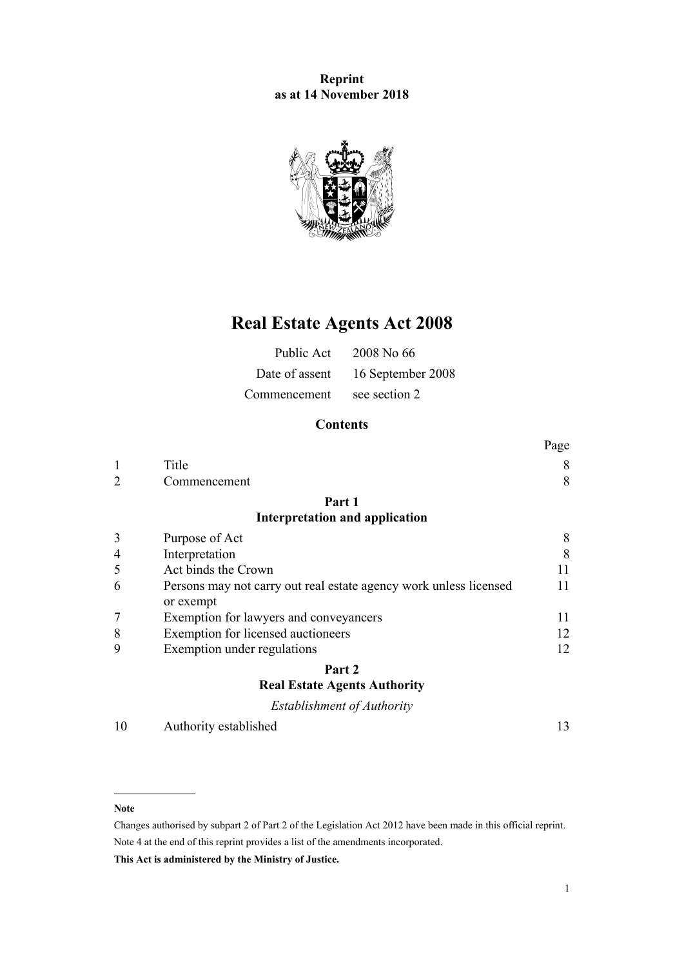## **Reprint as at 14 November 2018**



# **Real Estate Agents Act 2008**

| Public Act   | 2008 No 66                       |
|--------------|----------------------------------|
|              | Date of assent 16 September 2008 |
| Commencement | see section 2                    |

## **Contents**

|                |                                                                                | Page |
|----------------|--------------------------------------------------------------------------------|------|
| 1              | Title                                                                          | 8    |
| $\overline{2}$ | Commencement                                                                   | 8    |
|                | Part 1                                                                         |      |
|                | <b>Interpretation and application</b>                                          |      |
| 3              | Purpose of Act                                                                 | 8    |
| 4              | Interpretation                                                                 | 8    |
| 5              | Act binds the Crown                                                            | 11   |
| 6              | Persons may not carry out real estate agency work unless licensed<br>or exempt | 11   |
| 7              | Exemption for lawyers and conveyancers                                         | 11   |
| 8              | Exemption for licensed auctioneers                                             | 12   |
| 9              | Exemption under regulations                                                    | 12   |
|                | Part 2                                                                         |      |
|                | <b>Real Estate Agents Authority</b>                                            |      |
|                | Establishment of Authority                                                     |      |
| 10             | Authority established                                                          | 13   |

#### **Note**

Changes authorised by [subpart 2](http://prd-lgnz-nlb.prd.pco.net.nz/pdflink.aspx?id=DLM2998524) of Part 2 of the Legislation Act 2012 have been made in this official reprint. Note 4 at the end of this reprint provides a list of the amendments incorporated.

**This Act is administered by the Ministry of Justice.**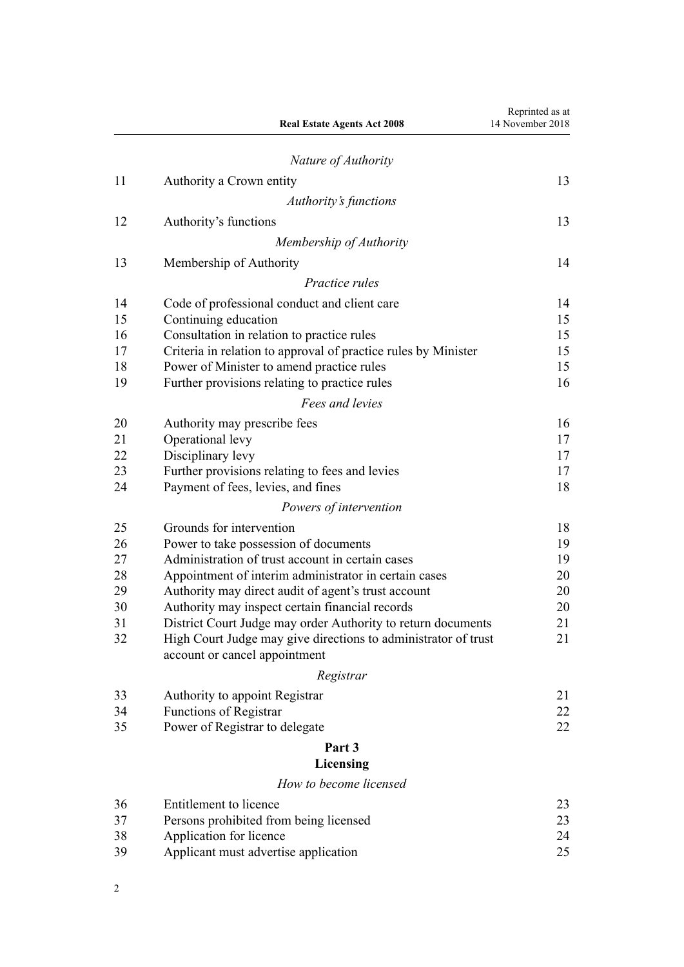|    | <b>Real Estate Agents Act 2008</b>                                   | Reprinted as at<br>14 November 2018 |
|----|----------------------------------------------------------------------|-------------------------------------|
|    | Nature of Authority                                                  |                                     |
| 11 | Authority a Crown entity                                             | 13                                  |
|    | Authority's functions                                                |                                     |
| 12 | Authority's functions                                                | 13                                  |
|    | Membership of Authority                                              |                                     |
| 13 | Membership of Authority                                              | 14                                  |
|    | <i>Practice rules</i>                                                |                                     |
| 14 |                                                                      | 14                                  |
| 15 | Code of professional conduct and client care<br>Continuing education | 15                                  |
| 16 | Consultation in relation to practice rules                           | 15                                  |
| 17 | Criteria in relation to approval of practice rules by Minister       | 15                                  |
| 18 | Power of Minister to amend practice rules                            | 15                                  |
| 19 | Further provisions relating to practice rules                        | 16                                  |
|    | Fees and levies                                                      |                                     |
| 20 | Authority may prescribe fees                                         | 16                                  |
| 21 | Operational levy                                                     | 17                                  |
| 22 | Disciplinary levy                                                    | 17                                  |
| 23 | Further provisions relating to fees and levies                       | 17                                  |
| 24 | Payment of fees, levies, and fines                                   | 18                                  |
|    | Powers of intervention                                               |                                     |
| 25 | Grounds for intervention                                             | 18                                  |
| 26 | Power to take possession of documents                                | 19                                  |
| 27 | Administration of trust account in certain cases                     | 19                                  |
| 28 | Appointment of interim administrator in certain cases                | 20                                  |
| 29 | Authority may direct audit of agent's trust account                  | 20                                  |
| 30 | Authority may inspect certain financial records                      | 20                                  |
| 31 | District Court Judge may order Authority to return documents         | 21                                  |
| 32 | High Court Judge may give directions to administrator of trust       | 21                                  |
|    | account or cancel appointment                                        |                                     |
|    | Registrar                                                            |                                     |
| 33 | Authority to appoint Registrar                                       | 21                                  |
| 34 | <b>Functions of Registrar</b>                                        | 22                                  |
| 35 | Power of Registrar to delegate                                       | 22                                  |
|    | Part 3                                                               |                                     |
|    | Licensing                                                            |                                     |
|    | How to become licensed                                               |                                     |
| 36 | Entitlement to licence                                               | 23                                  |
| 37 | Persons prohibited from being licensed                               | 23                                  |
| 38 | Application for licence                                              | 24                                  |
| 39 | Applicant must advertise application                                 | 25                                  |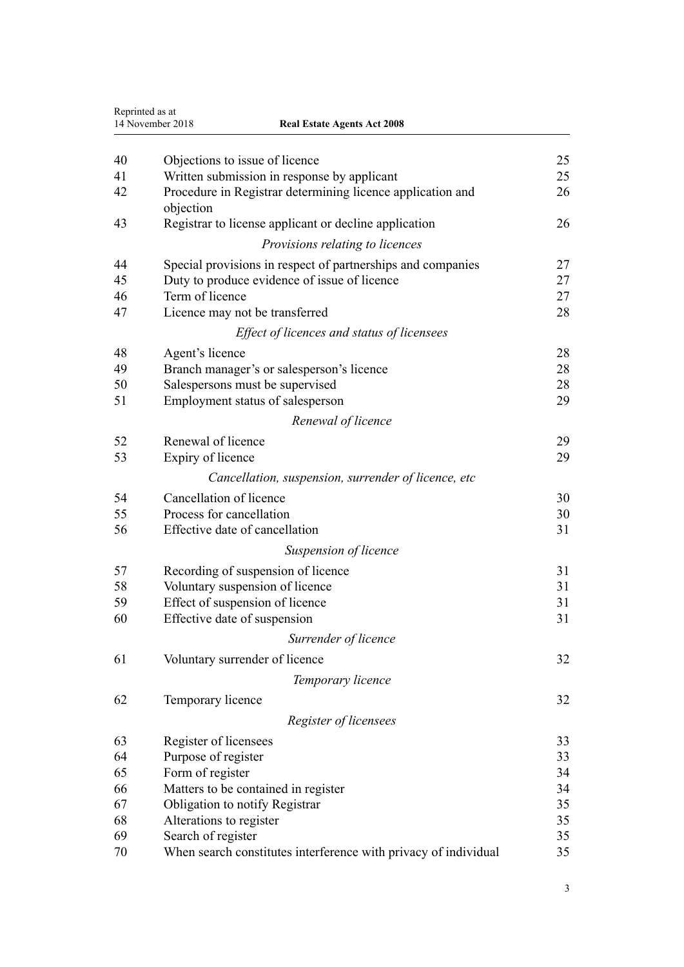|    | Reprinted as at<br>14 November 2018<br><b>Real Estate Agents Act 2008</b> |    |
|----|---------------------------------------------------------------------------|----|
| 40 | Objections to issue of licence                                            | 25 |
| 41 | Written submission in response by applicant                               | 25 |
| 42 | Procedure in Registrar determining licence application and<br>objection   | 26 |
| 43 | Registrar to license applicant or decline application                     | 26 |
|    | Provisions relating to licences                                           |    |
| 44 | Special provisions in respect of partnerships and companies               | 27 |
| 45 | Duty to produce evidence of issue of licence                              | 27 |
| 46 | Term of licence                                                           | 27 |
| 47 | Licence may not be transferred                                            | 28 |
|    | Effect of licences and status of licensees                                |    |
| 48 | Agent's licence                                                           | 28 |
| 49 | Branch manager's or salesperson's licence                                 | 28 |
| 50 | Salespersons must be supervised                                           | 28 |
| 51 | Employment status of salesperson                                          | 29 |
|    | Renewal of licence                                                        |    |
| 52 | Renewal of licence                                                        | 29 |
| 53 | Expiry of licence                                                         | 29 |
|    | Cancellation, suspension, surrender of licence, etc.                      |    |
| 54 | Cancellation of licence                                                   | 30 |
| 55 | Process for cancellation                                                  | 30 |
| 56 | Effective date of cancellation                                            | 31 |
|    | Suspension of licence                                                     |    |
| 57 | Recording of suspension of licence                                        | 31 |
| 58 | Voluntary suspension of licence                                           | 31 |
| 59 | Effect of suspension of licence                                           | 31 |
| 60 | Effective date of suspension                                              | 31 |
|    | Surrender of licence                                                      |    |
| 61 | Voluntary surrender of licence                                            | 32 |
|    | Temporary licence                                                         |    |
| 62 | Temporary licence                                                         | 32 |
|    | Register of licensees                                                     |    |
| 63 | Register of licensees                                                     | 33 |
| 64 | Purpose of register                                                       | 33 |
| 65 | Form of register                                                          | 34 |
| 66 | Matters to be contained in register                                       | 34 |
| 67 | Obligation to notify Registrar                                            | 35 |
| 68 | Alterations to register                                                   | 35 |
| 69 | Search of register                                                        | 35 |
| 70 | When search constitutes interference with privacy of individual           | 35 |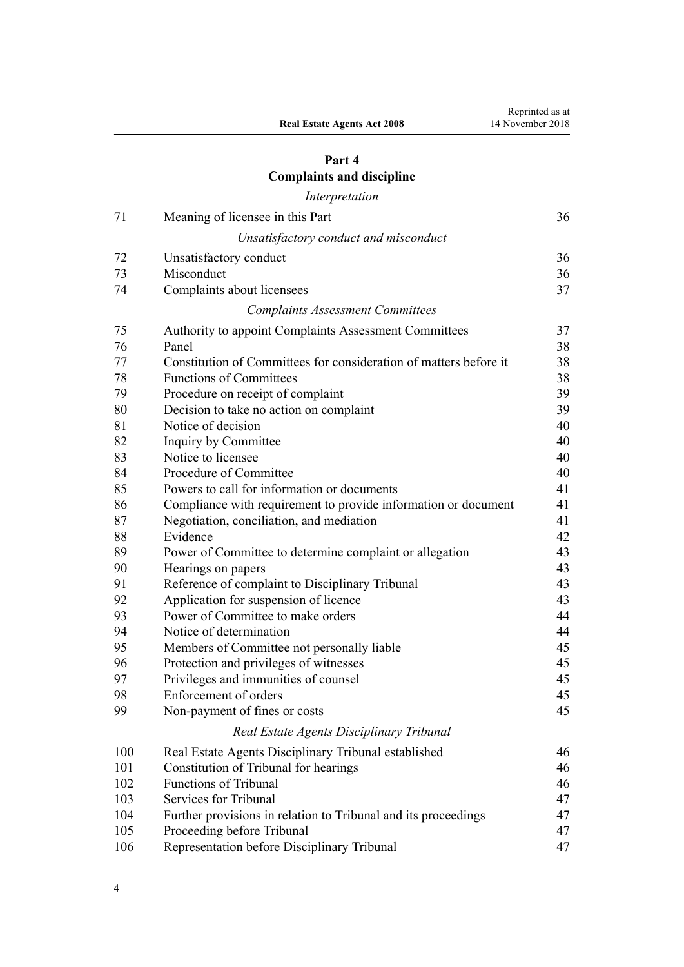## **[Part 4](#page-35-0) [Complaints and discipline](#page-35-0)**

*[Interpretation](#page-35-0)*

| 71  | Meaning of licensee in this Part                                  | 36 |
|-----|-------------------------------------------------------------------|----|
|     | Unsatisfactory conduct and misconduct                             |    |
| 72  | Unsatisfactory conduct                                            | 36 |
| 73  | Misconduct                                                        | 36 |
| 74  | Complaints about licensees                                        | 37 |
|     | <b>Complaints Assessment Committees</b>                           |    |
| 75  | Authority to appoint Complaints Assessment Committees             | 37 |
| 76  | Panel                                                             | 38 |
| 77  | Constitution of Committees for consideration of matters before it | 38 |
| 78  | <b>Functions of Committees</b>                                    | 38 |
| 79  | Procedure on receipt of complaint                                 | 39 |
| 80  | Decision to take no action on complaint                           | 39 |
| 81  | Notice of decision                                                | 40 |
| 82  | Inquiry by Committee                                              | 40 |
| 83  | Notice to licensee                                                | 40 |
| 84  | Procedure of Committee                                            | 40 |
| 85  | Powers to call for information or documents                       | 41 |
| 86  | Compliance with requirement to provide information or document    | 41 |
| 87  | Negotiation, conciliation, and mediation                          | 41 |
| 88  | Evidence                                                          | 42 |
| 89  | Power of Committee to determine complaint or allegation           | 43 |
| 90  | Hearings on papers                                                | 43 |
| 91  | Reference of complaint to Disciplinary Tribunal                   | 43 |
| 92  | Application for suspension of licence                             | 43 |
| 93  | Power of Committee to make orders                                 | 44 |
| 94  | Notice of determination                                           | 44 |
| 95  | Members of Committee not personally liable                        | 45 |
| 96  | Protection and privileges of witnesses                            | 45 |
| 97  | Privileges and immunities of counsel                              | 45 |
| 98  | Enforcement of orders                                             | 45 |
| 99  | Non-payment of fines or costs                                     | 45 |
|     | Real Estate Agents Disciplinary Tribunal                          |    |
| 100 | Real Estate Agents Disciplinary Tribunal established              | 46 |
| 101 | Constitution of Tribunal for hearings                             | 46 |
| 102 | <b>Functions of Tribunal</b>                                      | 46 |
| 103 | Services for Tribunal                                             | 47 |
| 104 | Further provisions in relation to Tribunal and its proceedings    | 47 |
| 105 | Proceeding before Tribunal                                        | 47 |
| 106 | Representation before Disciplinary Tribunal                       | 47 |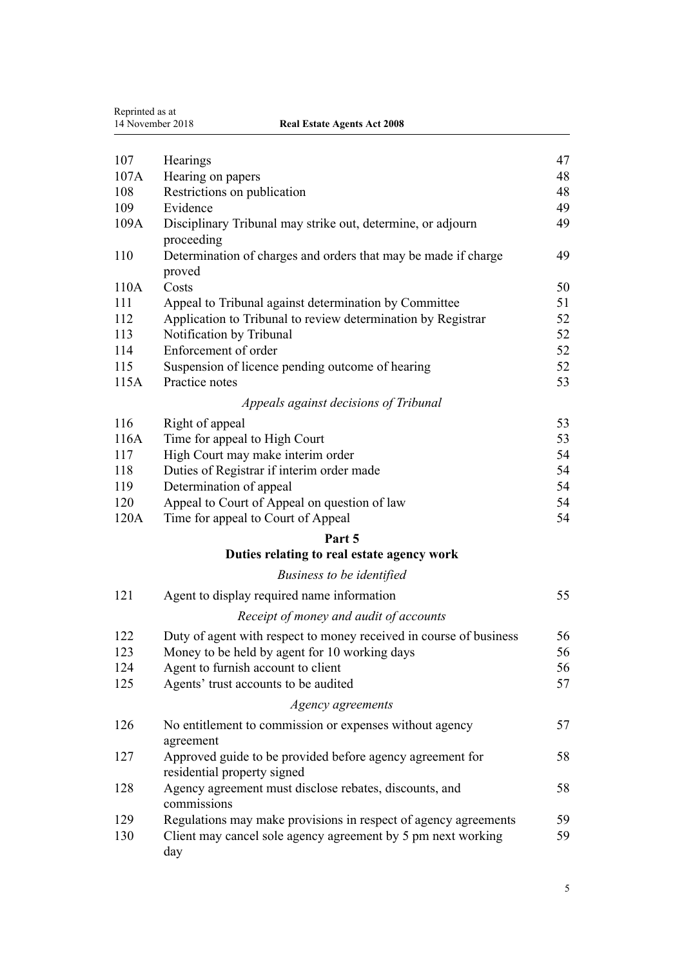| Reprinted as at<br>14 November 2018<br><b>Real Estate Agents Act 2008</b> |                                                                                          |    |
|---------------------------------------------------------------------------|------------------------------------------------------------------------------------------|----|
|                                                                           |                                                                                          |    |
| 107                                                                       | Hearings                                                                                 | 47 |
| 107A                                                                      | Hearing on papers                                                                        | 48 |
| 108                                                                       | Restrictions on publication                                                              | 48 |
| 109                                                                       | Evidence                                                                                 | 49 |
| 109A                                                                      | Disciplinary Tribunal may strike out, determine, or adjourn<br>proceeding                | 49 |
| 110                                                                       | Determination of charges and orders that may be made if charge<br>proved                 | 49 |
| 110A                                                                      | Costs                                                                                    | 50 |
| 111                                                                       | Appeal to Tribunal against determination by Committee                                    | 51 |
| 112                                                                       | Application to Tribunal to review determination by Registrar                             | 52 |
| 113                                                                       | Notification by Tribunal                                                                 | 52 |
| 114                                                                       | Enforcement of order                                                                     | 52 |
| 115                                                                       | Suspension of licence pending outcome of hearing                                         | 52 |
| 115A                                                                      | Practice notes                                                                           | 53 |
|                                                                           | Appeals against decisions of Tribunal                                                    |    |
| 116                                                                       | Right of appeal                                                                          | 53 |
| 116A                                                                      | Time for appeal to High Court                                                            | 53 |
| 117                                                                       | High Court may make interim order                                                        | 54 |
| 118                                                                       | Duties of Registrar if interim order made                                                | 54 |
| 119                                                                       | Determination of appeal                                                                  | 54 |
| 120                                                                       | Appeal to Court of Appeal on question of law                                             | 54 |
| 120A                                                                      | Time for appeal to Court of Appeal                                                       | 54 |
|                                                                           | Part 5                                                                                   |    |
|                                                                           | Duties relating to real estate agency work                                               |    |
|                                                                           | Business to be identified                                                                |    |
| 121                                                                       | Agent to display required name information                                               | 55 |
|                                                                           | Receipt of money and audit of accounts                                                   |    |
| 122                                                                       | Duty of agent with respect to money received in course of business                       | 56 |
| 123                                                                       | Money to be held by agent for 10 working days                                            | 56 |
| 124                                                                       | Agent to furnish account to client                                                       | 56 |
| 125                                                                       | Agents' trust accounts to be audited                                                     | 57 |
|                                                                           | Agency agreements                                                                        |    |
| 126                                                                       | No entitlement to commission or expenses without agency                                  | 57 |
|                                                                           | agreement                                                                                |    |
| 127                                                                       | Approved guide to be provided before agency agreement for<br>residential property signed | 58 |
| 128                                                                       | Agency agreement must disclose rebates, discounts, and<br>commissions                    | 58 |
| 129                                                                       | Regulations may make provisions in respect of agency agreements                          | 59 |
| 130                                                                       | Client may cancel sole agency agreement by 5 pm next working<br>day                      | 59 |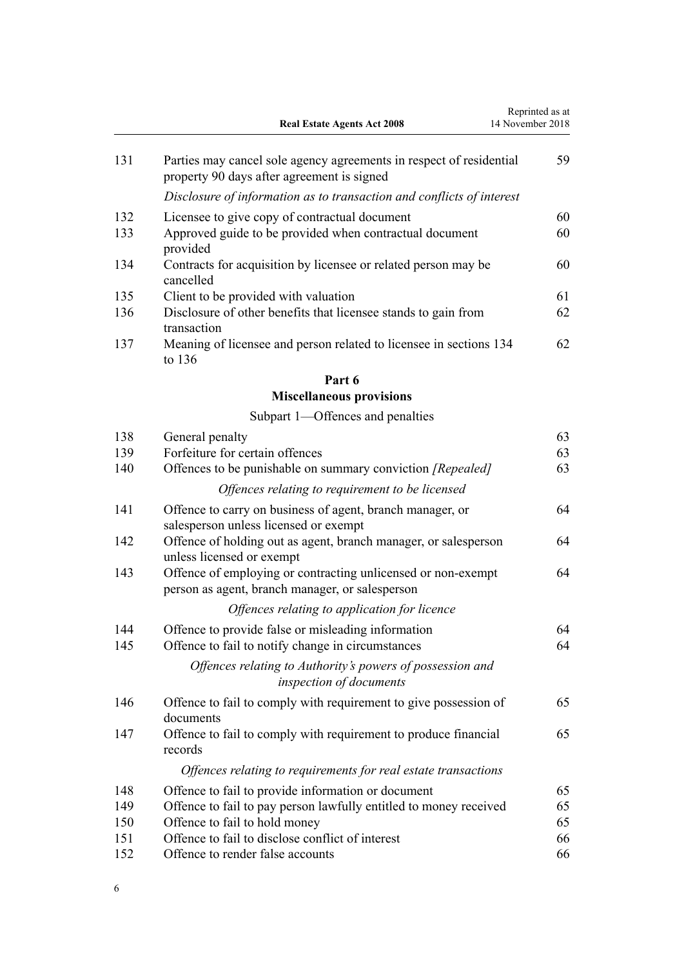|     | <b>Real Estate Agents Act 2008</b>                                                                                | Reprinted as at<br>14 November 2018 |
|-----|-------------------------------------------------------------------------------------------------------------------|-------------------------------------|
| 131 | Parties may cancel sole agency agreements in respect of residential<br>property 90 days after agreement is signed | 59                                  |
|     | Disclosure of information as to transaction and conflicts of interest                                             |                                     |
| 132 | Licensee to give copy of contractual document                                                                     | 60                                  |
| 133 | Approved guide to be provided when contractual document<br>provided                                               | 60                                  |
| 134 | Contracts for acquisition by licensee or related person may be<br>cancelled                                       | 60                                  |
| 135 | Client to be provided with valuation                                                                              | 61                                  |
| 136 | Disclosure of other benefits that licensee stands to gain from<br>transaction                                     | 62                                  |
| 137 | Meaning of licensee and person related to licensee in sections 134<br>to $136$                                    | 62                                  |
|     | Part 6                                                                                                            |                                     |
|     | <b>Miscellaneous provisions</b>                                                                                   |                                     |
|     | Subpart 1—Offences and penalties                                                                                  |                                     |
| 138 | General penalty                                                                                                   | 63                                  |
| 139 | Forfeiture for certain offences                                                                                   | 63                                  |
| 140 | Offences to be punishable on summary conviction [Repealed]                                                        | 63                                  |
|     | Offences relating to requirement to be licensed                                                                   |                                     |
| 141 | Offence to carry on business of agent, branch manager, or<br>salesperson unless licensed or exempt                | 64                                  |
| 142 | Offence of holding out as agent, branch manager, or salesperson<br>unless licensed or exempt                      | 64                                  |
| 143 | Offence of employing or contracting unlicensed or non-exempt<br>person as agent, branch manager, or salesperson   | 64                                  |
|     | Offences relating to application for licence                                                                      |                                     |
| 144 | Offence to provide false or misleading information                                                                | 64                                  |
| 145 | Offence to fail to notify change in circumstances                                                                 | 64                                  |
|     | Offences relating to Authority's powers of possession and<br>inspection of documents                              |                                     |
| 146 | Offence to fail to comply with requirement to give possession of<br>documents                                     | 65                                  |
| 147 | Offence to fail to comply with requirement to produce financial<br>records                                        | 65                                  |
|     | Offences relating to requirements for real estate transactions                                                    |                                     |
| 148 | Offence to fail to provide information or document                                                                | 65                                  |
| 149 | Offence to fail to pay person lawfully entitled to money received                                                 | 65                                  |
| 150 | Offence to fail to hold money                                                                                     | 65                                  |
| 151 | Offence to fail to disclose conflict of interest                                                                  | 66                                  |
| 152 | Offence to render false accounts                                                                                  | 66                                  |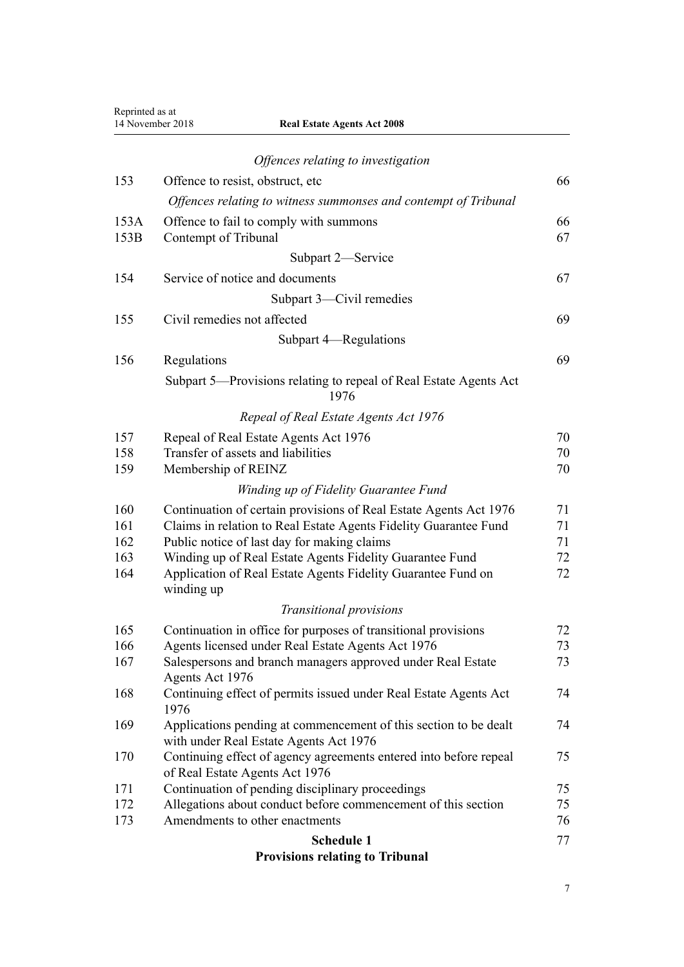| Reprinted as at | 14 November 2018<br><b>Real Estate Agents Act 2008</b>                                                          |          |
|-----------------|-----------------------------------------------------------------------------------------------------------------|----------|
|                 | Offences relating to investigation                                                                              |          |
| 153             | Offence to resist, obstruct, etc.                                                                               | 66       |
|                 | Offences relating to witness summonses and contempt of Tribunal                                                 |          |
| 153A            | Offence to fail to comply with summons                                                                          | 66       |
| 153B            | Contempt of Tribunal                                                                                            | 67       |
|                 | Subpart 2-Service                                                                                               |          |
| 154             | Service of notice and documents                                                                                 | 67       |
|                 | Subpart 3—Civil remedies                                                                                        |          |
| 155             | Civil remedies not affected                                                                                     | 69       |
|                 | Subpart 4—Regulations                                                                                           |          |
| 156             | Regulations                                                                                                     | 69       |
|                 | Subpart 5-Provisions relating to repeal of Real Estate Agents Act<br>1976                                       |          |
|                 | Repeal of Real Estate Agents Act 1976                                                                           |          |
| 157             | Repeal of Real Estate Agents Act 1976                                                                           | 70       |
| 158             | Transfer of assets and liabilities                                                                              | 70       |
| 159             | Membership of REINZ                                                                                             | 70       |
|                 | Winding up of Fidelity Guarantee Fund                                                                           |          |
| 160             | Continuation of certain provisions of Real Estate Agents Act 1976                                               | 71       |
| 161<br>162      | Claims in relation to Real Estate Agents Fidelity Guarantee Fund<br>Public notice of last day for making claims | 71<br>71 |
| 163             | Winding up of Real Estate Agents Fidelity Guarantee Fund                                                        | 72       |
| 164             | Application of Real Estate Agents Fidelity Guarantee Fund on<br>winding up                                      | 72       |
|                 | Transitional provisions                                                                                         |          |
| 165             | Continuation in office for purposes of transitional provisions                                                  | 72       |
| 166             | Agents licensed under Real Estate Agents Act 1976                                                               | 73       |
| 167             | Salespersons and branch managers approved under Real Estate                                                     | 73       |
| 168             | Agents Act 1976<br>Continuing effect of permits issued under Real Estate Agents Act                             | 74       |
|                 | 1976                                                                                                            |          |
| 169             | Applications pending at commencement of this section to be dealt<br>with under Real Estate Agents Act 1976      | 74       |
| 170             | Continuing effect of agency agreements entered into before repeal<br>of Real Estate Agents Act 1976             | 75       |
| 171             | Continuation of pending disciplinary proceedings                                                                | 75       |
| 172<br>173      | Allegations about conduct before commencement of this section<br>Amendments to other enactments                 | 75<br>76 |
|                 |                                                                                                                 | 77       |
|                 | Schedule 1                                                                                                      |          |

#### **[Provisions relating to Tribunal](#page-76-0)**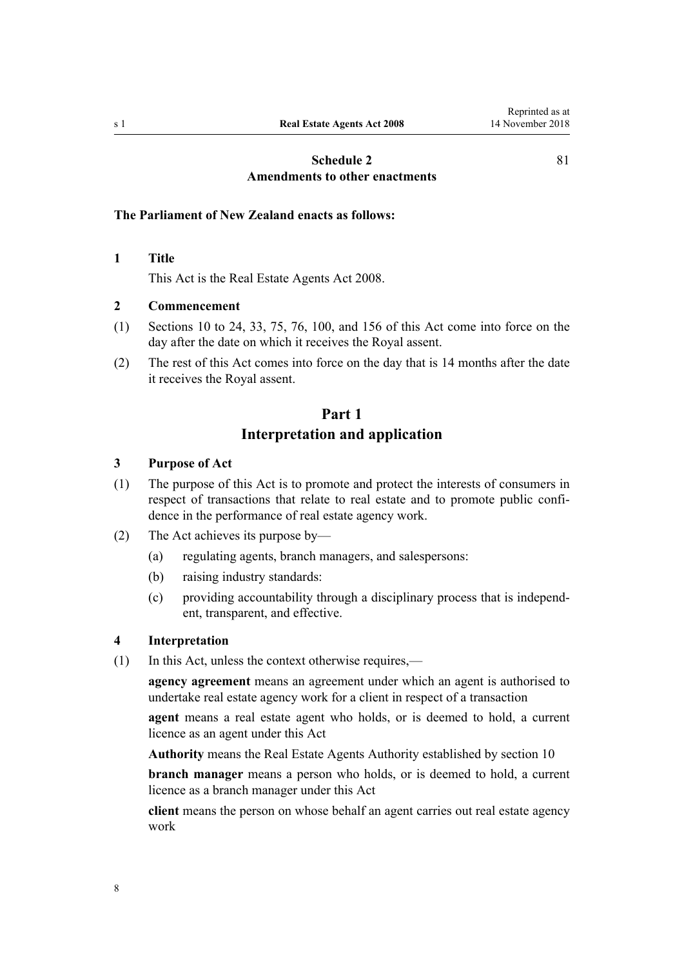[81](#page-80-0)

## **[Schedule 2](#page-80-0) [Amendments to other enactments](#page-80-0)**

#### <span id="page-7-0"></span>**The Parliament of New Zealand enacts as follows:**

**1 Title**

This Act is the Real Estate Agents Act 2008.

#### **2 Commencement**

- (1) [Sections 10](#page-12-0) to 24, [33,](#page-20-0) [75,](#page-36-0) [76,](#page-37-0) [100,](#page-45-0) and [156](#page-68-0) of this Act come into force on the day after the date on which it receives the Royal assent.
- (2) The rest of this Act comes into force on the day that is 14 months after the date it receives the Royal assent.

## **Part 1 Interpretation and application**

#### **3 Purpose of Act**

- (1) The purpose of this Act is to promote and protect the interests of consumers in respect of transactions that relate to real estate and to promote public confidence in the performance of real estate agency work.
- (2) The Act achieves its purpose by—
	- (a) regulating agents, branch managers, and salespersons:
	- (b) raising industry standards:
	- (c) providing accountability through a disciplinary process that is independent, transparent, and effective.

#### **4 Interpretation**

(1) In this Act, unless the context otherwise requires,—

**agency agreement** means an agreement under which an agent is authorised to undertake real estate agency work for a client in respect of a transaction

**agent** means a real estate agent who holds, or is deemed to hold, a current licence as an agent under this Act

**Authority** means the Real Estate Agents Authority established by [section 10](#page-12-0)

**branch manager** means a person who holds, or is deemed to hold, a current licence as a branch manager under this Act

**client** means the person on whose behalf an agent carries out real estate agency work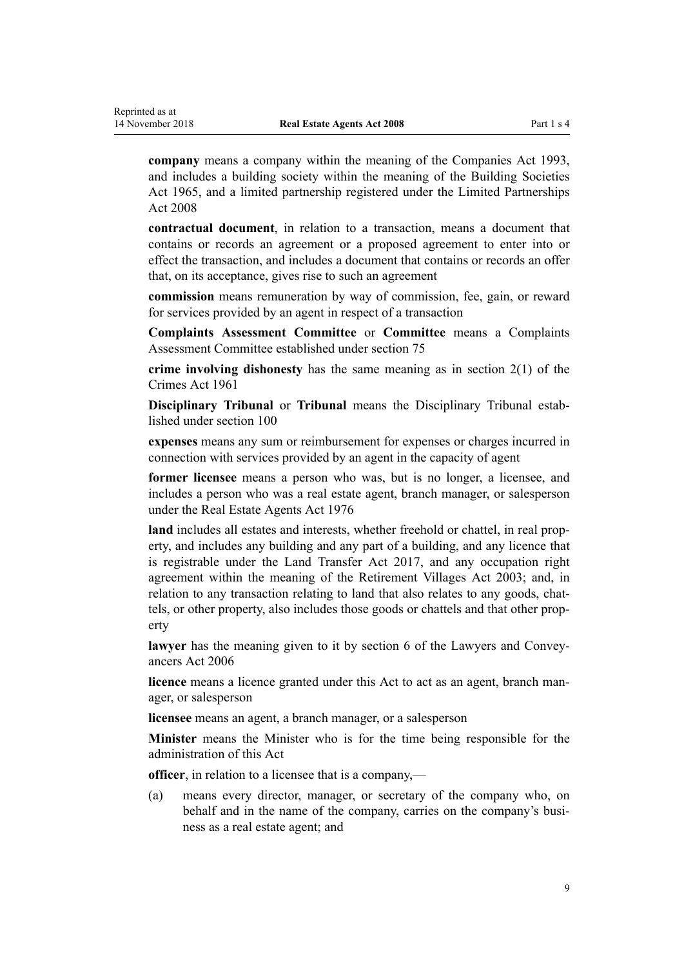**company** means a company within the meaning of the [Companies Act 1993](http://prd-lgnz-nlb.prd.pco.net.nz/pdflink.aspx?id=DLM319569), and includes a building society within the meaning of the [Building Societies](http://prd-lgnz-nlb.prd.pco.net.nz/pdflink.aspx?id=DLM367767) [Act 1965,](http://prd-lgnz-nlb.prd.pco.net.nz/pdflink.aspx?id=DLM367767) and a limited partnership registered under the [Limited Partnerships](http://prd-lgnz-nlb.prd.pco.net.nz/pdflink.aspx?id=DLM1139100) [Act 2008](http://prd-lgnz-nlb.prd.pco.net.nz/pdflink.aspx?id=DLM1139100)

**contractual document**, in relation to a transaction, means a document that contains or records an agreement or a proposed agreement to enter into or effect the transaction, and includes a document that contains or records an offer that, on its acceptance, gives rise to such an agreement

**commission** means remuneration by way of commission, fee, gain, or reward for services provided by an agent in respect of a transaction

**Complaints Assessment Committee** or **Committee** means a Complaints Assessment Committee established under [section 75](#page-36-0)

**crime involving dishonesty** has the same meaning as in [section 2\(1\)](http://prd-lgnz-nlb.prd.pco.net.nz/pdflink.aspx?id=DLM327394) of the Crimes Act 1961

**Disciplinary Tribunal** or **Tribunal** means the Disciplinary Tribunal established under [section 100](#page-45-0)

**expenses** means any sum or reimbursement for expenses or charges incurred in connection with services provided by an agent in the capacity of agent

**former licensee** means a person who was, but is no longer, a licensee, and includes a person who was a real estate agent, branch manager, or salesperson under the [Real Estate Agents Act 1976](http://prd-lgnz-nlb.prd.pco.net.nz/pdflink.aspx?id=DLM437937)

**land** includes all estates and interests, whether freehold or chattel, in real property, and includes any building and any part of a building, and any licence that is registrable under the [Land Transfer Act 2017,](http://prd-lgnz-nlb.prd.pco.net.nz/pdflink.aspx?id=DLM6731002) and any occupation right agreement within the meaning of the [Retirement Villages Act 2003;](http://prd-lgnz-nlb.prd.pco.net.nz/pdflink.aspx?id=DLM220364) and, in relation to any transaction relating to land that also relates to any goods, chattels, or other property, also includes those goods or chattels and that other property

**lawyer** has the meaning given to it by [section 6](http://prd-lgnz-nlb.prd.pco.net.nz/pdflink.aspx?id=DLM364948) of the Lawyers and Conveyancers Act 2006

**licence** means a licence granted under this Act to act as an agent, branch manager, or salesperson

**licensee** means an agent, a branch manager, or a salesperson

**Minister** means the Minister who is for the time being responsible for the administration of this Act

**officer**, in relation to a licensee that is a company,—

(a) means every director, manager, or secretary of the company who, on behalf and in the name of the company, carries on the company's business as a real estate agent; and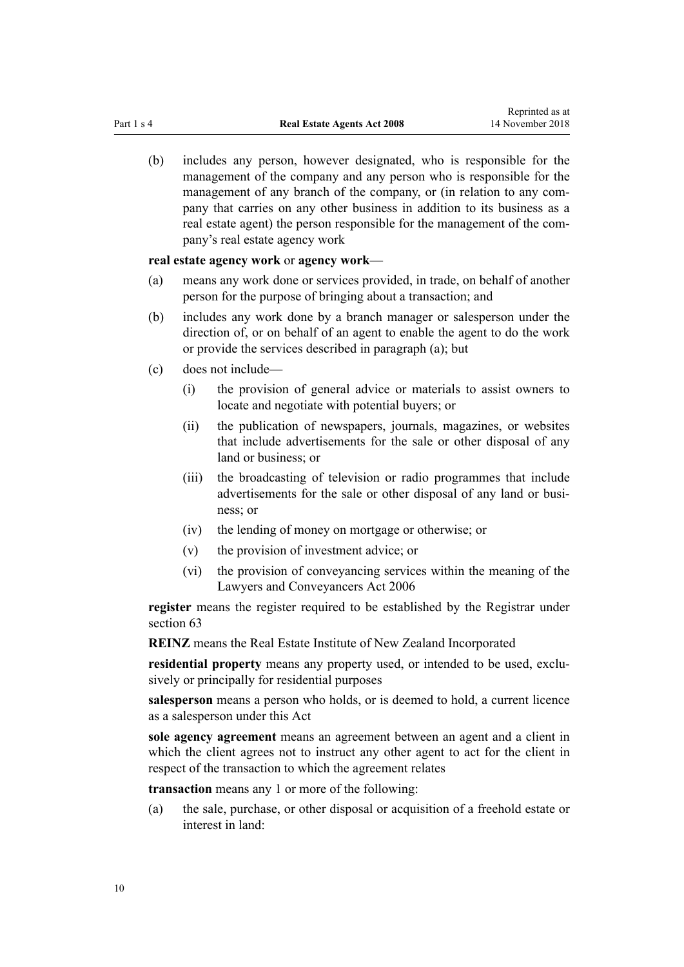(b) includes any person, however designated, who is responsible for the management of the company and any person who is responsible for the management of any branch of the company, or (in relation to any company that carries on any other business in addition to its business as a real estate agent) the person responsible for the management of the company's real estate agency work

#### **real estate agency work** or **agency work**—

- (a) means any work done or services provided, in trade, on behalf of another person for the purpose of bringing about a transaction; and
- (b) includes any work done by a branch manager or salesperson under the direction of, or on behalf of an agent to enable the agent to do the work or provide the services described in paragraph (a); but
- (c) does not include—
	- (i) the provision of general advice or materials to assist owners to locate and negotiate with potential buyers; or
	- (ii) the publication of newspapers, journals, magazines, or websites that include advertisements for the sale or other disposal of any land or business; or
	- (iii) the broadcasting of television or radio programmes that include advertisements for the sale or other disposal of any land or business; or
	- (iv) the lending of money on mortgage or otherwise; or
	- (v) the provision of investment advice; or
	- (vi) the provision of conveyancing services within the meaning of the [Lawyers and Conveyancers Act 2006](http://prd-lgnz-nlb.prd.pco.net.nz/pdflink.aspx?id=DLM364938)

**register** means the register required to be established by the Registrar under [section 63](#page-32-0)

**REINZ** means the Real Estate Institute of New Zealand Incorporated

**residential property** means any property used, or intended to be used, exclusively or principally for residential purposes

**salesperson** means a person who holds, or is deemed to hold, a current licence as a salesperson under this Act

**sole agency agreement** means an agreement between an agent and a client in which the client agrees not to instruct any other agent to act for the client in respect of the transaction to which the agreement relates

**transaction** means any 1 or more of the following:

(a) the sale, purchase, or other disposal or acquisition of a freehold estate or interest in land: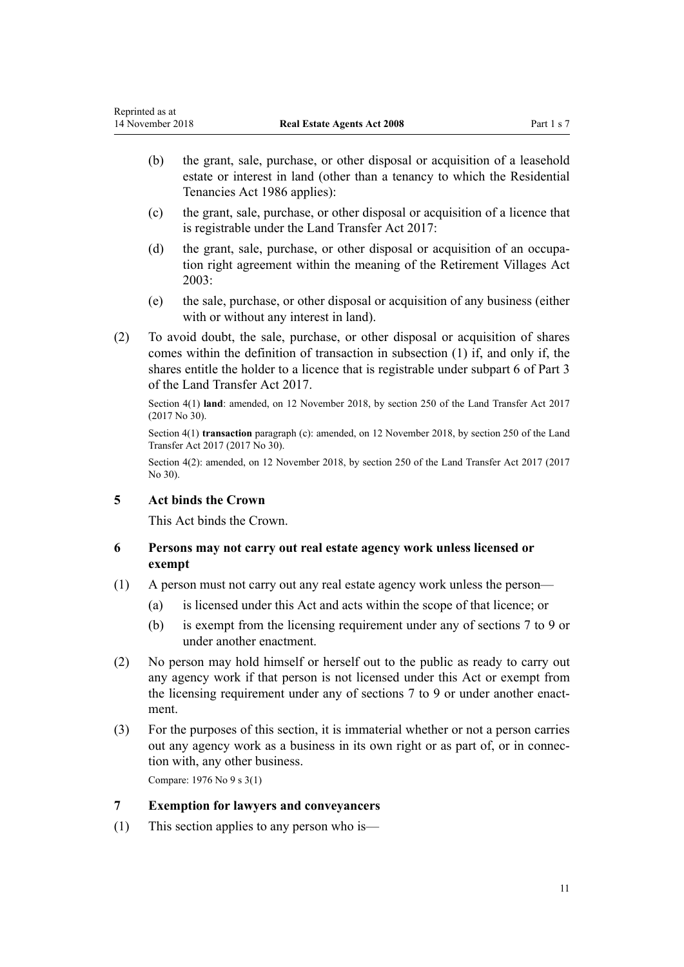- <span id="page-10-0"></span>(b) the grant, sale, purchase, or other disposal or acquisition of a leasehold estate or interest in land (other than a tenancy to which the [Residential](http://prd-lgnz-nlb.prd.pco.net.nz/pdflink.aspx?id=DLM94277) [Tenancies Act 1986](http://prd-lgnz-nlb.prd.pco.net.nz/pdflink.aspx?id=DLM94277) applies):
- (c) the grant, sale, purchase, or other disposal or acquisition of a licence that is registrable under the [Land Transfer Act 2017:](http://prd-lgnz-nlb.prd.pco.net.nz/pdflink.aspx?id=DLM6731002)
- (d) the grant, sale, purchase, or other disposal or acquisition of an occupation right agreement within the meaning of the [Retirement Villages Act](http://prd-lgnz-nlb.prd.pco.net.nz/pdflink.aspx?id=DLM220364) [2003](http://prd-lgnz-nlb.prd.pco.net.nz/pdflink.aspx?id=DLM220364):
- (e) the sale, purchase, or other disposal or acquisition of any business (either with or without any interest in land).
- (2) To avoid doubt, the sale, purchase, or other disposal or acquisition of shares comes within the definition of transaction in subsection (1) if, and only if, the shares entitle the holder to a licence that is registrable under [subpart 6](http://prd-lgnz-nlb.prd.pco.net.nz/pdflink.aspx?id=DLM6731274) of Part 3 of the Land Transfer Act 2017.

Section 4(1) **land**: amended, on 12 November 2018, by [section 250](http://prd-lgnz-nlb.prd.pco.net.nz/pdflink.aspx?id=DLM6731493) of the Land Transfer Act 2017 (2017 No 30).

Section 4(1) **transaction** paragraph (c): amended, on 12 November 2018, by [section 250](http://prd-lgnz-nlb.prd.pco.net.nz/pdflink.aspx?id=DLM6731493) of the Land Transfer Act 2017 (2017 No 30).

Section 4(2): amended, on 12 November 2018, by [section 250](http://prd-lgnz-nlb.prd.pco.net.nz/pdflink.aspx?id=DLM6731493) of the Land Transfer Act 2017 (2017 No 30).

## **5 Act binds the Crown**

This Act binds the Crown.

## **6 Persons may not carry out real estate agency work unless licensed or exempt**

- (1) A person must not carry out any real estate agency work unless the person—
	- (a) is licensed under this Act and acts within the scope of that licence; or
	- (b) is exempt from the licensing requirement under any of sections 7 to 9 or under another enactment.
- (2) No person may hold himself or herself out to the public as ready to carry out any agency work if that person is not licensed under this Act or exempt from the licensing requirement under any of sections 7 to 9 or under another enactment.
- (3) For the purposes of this section, it is immaterial whether or not a person carries out any agency work as a business in its own right or as part of, or in connection with, any other business.

Compare: 1976 No 9 [s 3\(1\)](http://prd-lgnz-nlb.prd.pco.net.nz/pdflink.aspx?id=DLM438106)

## **7 Exemption for lawyers and conveyancers**

(1) This section applies to any person who is—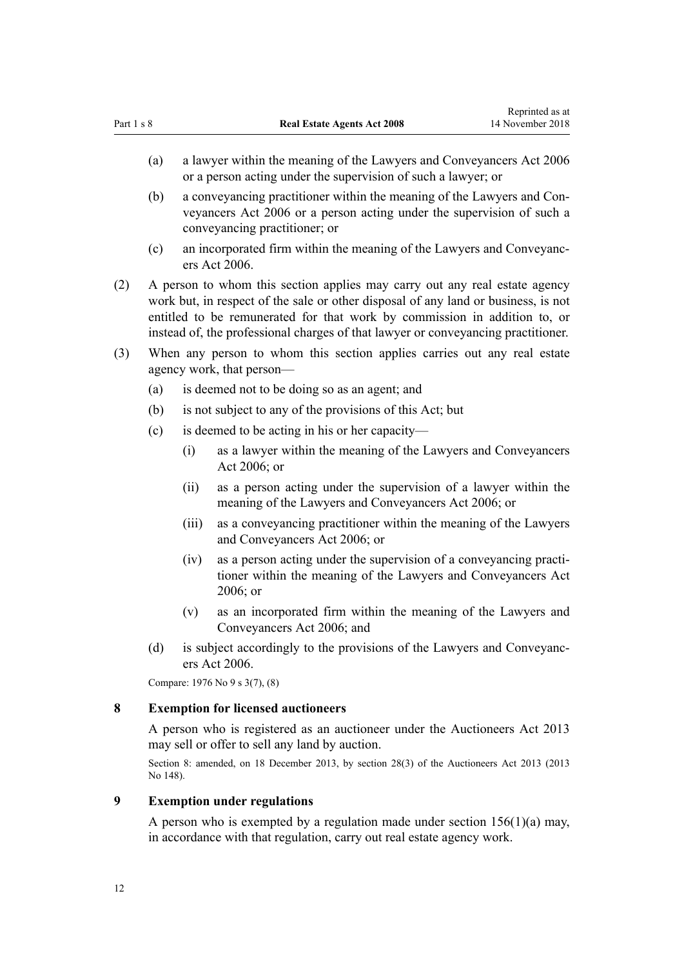- <span id="page-11-0"></span>(b) a conveyancing practitioner within the meaning of the [Lawyers and Con](http://prd-lgnz-nlb.prd.pco.net.nz/pdflink.aspx?id=DLM364938)[veyancers Act 2006](http://prd-lgnz-nlb.prd.pco.net.nz/pdflink.aspx?id=DLM364938) or a person acting under the supervision of such a conveyancing practitioner; or
- (c) an incorporated firm within the meaning of the [Lawyers and Conveyanc](http://prd-lgnz-nlb.prd.pco.net.nz/pdflink.aspx?id=DLM364938)[ers Act 2006.](http://prd-lgnz-nlb.prd.pco.net.nz/pdflink.aspx?id=DLM364938)
- (2) A person to whom this section applies may carry out any real estate agency work but, in respect of the sale or other disposal of any land or business, is not entitled to be remunerated for that work by commission in addition to, or instead of, the professional charges of that lawyer or conveyancing practitioner.
- (3) When any person to whom this section applies carries out any real estate agency work, that person—
	- (a) is deemed not to be doing so as an agent; and
	- (b) is not subject to any of the provisions of this Act; but
	- (c) is deemed to be acting in his or her capacity—
		- (i) as a lawyer within the meaning of the [Lawyers and Conveyancers](http://prd-lgnz-nlb.prd.pco.net.nz/pdflink.aspx?id=DLM364938) [Act 2006;](http://prd-lgnz-nlb.prd.pco.net.nz/pdflink.aspx?id=DLM364938) or
		- (ii) as a person acting under the supervision of a lawyer within the meaning of the [Lawyers and Conveyancers Act 2006;](http://prd-lgnz-nlb.prd.pco.net.nz/pdflink.aspx?id=DLM364938) or
		- (iii) as a conveyancing practitioner within the meaning of the [Lawyers](http://prd-lgnz-nlb.prd.pco.net.nz/pdflink.aspx?id=DLM364938) [and Conveyancers Act 2006](http://prd-lgnz-nlb.prd.pco.net.nz/pdflink.aspx?id=DLM364938); or
		- (iv) as a person acting under the supervision of a conveyancing practitioner within the meaning of the [Lawyers and Conveyancers Act](http://prd-lgnz-nlb.prd.pco.net.nz/pdflink.aspx?id=DLM364938) [2006](http://prd-lgnz-nlb.prd.pco.net.nz/pdflink.aspx?id=DLM364938); or
		- (v) as an incorporated firm within the meaning of the [Lawyers and](http://prd-lgnz-nlb.prd.pco.net.nz/pdflink.aspx?id=DLM364938) [Conveyancers Act 2006;](http://prd-lgnz-nlb.prd.pco.net.nz/pdflink.aspx?id=DLM364938) and
	- (d) is subject accordingly to the provisions of the [Lawyers and Conveyanc](http://prd-lgnz-nlb.prd.pco.net.nz/pdflink.aspx?id=DLM364938)[ers Act 2006.](http://prd-lgnz-nlb.prd.pco.net.nz/pdflink.aspx?id=DLM364938)

Compare: 1976 No 9 [s 3\(7\),](http://prd-lgnz-nlb.prd.pco.net.nz/pdflink.aspx?id=DLM438106) (8)

#### **8 Exemption for licensed auctioneers**

A person who is registered as an auctioneer under the [Auctioneers Act 2013](http://prd-lgnz-nlb.prd.pco.net.nz/pdflink.aspx?id=DLM5788503) may sell or offer to sell any land by auction.

Section 8: amended, on 18 December 2013, by [section 28\(3\)](http://prd-lgnz-nlb.prd.pco.net.nz/pdflink.aspx?id=DLM5788558) of the Auctioneers Act 2013 (2013 No 148).

## **9 Exemption under regulations**

A person who is exempted by a regulation made under section  $156(1)(a)$  may, in accordance with that regulation, carry out real estate agency work.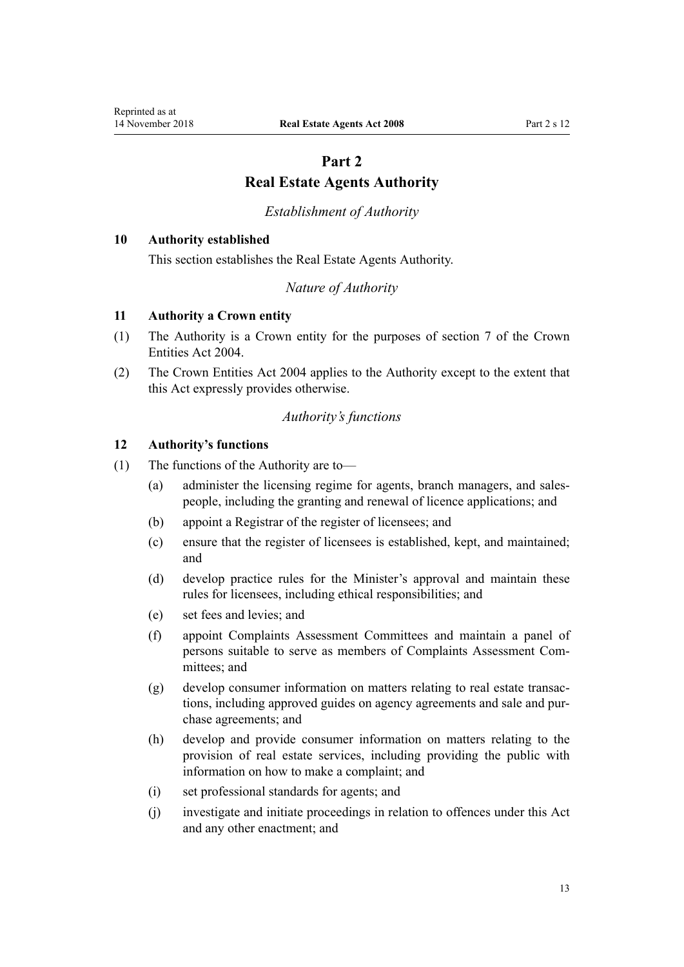## **Part 2 Real Estate Agents Authority**

#### *Establishment of Authority*

#### <span id="page-12-0"></span>**10 Authority established**

This section establishes the Real Estate Agents Authority.

*Nature of Authority*

#### **11 Authority a Crown entity**

- (1) The Authority is a Crown entity for the purposes of [section 7](http://prd-lgnz-nlb.prd.pco.net.nz/pdflink.aspx?id=DLM329641) of the Crown Entities Act 2004.
- (2) The [Crown Entities Act 2004](http://prd-lgnz-nlb.prd.pco.net.nz/pdflink.aspx?id=DLM329630) applies to the Authority except to the extent that this Act expressly provides otherwise.

#### *Authority's functions*

#### **12 Authority's functions**

- (1) The functions of the Authority are to—
	- (a) administer the licensing regime for agents, branch managers, and salespeople, including the granting and renewal of licence applications; and
	- (b) appoint a Registrar of the register of licensees; and
	- (c) ensure that the register of licensees is established, kept, and maintained; and
	- (d) develop practice rules for the Minister's approval and maintain these rules for licensees, including ethical responsibilities; and
	- (e) set fees and levies; and
	- (f) appoint Complaints Assessment Committees and maintain a panel of persons suitable to serve as members of Complaints Assessment Committees; and
	- (g) develop consumer information on matters relating to real estate transactions, including approved guides on agency agreements and sale and purchase agreements; and
	- (h) develop and provide consumer information on matters relating to the provision of real estate services, including providing the public with information on how to make a complaint; and
	- (i) set professional standards for agents; and
	- (j) investigate and initiate proceedings in relation to offences under this Act and any other enactment; and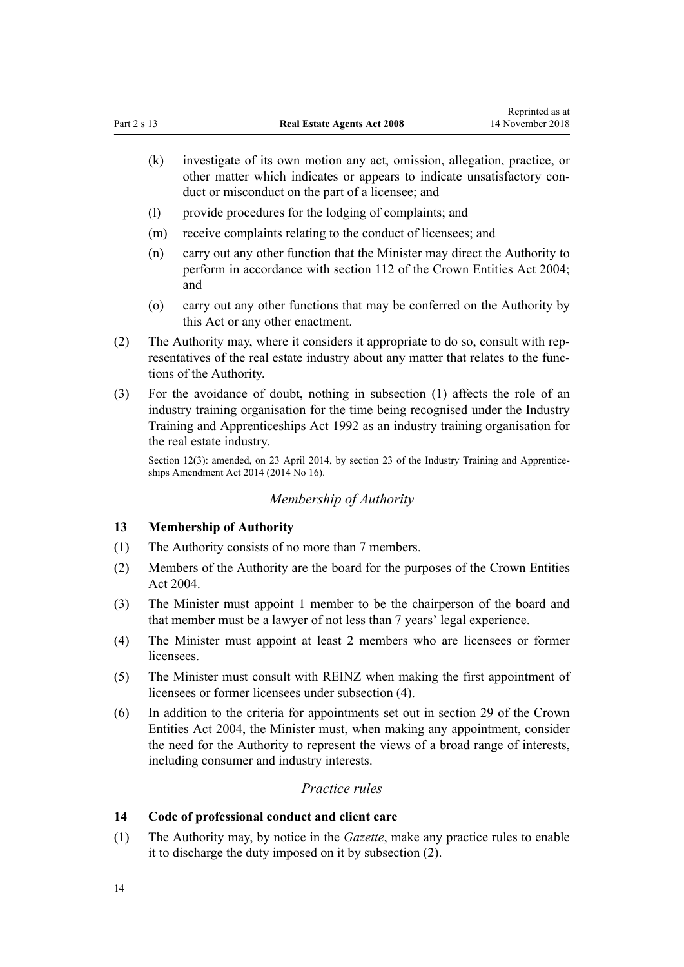- <span id="page-13-0"></span>(k) investigate of its own motion any act, omission, allegation, practice, or other matter which indicates or appears to indicate unsatisfactory conduct or misconduct on the part of a licensee; and
- (l) provide procedures for the lodging of complaints; and
- (m) receive complaints relating to the conduct of licensees; and
- (n) carry out any other function that the Minister may direct the Authority to perform in accordance with [section 112](http://prd-lgnz-nlb.prd.pco.net.nz/pdflink.aspx?id=DLM330360) of the Crown Entities Act 2004; and
- (o) carry out any other functions that may be conferred on the Authority by this Act or any other enactment.
- (2) The Authority may, where it considers it appropriate to do so, consult with representatives of the real estate industry about any matter that relates to the functions of the Authority.
- (3) For the avoidance of doubt, nothing in subsection (1) affects the role of an industry training organisation for the time being recognised under the [Industry](http://prd-lgnz-nlb.prd.pco.net.nz/pdflink.aspx?id=DLM266245) [Training and Apprenticeships Act 1992](http://prd-lgnz-nlb.prd.pco.net.nz/pdflink.aspx?id=DLM266245) as an industry training organisation for the real estate industry.

Section 12(3): amended, on 23 April 2014, by [section 23](http://prd-lgnz-nlb.prd.pco.net.nz/pdflink.aspx?id=DLM5640500) of the Industry Training and Apprenticeships Amendment Act 2014 (2014 No 16).

## *Membership of Authority*

#### **13 Membership of Authority**

- (1) The Authority consists of no more than 7 members.
- (2) Members of the Authority are the board for the purposes of the [Crown Entities](http://prd-lgnz-nlb.prd.pco.net.nz/pdflink.aspx?id=DLM329630) [Act 2004.](http://prd-lgnz-nlb.prd.pco.net.nz/pdflink.aspx?id=DLM329630)
- (3) The Minister must appoint 1 member to be the chairperson of the board and that member must be a lawyer of not less than 7 years' legal experience.
- (4) The Minister must appoint at least 2 members who are licensees or former licensees.
- (5) The Minister must consult with REINZ when making the first appointment of licensees or former licensees under subsection (4).
- (6) In addition to the criteria for appointments set out in [section 29](http://prd-lgnz-nlb.prd.pco.net.nz/pdflink.aspx?id=DLM329955) of the Crown Entities Act 2004, the Minister must, when making any appointment, consider the need for the Authority to represent the views of a broad range of interests, including consumer and industry interests.

#### *Practice rules*

### **14 Code of professional conduct and client care**

(1) The Authority may, by notice in the *Gazette*, make any practice rules to enable it to discharge the duty imposed on it by subsection (2).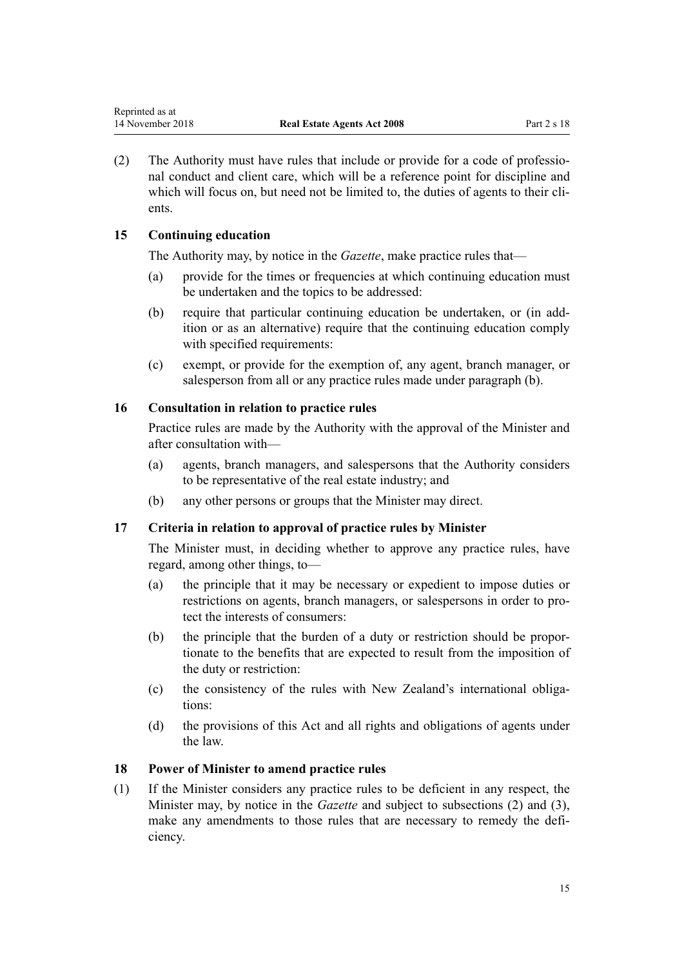<span id="page-14-0"></span>(2) The Authority must have rules that include or provide for a code of professional conduct and client care, which will be a reference point for discipline and which will focus on, but need not be limited to, the duties of agents to their clients.

## **15 Continuing education**

The Authority may, by notice in the *Gazette*, make practice rules that—

- (a) provide for the times or frequencies at which continuing education must be undertaken and the topics to be addressed:
- (b) require that particular continuing education be undertaken, or (in addition or as an alternative) require that the continuing education comply with specified requirements:
- (c) exempt, or provide for the exemption of, any agent, branch manager, or salesperson from all or any practice rules made under paragraph (b).

## **16 Consultation in relation to practice rules**

Practice rules are made by the Authority with the approval of the Minister and after consultation with—

- (a) agents, branch managers, and salespersons that the Authority considers to be representative of the real estate industry; and
- (b) any other persons or groups that the Minister may direct.

## **17 Criteria in relation to approval of practice rules by Minister**

The Minister must, in deciding whether to approve any practice rules, have regard, among other things, to—

- (a) the principle that it may be necessary or expedient to impose duties or restrictions on agents, branch managers, or salespersons in order to protect the interests of consumers:
- (b) the principle that the burden of a duty or restriction should be proportionate to the benefits that are expected to result from the imposition of the duty or restriction:
- (c) the consistency of the rules with New Zealand's international obligations:
- (d) the provisions of this Act and all rights and obligations of agents under the law.

#### **18 Power of Minister to amend practice rules**

(1) If the Minister considers any practice rules to be deficient in any respect, the Minister may, by notice in the *Gazette* and subject to subsections (2) and (3), make any amendments to those rules that are necessary to remedy the deficiency.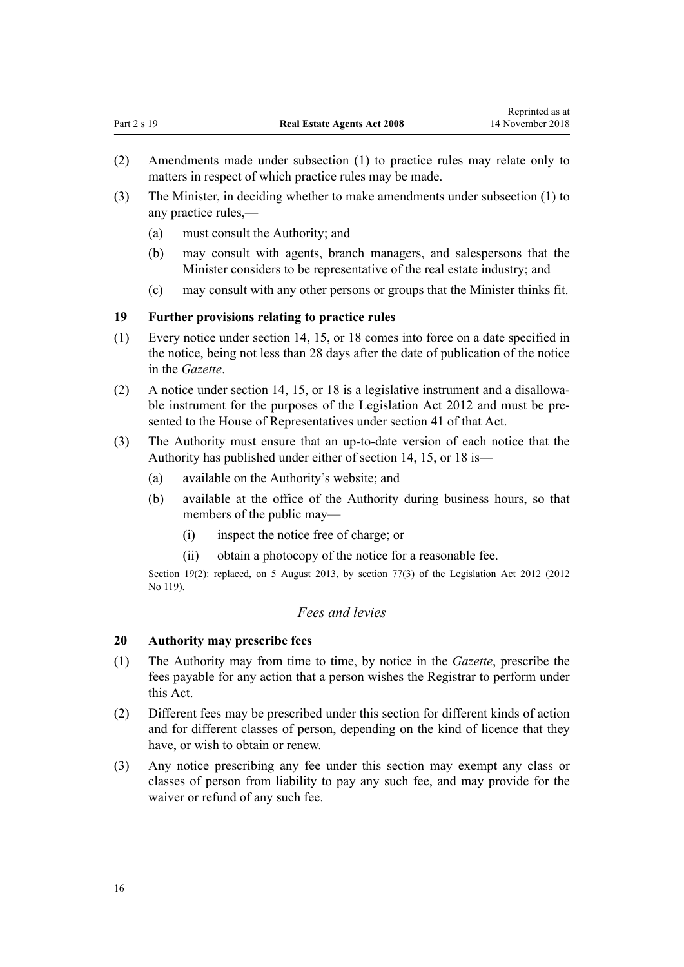- <span id="page-15-0"></span>(3) The Minister, in deciding whether to make amendments under subsection (1) to any practice rules,—
	- (a) must consult the Authority; and
	- (b) may consult with agents, branch managers, and salespersons that the Minister considers to be representative of the real estate industry; and
	- (c) may consult with any other persons or groups that the Minister thinks fit.

## **19 Further provisions relating to practice rules**

- (1) Every notice under [section 14](#page-13-0), [15,](#page-14-0) or [18](#page-14-0) comes into force on a date specified in the notice, being not less than 28 days after the date of publication of the notice in the *Gazette*.
- (2) A notice under [section 14](#page-13-0), [15,](#page-14-0) or [18](#page-14-0) is a legislative instrument and a disallowable instrument for the purposes of the [Legislation Act 2012](http://prd-lgnz-nlb.prd.pco.net.nz/pdflink.aspx?id=DLM2997643) and must be presented to the House of Representatives under [section 41](http://prd-lgnz-nlb.prd.pco.net.nz/pdflink.aspx?id=DLM2998573) of that Act.
- (3) The Authority must ensure that an up-to-date version of each notice that the Authority has published under either of [section 14](#page-13-0), [15](#page-14-0), or [18](#page-14-0) is—
	- (a) available on the Authority's website; and
	- (b) available at the office of the Authority during business hours, so that members of the public may—
		- (i) inspect the notice free of charge; or
		- (ii) obtain a photocopy of the notice for a reasonable fee.

Section 19(2): replaced, on 5 August 2013, by [section 77\(3\)](http://prd-lgnz-nlb.prd.pco.net.nz/pdflink.aspx?id=DLM2998633) of the Legislation Act 2012 (2012) No 119).

## *Fees and levies*

## **20 Authority may prescribe fees**

- (1) The Authority may from time to time, by notice in the *Gazette*, prescribe the fees payable for any action that a person wishes the Registrar to perform under this Act.
- (2) Different fees may be prescribed under this section for different kinds of action and for different classes of person, depending on the kind of licence that they have, or wish to obtain or renew.
- (3) Any notice prescribing any fee under this section may exempt any class or classes of person from liability to pay any such fee, and may provide for the waiver or refund of any such fee.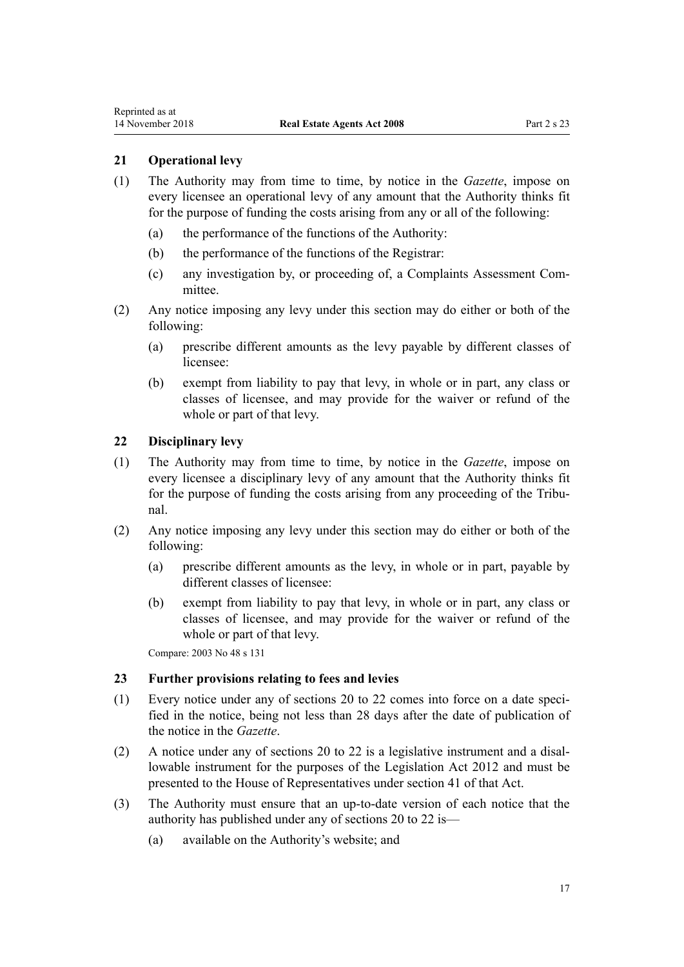## <span id="page-16-0"></span>**21 Operational levy**

- (1) The Authority may from time to time, by notice in the *Gazette*, impose on every licensee an operational levy of any amount that the Authority thinks fit for the purpose of funding the costs arising from any or all of the following:
	- (a) the performance of the functions of the Authority:
	- (b) the performance of the functions of the Registrar:
	- (c) any investigation by, or proceeding of, a Complaints Assessment Committee.
- (2) Any notice imposing any levy under this section may do either or both of the following:
	- (a) prescribe different amounts as the levy payable by different classes of licensee:
	- (b) exempt from liability to pay that levy, in whole or in part, any class or classes of licensee, and may provide for the waiver or refund of the whole or part of that levy.

#### **22 Disciplinary levy**

- (1) The Authority may from time to time, by notice in the *Gazette*, impose on every licensee a disciplinary levy of any amount that the Authority thinks fit for the purpose of funding the costs arising from any proceeding of the Tribunal.
- (2) Any notice imposing any levy under this section may do either or both of the following:
	- (a) prescribe different amounts as the levy, in whole or in part, payable by different classes of licensee:
	- (b) exempt from liability to pay that levy, in whole or in part, any class or classes of licensee, and may provide for the waiver or refund of the whole or part of that levy.

Compare: 2003 No 48 [s 131](http://prd-lgnz-nlb.prd.pco.net.nz/pdflink.aspx?id=DLM204354)

#### **23 Further provisions relating to fees and levies**

- (1) Every notice under any of [sections 20](#page-15-0) to 22 comes into force on a date specified in the notice, being not less than 28 days after the date of publication of the notice in the *Gazette*.
- (2) A notice under any of [sections 20 to 22](#page-15-0) is a legislative instrument and a disallowable instrument for the purposes of the [Legislation Act 2012](http://prd-lgnz-nlb.prd.pco.net.nz/pdflink.aspx?id=DLM2997643) and must be presented to the House of Representatives under [section 41](http://prd-lgnz-nlb.prd.pco.net.nz/pdflink.aspx?id=DLM2998573) of that Act.
- (3) The Authority must ensure that an up-to-date version of each notice that the authority has published under any of [sections 20](#page-15-0) to 22 is—
	- (a) available on the Authority's website; and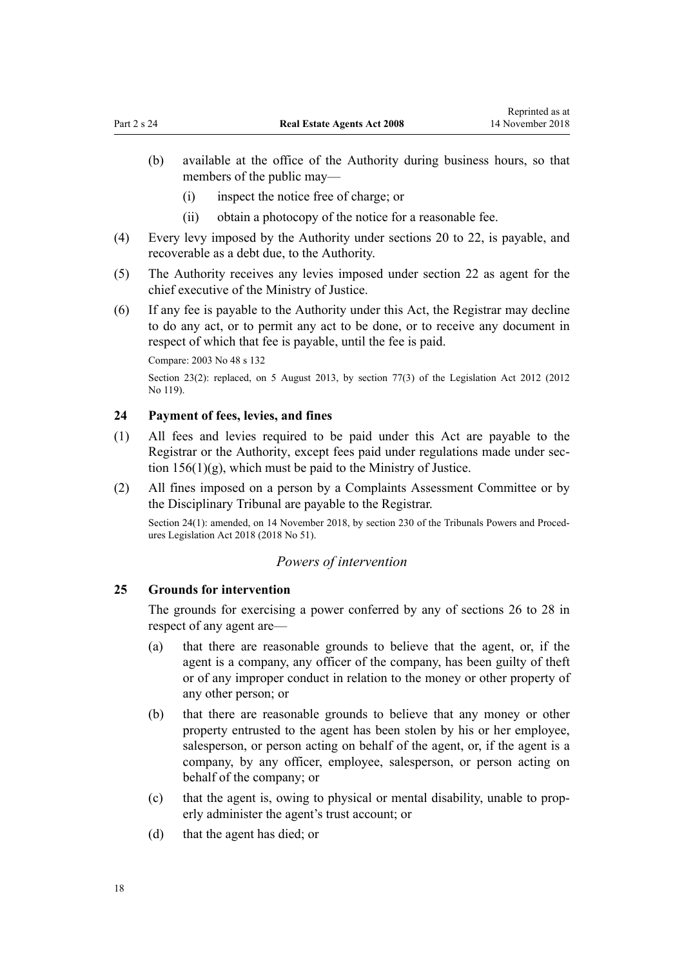- <span id="page-17-0"></span>(b) available at the office of the Authority during business hours, so that members of the public may—
	- (i) inspect the notice free of charge; or
	- (ii) obtain a photocopy of the notice for a reasonable fee.
- (4) Every levy imposed by the Authority under [sections 20](#page-15-0) to 22, is payable, and recoverable as a debt due, to the Authority.
- (5) The Authority receives any levies imposed under [section 22](#page-16-0) as agent for the chief executive of the Ministry of Justice.
- (6) If any fee is payable to the Authority under this Act, the Registrar may decline to do any act, or to permit any act to be done, or to receive any document in respect of which that fee is payable, until the fee is paid.

Compare: 2003 No 48 [s 132](http://prd-lgnz-nlb.prd.pco.net.nz/pdflink.aspx?id=DLM204355)

Section 23(2): replaced, on 5 August 2013, by [section 77\(3\)](http://prd-lgnz-nlb.prd.pco.net.nz/pdflink.aspx?id=DLM2998633) of the Legislation Act 2012 (2012 No 119).

#### **24 Payment of fees, levies, and fines**

- (1) All fees and levies required to be paid under this Act are payable to the Registrar or the Authority, except fees paid under regulations made under [sec](#page-68-0)tion  $156(1)(g)$ , which must be paid to the Ministry of Justice.
- (2) All fines imposed on a person by a Complaints Assessment Committee or by the Disciplinary Tribunal are payable to the Registrar.

Section 24(1): amended, on 14 November 2018, by [section 230](http://prd-lgnz-nlb.prd.pco.net.nz/pdflink.aspx?id=DLM7374535) of the Tribunals Powers and Procedures Legislation Act 2018 (2018 No 51).

#### *Powers of intervention*

#### **25 Grounds for intervention**

The grounds for exercising a power conferred by any of [sections 26](#page-18-0) to 28 in respect of any agent are—

- (a) that there are reasonable grounds to believe that the agent, or, if the agent is a company, any officer of the company, has been guilty of theft or of any improper conduct in relation to the money or other property of any other person; or
- (b) that there are reasonable grounds to believe that any money or other property entrusted to the agent has been stolen by his or her employee, salesperson, or person acting on behalf of the agent, or, if the agent is a company, by any officer, employee, salesperson, or person acting on behalf of the company; or
- (c) that the agent is, owing to physical or mental disability, unable to properly administer the agent's trust account; or
- (d) that the agent has died; or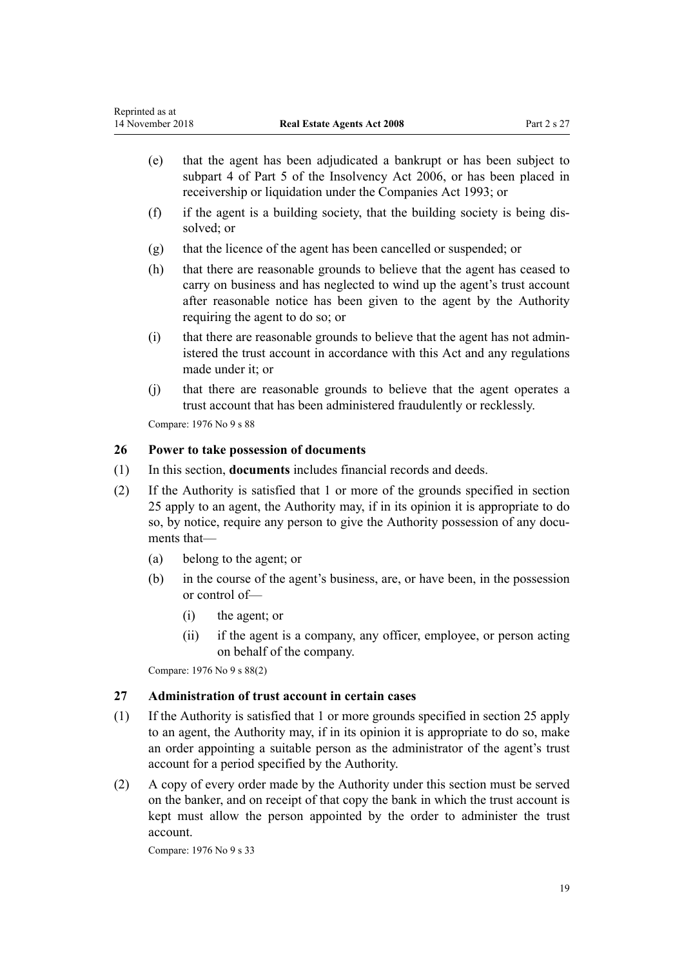- <span id="page-18-0"></span>(e) that the agent has been adjudicated a bankrupt or has been subject to [subpart 4](http://prd-lgnz-nlb.prd.pco.net.nz/pdflink.aspx?id=DLM387707) of Part 5 of the Insolvency Act 2006, or has been placed in receivership or liquidation under the [Companies Act 1993;](http://prd-lgnz-nlb.prd.pco.net.nz/pdflink.aspx?id=DLM319569) or
- (f) if the agent is a building society, that the building society is being dissolved; or
- (g) that the licence of the agent has been cancelled or suspended; or
- (h) that there are reasonable grounds to believe that the agent has ceased to carry on business and has neglected to wind up the agent's trust account after reasonable notice has been given to the agent by the Authority requiring the agent to do so; or
- (i) that there are reasonable grounds to believe that the agent has not administered the trust account in accordance with this Act and any regulations made under it; or
- (j) that there are reasonable grounds to believe that the agent operates a trust account that has been administered fraudulently or recklessly.

Compare: 1976 No 9 [s 88](http://prd-lgnz-nlb.prd.pco.net.nz/pdflink.aspx?id=DLM438588)

## **26 Power to take possession of documents**

- (1) In this section, **documents** includes financial records and deeds.
- (2) If the Authority is satisfied that 1 or more of the grounds specified in [section](#page-17-0) [25](#page-17-0) apply to an agent, the Authority may, if in its opinion it is appropriate to do so, by notice, require any person to give the Authority possession of any documents that—
	- (a) belong to the agent; or
	- (b) in the course of the agent's business, are, or have been, in the possession or control of—
		- (i) the agent; or
		- (ii) if the agent is a company, any officer, employee, or person acting on behalf of the company.

Compare: 1976 No 9 [s 88\(2\)](http://prd-lgnz-nlb.prd.pco.net.nz/pdflink.aspx?id=DLM438588)

#### **27 Administration of trust account in certain cases**

- (1) If the Authority is satisfied that 1 or more grounds specified in [section 25](#page-17-0) apply to an agent, the Authority may, if in its opinion it is appropriate to do so, make an order appointing a suitable person as the administrator of the agent's trust account for a period specified by the Authority.
- (2) A copy of every order made by the Authority under this section must be served on the banker, and on receipt of that copy the bank in which the trust account is kept must allow the person appointed by the order to administer the trust account.

Compare: 1976 No 9 [s 33](http://prd-lgnz-nlb.prd.pco.net.nz/pdflink.aspx?id=DLM438257)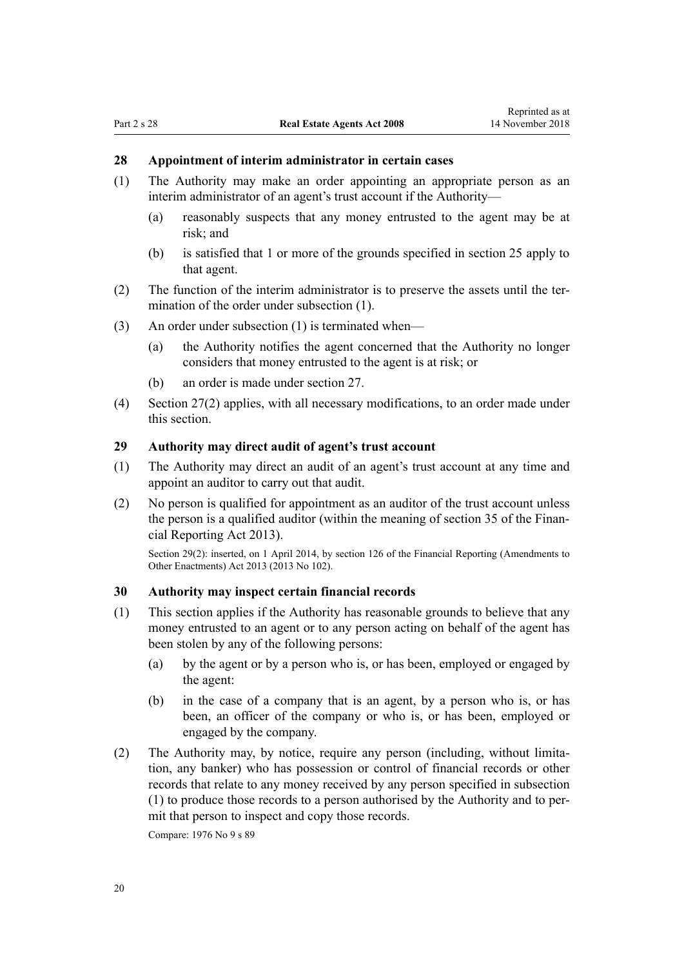## <span id="page-19-0"></span>**28 Appointment of interim administrator in certain cases**

- (1) The Authority may make an order appointing an appropriate person as an interim administrator of an agent's trust account if the Authority—
	- (a) reasonably suspects that any money entrusted to the agent may be at risk; and
	- (b) is satisfied that 1 or more of the grounds specified in [section 25](#page-17-0) apply to that agent.
- (2) The function of the interim administrator is to preserve the assets until the termination of the order under subsection (1).
- (3) An order under subsection (1) is terminated when—
	- (a) the Authority notifies the agent concerned that the Authority no longer considers that money entrusted to the agent is at risk; or
	- (b) an order is made under [section 27](#page-18-0).
- (4) [Section 27\(2\)](#page-18-0) applies, with all necessary modifications, to an order made under this section.

## **29 Authority may direct audit of agent's trust account**

- (1) The Authority may direct an audit of an agent's trust account at any time and appoint an auditor to carry out that audit.
- (2) No person is qualified for appointment as an auditor of the trust account unless the person is a qualified auditor (within the meaning of [section 35](http://prd-lgnz-nlb.prd.pco.net.nz/pdflink.aspx?id=DLM4632944) of the Financial Reporting Act 2013).

Section 29(2): inserted, on 1 April 2014, by [section 126](http://prd-lgnz-nlb.prd.pco.net.nz/pdflink.aspx?id=DLM5740665) of the Financial Reporting (Amendments to Other Enactments) Act 2013 (2013 No 102).

### **30 Authority may inspect certain financial records**

- (1) This section applies if the Authority has reasonable grounds to believe that any money entrusted to an agent or to any person acting on behalf of the agent has been stolen by any of the following persons:
	- (a) by the agent or by a person who is, or has been, employed or engaged by the agent:
	- (b) in the case of a company that is an agent, by a person who is, or has been, an officer of the company or who is, or has been, employed or engaged by the company.
- (2) The Authority may, by notice, require any person (including, without limitation, any banker) who has possession or control of financial records or other records that relate to any money received by any person specified in subsection (1) to produce those records to a person authorised by the Authority and to permit that person to inspect and copy those records.

Compare: 1976 No 9 [s 89](http://prd-lgnz-nlb.prd.pco.net.nz/pdflink.aspx?id=DLM438595)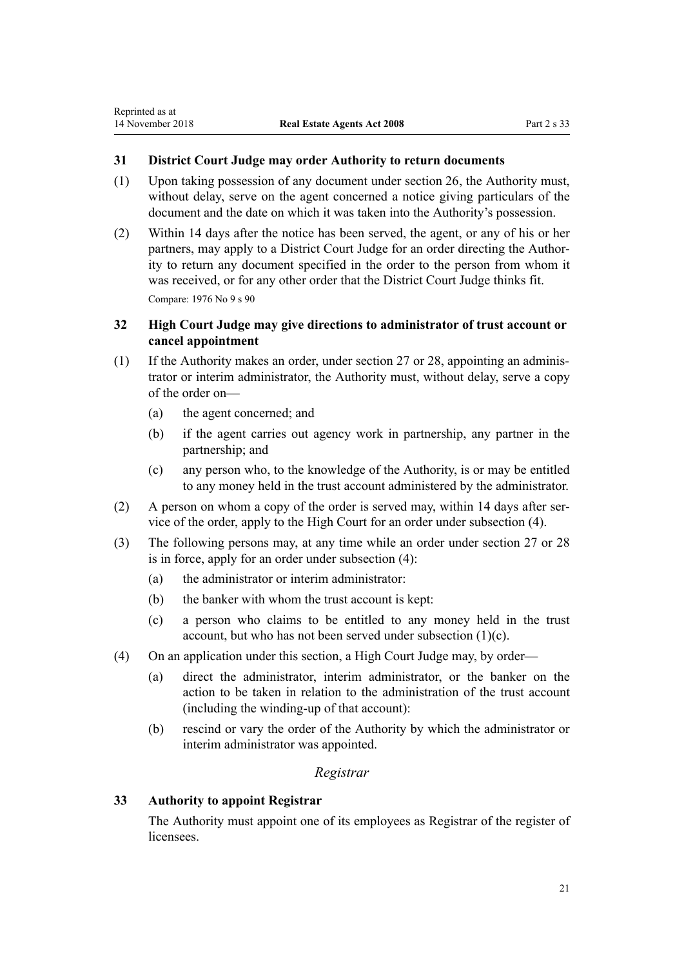### <span id="page-20-0"></span>**31 District Court Judge may order Authority to return documents**

- (1) Upon taking possession of any document under [section 26,](#page-18-0) the Authority must, without delay, serve on the agent concerned a notice giving particulars of the document and the date on which it was taken into the Authority's possession.
- (2) Within 14 days after the notice has been served, the agent, or any of his or her partners, may apply to a District Court Judge for an order directing the Authority to return any document specified in the order to the person from whom it was received, or for any other order that the District Court Judge thinks fit. Compare: 1976 No 9 [s 90](http://prd-lgnz-nlb.prd.pco.net.nz/pdflink.aspx?id=DLM438599)

## **32 High Court Judge may give directions to administrator of trust account or cancel appointment**

- (1) If the Authority makes an order, under [section 27](#page-18-0) or [28,](#page-19-0) appointing an administrator or interim administrator, the Authority must, without delay, serve a copy of the order on—
	- (a) the agent concerned; and
	- (b) if the agent carries out agency work in partnership, any partner in the partnership; and
	- (c) any person who, to the knowledge of the Authority, is or may be entitled to any money held in the trust account administered by the administrator.
- (2) A person on whom a copy of the order is served may, within 14 days after service of the order, apply to the High Court for an order under subsection (4).
- (3) The following persons may, at any time while an order under [section 27](#page-18-0) or [28](#page-19-0) is in force, apply for an order under subsection (4):
	- (a) the administrator or interim administrator:
	- (b) the banker with whom the trust account is kept:
	- (c) a person who claims to be entitled to any money held in the trust account, but who has not been served under subsection (1)(c).
- (4) On an application under this section, a High Court Judge may, by order—
	- (a) direct the administrator, interim administrator, or the banker on the action to be taken in relation to the administration of the trust account (including the winding-up of that account):
	- (b) rescind or vary the order of the Authority by which the administrator or interim administrator was appointed.

## *Registrar*

## **33 Authority to appoint Registrar**

The Authority must appoint one of its employees as Registrar of the register of licensees.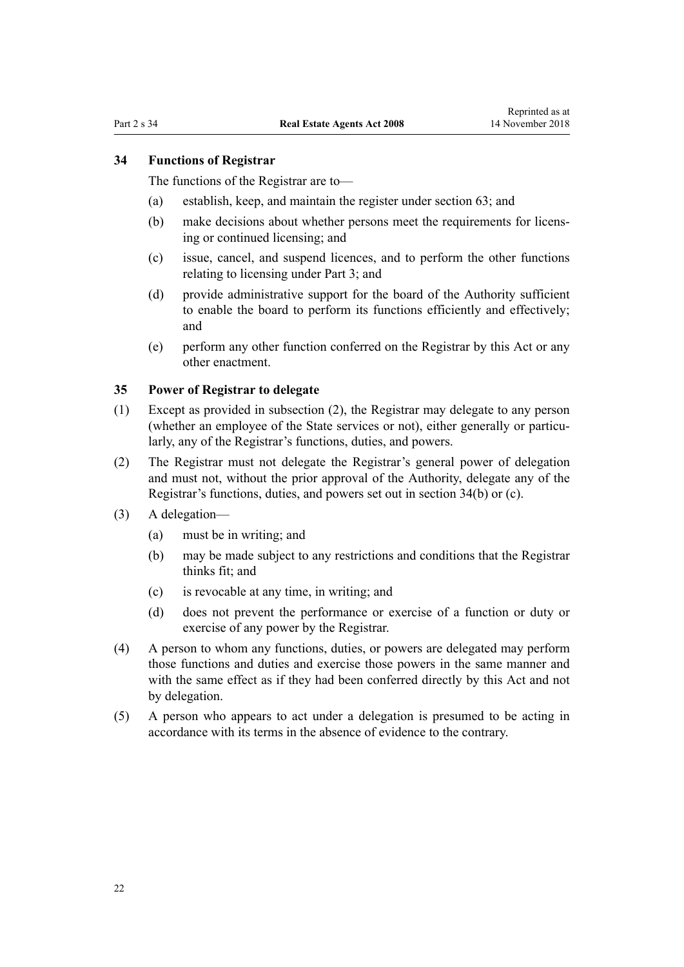#### <span id="page-21-0"></span>**34 Functions of Registrar**

The functions of the Registrar are to—

- (a) establish, keep, and maintain the register under [section 63;](#page-32-0) and
- (b) make decisions about whether persons meet the requirements for licensing or continued licensing; and
- (c) issue, cancel, and suspend licences, and to perform the other functions relating to licensing under [Part 3;](#page-22-0) and
- (d) provide administrative support for the board of the Authority sufficient to enable the board to perform its functions efficiently and effectively; and
- (e) perform any other function conferred on the Registrar by this Act or any other enactment.

#### **35 Power of Registrar to delegate**

- (1) Except as provided in subsection (2), the Registrar may delegate to any person (whether an employee of the State services or not), either generally or particularly, any of the Registrar's functions, duties, and powers.
- (2) The Registrar must not delegate the Registrar's general power of delegation and must not, without the prior approval of the Authority, delegate any of the Registrar's functions, duties, and powers set out in section 34(b) or (c).
- (3) A delegation—
	- (a) must be in writing; and
	- (b) may be made subject to any restrictions and conditions that the Registrar thinks fit; and
	- (c) is revocable at any time, in writing; and
	- (d) does not prevent the performance or exercise of a function or duty or exercise of any power by the Registrar.
- (4) A person to whom any functions, duties, or powers are delegated may perform those functions and duties and exercise those powers in the same manner and with the same effect as if they had been conferred directly by this Act and not by delegation.
- (5) A person who appears to act under a delegation is presumed to be acting in accordance with its terms in the absence of evidence to the contrary.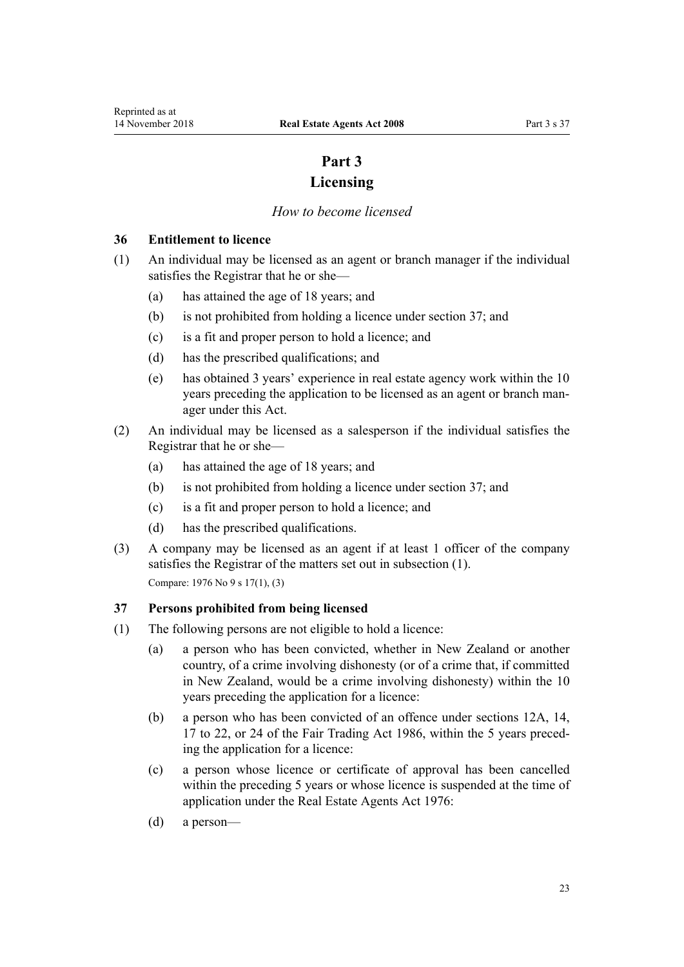## **Part 3 Licensing**

### *How to become licensed*

### <span id="page-22-0"></span>**36 Entitlement to licence**

- (1) An individual may be licensed as an agent or branch manager if the individual satisfies the Registrar that he or she—
	- (a) has attained the age of 18 years; and
	- (b) is not prohibited from holding a licence under section 37; and
	- (c) is a fit and proper person to hold a licence; and
	- (d) has the prescribed qualifications; and
	- (e) has obtained 3 years' experience in real estate agency work within the 10 years preceding the application to be licensed as an agent or branch manager under this Act.
- (2) An individual may be licensed as a salesperson if the individual satisfies the Registrar that he or she—
	- (a) has attained the age of 18 years; and
	- (b) is not prohibited from holding a licence under section 37; and
	- (c) is a fit and proper person to hold a licence; and
	- (d) has the prescribed qualifications.
- (3) A company may be licensed as an agent if at least 1 officer of the company satisfies the Registrar of the matters set out in subsection (1). Compare: 1976 No 9 [s 17\(1\)](http://prd-lgnz-nlb.prd.pco.net.nz/pdflink.aspx?id=DLM438177), (3)

## **37 Persons prohibited from being licensed**

- (1) The following persons are not eligible to hold a licence:
	- (a) a person who has been convicted, whether in New Zealand or another country, of a crime involving dishonesty (or of a crime that, if committed in New Zealand, would be a crime involving dishonesty) within the 10 years preceding the application for a licence:
	- (b) a person who has been convicted of an offence under sections [12A](http://prd-lgnz-nlb.prd.pco.net.nz/pdflink.aspx?id=DLM6156605), [14](http://prd-lgnz-nlb.prd.pco.net.nz/pdflink.aspx?id=DLM96911), [17](http://prd-lgnz-nlb.prd.pco.net.nz/pdflink.aspx?id=DLM96942) to 22, or [24](http://prd-lgnz-nlb.prd.pco.net.nz/pdflink.aspx?id=DLM96950) of the Fair Trading Act 1986, within the 5 years preceding the application for a licence:
	- (c) a person whose licence or certificate of approval has been cancelled within the preceding 5 years or whose licence is suspended at the time of application under the [Real Estate Agents Act 1976](http://prd-lgnz-nlb.prd.pco.net.nz/pdflink.aspx?id=DLM437937):
	- (d) a person—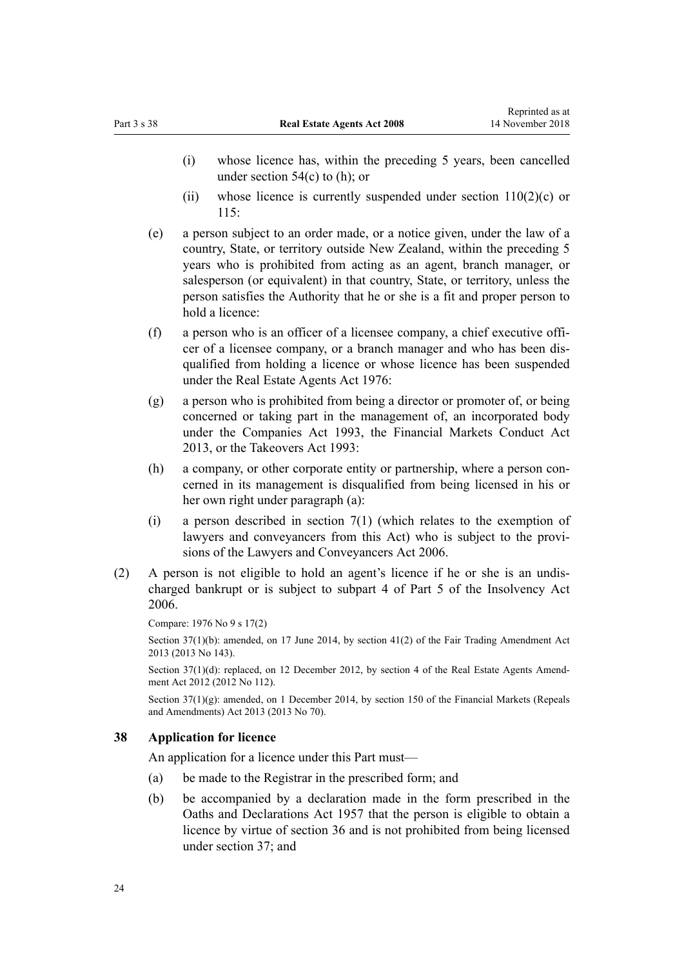- <span id="page-23-0"></span>(i) whose licence has, within the preceding 5 years, been cancelled under section  $54(c)$  to (h); or
- (ii) whose licence is currently suspended under [section 110\(2\)\(c\)](#page-48-0) or [115](#page-51-0):
- (e) a person subject to an order made, or a notice given, under the law of a country, State, or territory outside New Zealand, within the preceding 5 years who is prohibited from acting as an agent, branch manager, or salesperson (or equivalent) in that country, State, or territory, unless the person satisfies the Authority that he or she is a fit and proper person to hold a licence:
- (f) a person who is an officer of a licensee company, a chief executive officer of a licensee company, or a branch manager and who has been disqualified from holding a licence or whose licence has been suspended under the [Real Estate Agents Act 1976](http://prd-lgnz-nlb.prd.pco.net.nz/pdflink.aspx?id=DLM437937):
- (g) a person who is prohibited from being a director or promoter of, or being concerned or taking part in the management of, an incorporated body under the [Companies Act 1993](http://prd-lgnz-nlb.prd.pco.net.nz/pdflink.aspx?id=DLM319569), the [Financial Markets Conduct Act](http://prd-lgnz-nlb.prd.pco.net.nz/pdflink.aspx?id=DLM4090503) [2013](http://prd-lgnz-nlb.prd.pco.net.nz/pdflink.aspx?id=DLM4090503), or the [Takeovers Act 1993:](http://prd-lgnz-nlb.prd.pco.net.nz/pdflink.aspx?id=DLM325508)
- (h) a company, or other corporate entity or partnership, where a person concerned in its management is disqualified from being licensed in his or her own right under paragraph (a):
- (i) a person described in [section 7\(1\)](#page-10-0) (which relates to the exemption of lawyers and conveyancers from this Act) who is subject to the provisions of the [Lawyers and Conveyancers Act 2006.](http://prd-lgnz-nlb.prd.pco.net.nz/pdflink.aspx?id=DLM364938)
- (2) A person is not eligible to hold an agent's licence if he or she is an undischarged bankrupt or is subject to [subpart 4](http://prd-lgnz-nlb.prd.pco.net.nz/pdflink.aspx?id=DLM387707) of Part 5 of the Insolvency Act 2006.

Compare: 1976 No 9 [s 17\(2\)](http://prd-lgnz-nlb.prd.pco.net.nz/pdflink.aspx?id=DLM438177)

Section 37(1)(b): amended, on 17 June 2014, by [section 41\(2\)](http://prd-lgnz-nlb.prd.pco.net.nz/pdflink.aspx?id=DLM3673107) of the Fair Trading Amendment Act 2013 (2013 No 143).

Section 37(1)(d): replaced, on 12 December 2012, by [section 4](http://prd-lgnz-nlb.prd.pco.net.nz/pdflink.aspx?id=DLM4991112) of the Real Estate Agents Amendment Act 2012 (2012 No 112).

Section 37(1)(g): amended, on 1 December 2014, by [section 150](http://prd-lgnz-nlb.prd.pco.net.nz/pdflink.aspx?id=DLM5561603) of the Financial Markets (Repeals and Amendments) Act 2013 (2013 No 70).

#### **38 Application for licence**

An application for a licence under this Part must—

- (a) be made to the Registrar in the prescribed form; and
- (b) be accompanied by a declaration made in the form prescribed in the [Oaths and Declarations Act 1957](http://prd-lgnz-nlb.prd.pco.net.nz/pdflink.aspx?id=DLM314552) that the person is eligible to obtain a licence by virtue of [section 36](#page-22-0) and is not prohibited from being licensed under [section 37](#page-22-0); and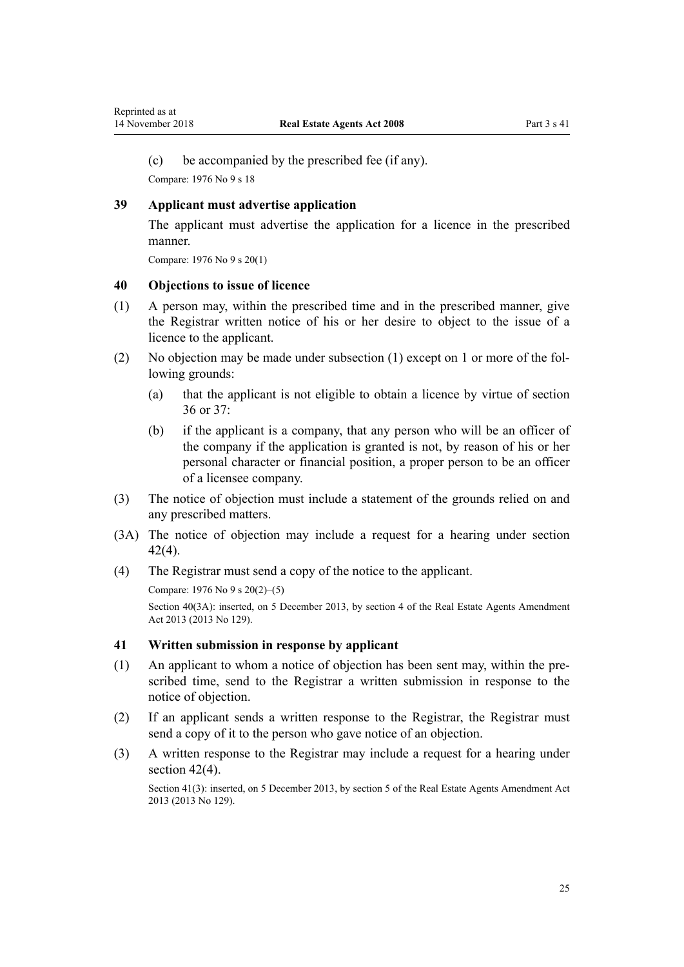<span id="page-24-0"></span>(c) be accompanied by the prescribed fee (if any).

Compare: 1976 No 9 [s 18](http://prd-lgnz-nlb.prd.pco.net.nz/pdflink.aspx?id=DLM438187)

#### **39 Applicant must advertise application**

The applicant must advertise the application for a licence in the prescribed manner.

Compare: 1976 No 9 [s 20\(1\)](http://prd-lgnz-nlb.prd.pco.net.nz/pdflink.aspx?id=DLM438195)

#### **40 Objections to issue of licence**

- (1) A person may, within the prescribed time and in the prescribed manner, give the Registrar written notice of his or her desire to object to the issue of a licence to the applicant.
- (2) No objection may be made under subsection (1) except on 1 or more of the following grounds:
	- (a) that the applicant is not eligible to obtain a licence by virtue of [section](#page-22-0) [36](#page-22-0) or [37:](#page-22-0)
	- (b) if the applicant is a company, that any person who will be an officer of the company if the application is granted is not, by reason of his or her personal character or financial position, a proper person to be an officer of a licensee company.
- (3) The notice of objection must include a statement of the grounds relied on and any prescribed matters.
- (3A) The notice of objection may include a request for a hearing under [section](#page-25-0) [42\(4\)](#page-25-0).
- (4) The Registrar must send a copy of the notice to the applicant.

Compare: 1976 No 9 [s 20\(2\)–\(5\)](http://prd-lgnz-nlb.prd.pco.net.nz/pdflink.aspx?id=DLM438195)

Section 40(3A): inserted, on 5 December 2013, by [section 4](http://prd-lgnz-nlb.prd.pco.net.nz/pdflink.aspx?id=DLM5624108) of the Real Estate Agents Amendment Act 2013 (2013 No 129).

#### **41 Written submission in response by applicant**

- (1) An applicant to whom a notice of objection has been sent may, within the prescribed time, send to the Registrar a written submission in response to the notice of objection.
- (2) If an applicant sends a written response to the Registrar, the Registrar must send a copy of it to the person who gave notice of an objection.
- (3) A written response to the Registrar may include a request for a hearing under [section 42\(4\).](#page-25-0)

Section 41(3): inserted, on 5 December 2013, by [section 5](http://prd-lgnz-nlb.prd.pco.net.nz/pdflink.aspx?id=DLM5149018) of the Real Estate Agents Amendment Act 2013 (2013 No 129).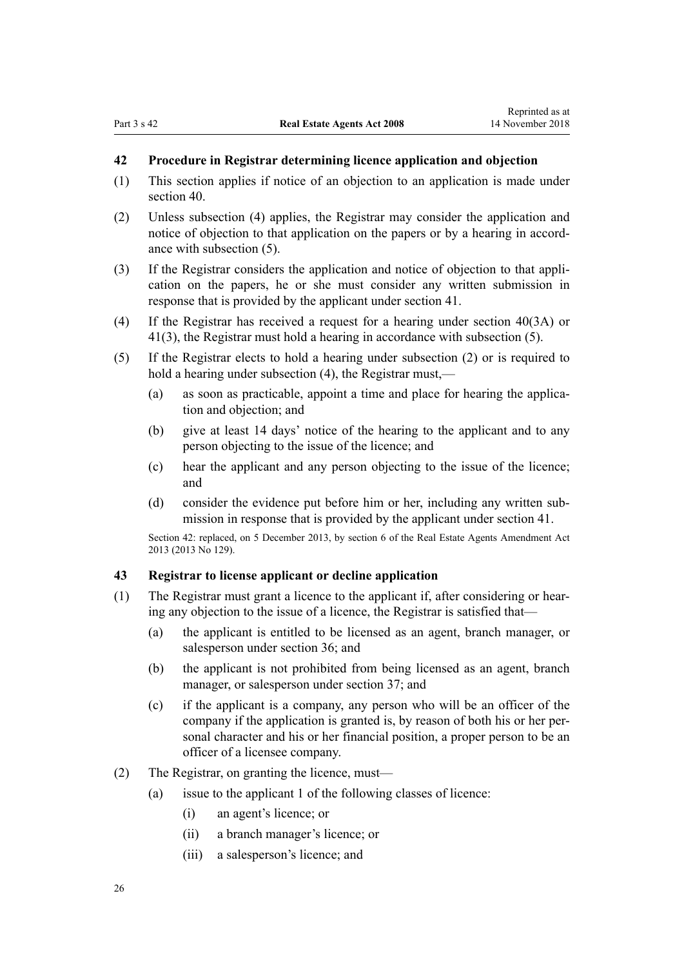## <span id="page-25-0"></span>**42 Procedure in Registrar determining licence application and objection**

- (1) This section applies if notice of an objection to an application is made under [section 40](#page-24-0).
- (2) Unless subsection (4) applies, the Registrar may consider the application and notice of objection to that application on the papers or by a hearing in accordance with subsection (5).
- (3) If the Registrar considers the application and notice of objection to that application on the papers, he or she must consider any written submission in response that is provided by the applicant under [section 41](#page-24-0).
- (4) If the Registrar has received a request for a hearing under [section 40\(3A\)](#page-24-0) or [41\(3\)](#page-24-0), the Registrar must hold a hearing in accordance with subsection (5).
- (5) If the Registrar elects to hold a hearing under subsection (2) or is required to hold a hearing under subsection (4), the Registrar must,—
	- (a) as soon as practicable, appoint a time and place for hearing the application and objection; and
	- (b) give at least 14 days' notice of the hearing to the applicant and to any person objecting to the issue of the licence; and
	- (c) hear the applicant and any person objecting to the issue of the licence; and
	- (d) consider the evidence put before him or her, including any written submission in response that is provided by the applicant under [section 41.](#page-24-0)

Section 42: replaced, on 5 December 2013, by [section 6](http://prd-lgnz-nlb.prd.pco.net.nz/pdflink.aspx?id=DLM5624110) of the Real Estate Agents Amendment Act 2013 (2013 No 129).

#### **43 Registrar to license applicant or decline application**

- (1) The Registrar must grant a licence to the applicant if, after considering or hearing any objection to the issue of a licence, the Registrar is satisfied that—
	- (a) the applicant is entitled to be licensed as an agent, branch manager, or salesperson under [section 36](#page-22-0); and
	- (b) the applicant is not prohibited from being licensed as an agent, branch manager, or salesperson under [section 37](#page-22-0); and
	- (c) if the applicant is a company, any person who will be an officer of the company if the application is granted is, by reason of both his or her personal character and his or her financial position, a proper person to be an officer of a licensee company.
- (2) The Registrar, on granting the licence, must—
	- (a) issue to the applicant 1 of the following classes of licence:
		- (i) an agent's licence; or
		- (ii) a branch manager's licence; or
		- (iii) a salesperson's licence; and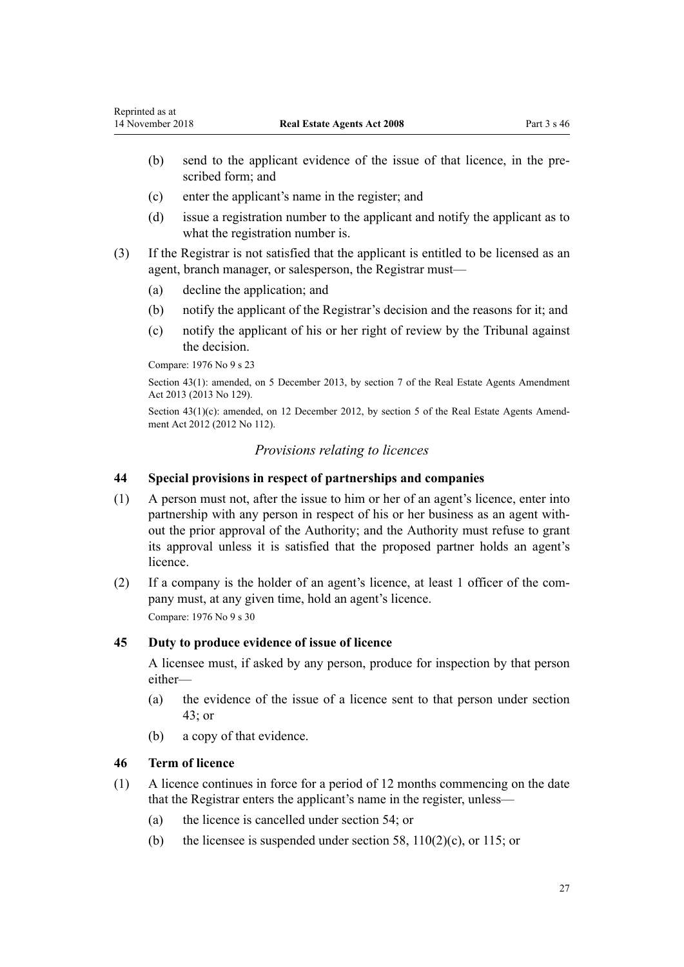- <span id="page-26-0"></span>(b) send to the applicant evidence of the issue of that licence, in the prescribed form; and
- (c) enter the applicant's name in the register; and
- (d) issue a registration number to the applicant and notify the applicant as to what the registration number is.
- (3) If the Registrar is not satisfied that the applicant is entitled to be licensed as an agent, branch manager, or salesperson, the Registrar must—
	- (a) decline the application; and
	- (b) notify the applicant of the Registrar's decision and the reasons for it; and
	- (c) notify the applicant of his or her right of review by the Tribunal against the decision.

Compare: 1976 No 9 [s 23](http://prd-lgnz-nlb.prd.pco.net.nz/pdflink.aspx?id=DLM438206)

Section 43(1): amended, on 5 December 2013, by [section 7](http://prd-lgnz-nlb.prd.pco.net.nz/pdflink.aspx?id=DLM5624112) of the Real Estate Agents Amendment Act 2013 (2013 No 129).

Section 43(1)(c): amended, on 12 December 2012, by [section 5](http://prd-lgnz-nlb.prd.pco.net.nz/pdflink.aspx?id=DLM4991113) of the Real Estate Agents Amendment Act 2012 (2012 No 112).

### *Provisions relating to licences*

## **44 Special provisions in respect of partnerships and companies**

- (1) A person must not, after the issue to him or her of an agent's licence, enter into partnership with any person in respect of his or her business as an agent without the prior approval of the Authority; and the Authority must refuse to grant its approval unless it is satisfied that the proposed partner holds an agent's licence.
- (2) If a company is the holder of an agent's licence, at least 1 officer of the company must, at any given time, hold an agent's licence. Compare: 1976 No 9 [s 30](http://prd-lgnz-nlb.prd.pco.net.nz/pdflink.aspx?id=DLM438238)

#### **45 Duty to produce evidence of issue of licence**

A licensee must, if asked by any person, produce for inspection by that person either—

- (a) the evidence of the issue of a licence sent to that person under [section](#page-25-0) [43;](#page-25-0) or
- (b) a copy of that evidence.

### **46 Term of licence**

- (1) A licence continues in force for a period of 12 months commencing on the date that the Registrar enters the applicant's name in the register, unless—
	- (a) the licence is cancelled under [section 54](#page-29-0); or
	- (b) the licensee is suspended under [section 58](#page-30-0),  $110(2)(c)$ , or [115](#page-51-0); or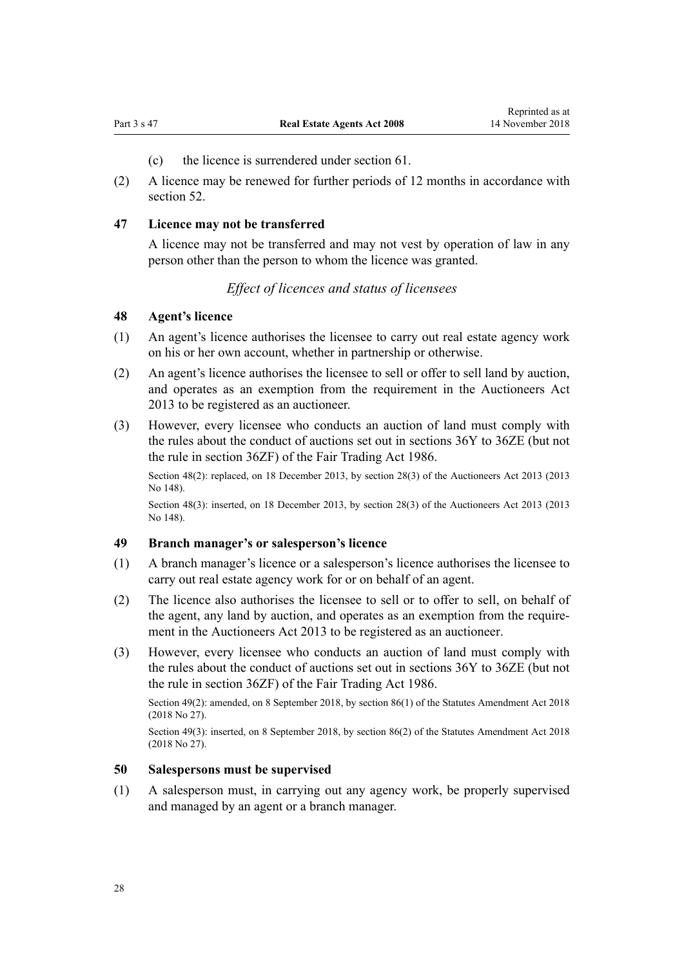- (c) the licence is surrendered under [section 61](#page-31-0).
- <span id="page-27-0"></span>(2) A licence may be renewed for further periods of 12 months in accordance with [section 52](#page-28-0).

#### **47 Licence may not be transferred**

A licence may not be transferred and may not vest by operation of law in any person other than the person to whom the licence was granted.

## *Effect of licences and status of licensees*

#### **48 Agent's licence**

- (1) An agent's licence authorises the licensee to carry out real estate agency work on his or her own account, whether in partnership or otherwise.
- (2) An agent's licence authorises the licensee to sell or offer to sell land by auction, and operates as an exemption from the requirement in the [Auctioneers Act](http://prd-lgnz-nlb.prd.pco.net.nz/pdflink.aspx?id=DLM5788503) [2013](http://prd-lgnz-nlb.prd.pco.net.nz/pdflink.aspx?id=DLM5788503) to be registered as an auctioneer.
- (3) However, every licensee who conducts an auction of land must comply with the rules about the conduct of auctions set out in [sections 36Y to 36ZE](http://prd-lgnz-nlb.prd.pco.net.nz/pdflink.aspx?id=DLM6156666) (but not the rule in [section 36ZF](http://prd-lgnz-nlb.prd.pco.net.nz/pdflink.aspx?id=DLM6156674)) of the Fair Trading Act 1986.

Section 48(2): replaced, on 18 December 2013, by [section 28\(3\)](http://prd-lgnz-nlb.prd.pco.net.nz/pdflink.aspx?id=DLM5788558) of the Auctioneers Act 2013 (2013 No 148).

Section 48(3): inserted, on 18 December 2013, by [section 28\(3\)](http://prd-lgnz-nlb.prd.pco.net.nz/pdflink.aspx?id=DLM5788558) of the Auctioneers Act 2013 (2013 No 148).

#### **49 Branch manager's or salesperson's licence**

- (1) A branch manager's licence or a salesperson's licence authorises the licensee to carry out real estate agency work for or on behalf of an agent.
- (2) The licence also authorises the licensee to sell or to offer to sell, on behalf of the agent, any land by auction, and operates as an exemption from the requirement in the [Auctioneers Act 2013](http://prd-lgnz-nlb.prd.pco.net.nz/pdflink.aspx?id=DLM5788503) to be registered as an auctioneer.
- (3) However, every licensee who conducts an auction of land must comply with the rules about the conduct of auctions set out in [sections 36Y to 36ZE](http://prd-lgnz-nlb.prd.pco.net.nz/pdflink.aspx?id=DLM6156666) (but not the rule in [section 36ZF](http://prd-lgnz-nlb.prd.pco.net.nz/pdflink.aspx?id=DLM6156674)) of the Fair Trading Act 1986.

Section 49(2): amended, on 8 September 2018, by [section 86\(1\)](http://prd-lgnz-nlb.prd.pco.net.nz/pdflink.aspx?id=DLM7227212) of the Statutes Amendment Act 2018 (2018 No 27).

Section 49(3): inserted, on 8 September 2018, by [section 86\(2\)](http://prd-lgnz-nlb.prd.pco.net.nz/pdflink.aspx?id=DLM7227212) of the Statutes Amendment Act 2018 (2018 No 27).

#### **50 Salespersons must be supervised**

(1) A salesperson must, in carrying out any agency work, be properly supervised and managed by an agent or a branch manager.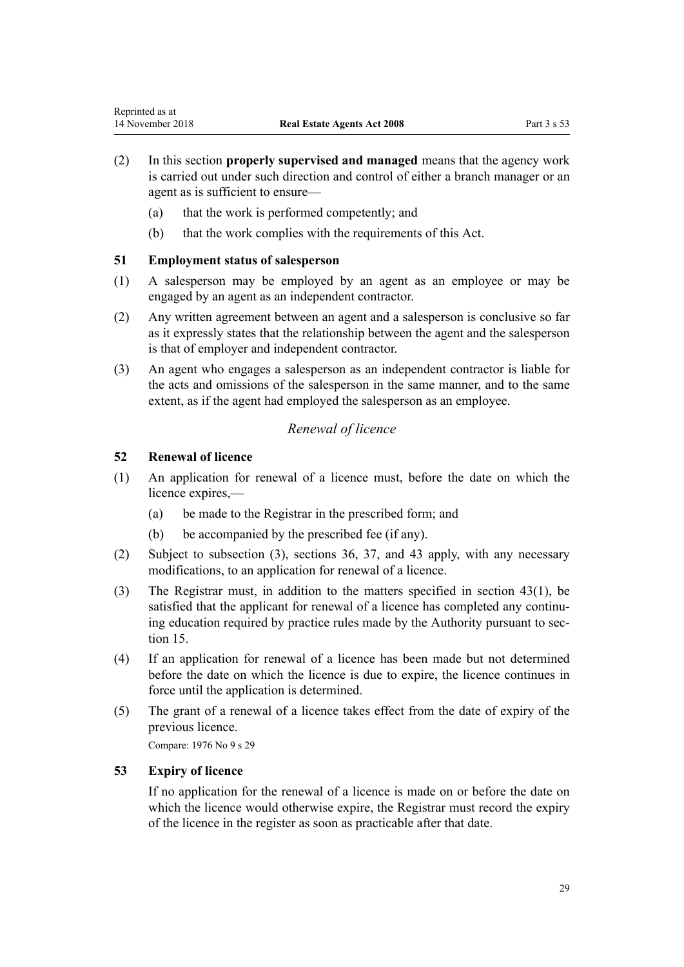- <span id="page-28-0"></span>(2) In this section **properly supervised and managed** means that the agency work is carried out under such direction and control of either a branch manager or an agent as is sufficient to ensure—
	- (a) that the work is performed competently; and
	- (b) that the work complies with the requirements of this Act.

## **51 Employment status of salesperson**

- (1) A salesperson may be employed by an agent as an employee or may be engaged by an agent as an independent contractor.
- (2) Any written agreement between an agent and a salesperson is conclusive so far as it expressly states that the relationship between the agent and the salesperson is that of employer and independent contractor.
- (3) An agent who engages a salesperson as an independent contractor is liable for the acts and omissions of the salesperson in the same manner, and to the same extent, as if the agent had employed the salesperson as an employee.

## *Renewal of licence*

## **52 Renewal of licence**

- (1) An application for renewal of a licence must, before the date on which the licence expires,—
	- (a) be made to the Registrar in the prescribed form; and
	- (b) be accompanied by the prescribed fee (if any).
- (2) Subject to subsection (3), [sections 36](#page-22-0), [37](#page-22-0), and [43](#page-25-0) apply, with any necessary modifications, to an application for renewal of a licence.
- (3) The Registrar must, in addition to the matters specified in [section 43\(1\),](#page-25-0) be satisfied that the applicant for renewal of a licence has completed any continuing education required by practice rules made by the Authority pursuant to [sec](#page-14-0)[tion 15](#page-14-0).
- (4) If an application for renewal of a licence has been made but not determined before the date on which the licence is due to expire, the licence continues in force until the application is determined.
- (5) The grant of a renewal of a licence takes effect from the date of expiry of the previous licence.

Compare: 1976 No 9 [s 29](http://prd-lgnz-nlb.prd.pco.net.nz/pdflink.aspx?id=DLM438227)

## **53 Expiry of licence**

If no application for the renewal of a licence is made on or before the date on which the licence would otherwise expire, the Registrar must record the expiry of the licence in the register as soon as practicable after that date.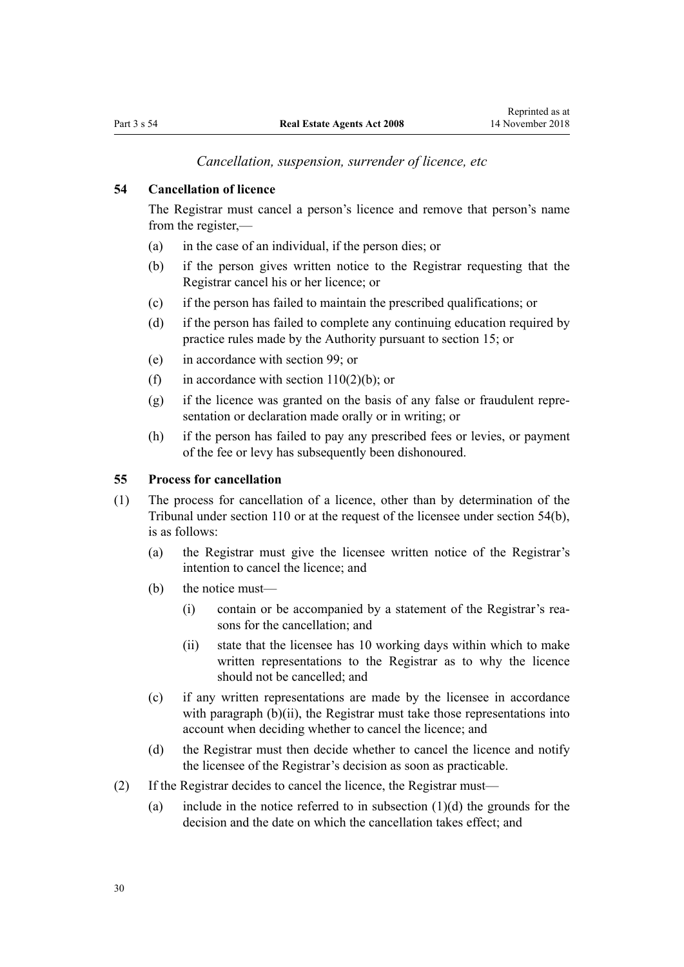*Cancellation, suspension, surrender of licence, etc*

## <span id="page-29-0"></span>**54 Cancellation of licence**

The Registrar must cancel a person's licence and remove that person's name from the register,—

- (a) in the case of an individual, if the person dies; or
- (b) if the person gives written notice to the Registrar requesting that the Registrar cancel his or her licence; or
- (c) if the person has failed to maintain the prescribed qualifications; or
- (d) if the person has failed to complete any continuing education required by practice rules made by the Authority pursuant to [section 15;](#page-14-0) or
- (e) in accordance with [section 99;](#page-44-0) or
- (f) in accordance with section  $110(2)(b)$ ; or
- (g) if the licence was granted on the basis of any false or fraudulent representation or declaration made orally or in writing; or
- (h) if the person has failed to pay any prescribed fees or levies, or payment of the fee or levy has subsequently been dishonoured.

#### **55 Process for cancellation**

- (1) The process for cancellation of a licence, other than by determination of the Tribunal under [section 110](#page-48-0) or at the request of the licensee under section 54(b), is as follows:
	- (a) the Registrar must give the licensee written notice of the Registrar's intention to cancel the licence; and
	- (b) the notice must—
		- (i) contain or be accompanied by a statement of the Registrar's reasons for the cancellation; and
		- (ii) state that the licensee has 10 working days within which to make written representations to the Registrar as to why the licence should not be cancelled; and
	- (c) if any written representations are made by the licensee in accordance with paragraph  $(b)(ii)$ , the Registrar must take those representations into account when deciding whether to cancel the licence; and
	- (d) the Registrar must then decide whether to cancel the licence and notify the licensee of the Registrar's decision as soon as practicable.
- (2) If the Registrar decides to cancel the licence, the Registrar must—
	- (a) include in the notice referred to in subsection  $(1)(d)$  the grounds for the decision and the date on which the cancellation takes effect; and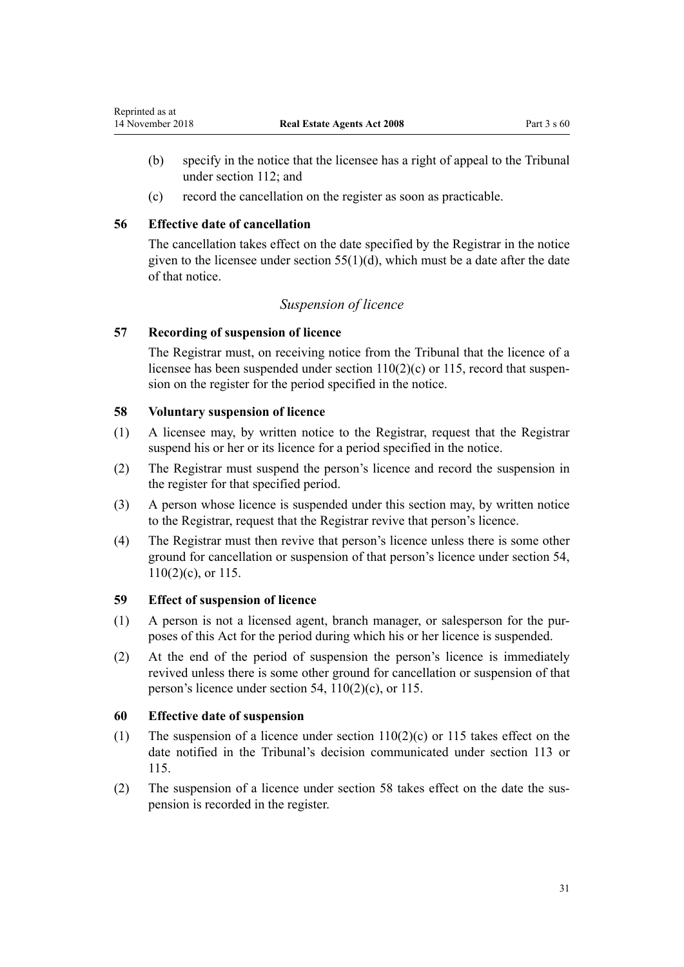- <span id="page-30-0"></span>(b) specify in the notice that the licensee has a right of appeal to the Tribunal under [section 112;](#page-51-0) and
- (c) record the cancellation on the register as soon as practicable.

## **56 Effective date of cancellation**

The cancellation takes effect on the date specified by the Registrar in the notice given to the licensee under section  $55(1)(d)$ , which must be a date after the date of that notice.

## *Suspension of licence*

## **57 Recording of suspension of licence**

The Registrar must, on receiving notice from the Tribunal that the licence of a licensee has been suspended under [section 110\(2\)\(c\)](#page-48-0) or [115,](#page-51-0) record that suspension on the register for the period specified in the notice.

### **58 Voluntary suspension of licence**

- (1) A licensee may, by written notice to the Registrar, request that the Registrar suspend his or her or its licence for a period specified in the notice.
- (2) The Registrar must suspend the person's licence and record the suspension in the register for that specified period.
- (3) A person whose licence is suspended under this section may, by written notice to the Registrar, request that the Registrar revive that person's licence.
- (4) The Registrar must then revive that person's licence unless there is some other ground for cancellation or suspension of that person's licence under [section 54](#page-29-0), [110\(2\)\(c\)](#page-48-0), or [115](#page-51-0).

## **59 Effect of suspension of licence**

- (1) A person is not a licensed agent, branch manager, or salesperson for the purposes of this Act for the period during which his or her licence is suspended.
- (2) At the end of the period of suspension the person's licence is immediately revived unless there is some other ground for cancellation or suspension of that person's licence under [section 54,](#page-29-0) [110\(2\)\(c\),](#page-48-0) or [115.](#page-51-0)

## **60 Effective date of suspension**

- (1) The suspension of a licence under section  $110(2)(c)$  or [115](#page-51-0) takes effect on the date notified in the Tribunal's decision communicated under [section 113](#page-51-0) or [115](#page-51-0).
- (2) The suspension of a licence under section 58 takes effect on the date the suspension is recorded in the register.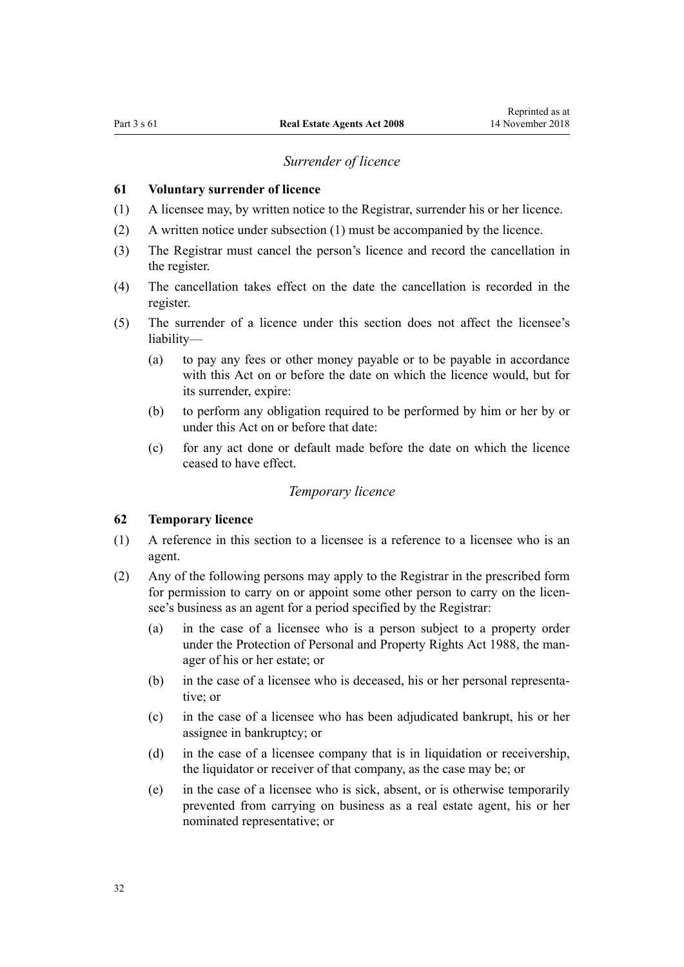#### *Surrender of licence*

#### <span id="page-31-0"></span>**61 Voluntary surrender of licence**

- (1) A licensee may, by written notice to the Registrar, surrender his or her licence.
- (2) A written notice under subsection (1) must be accompanied by the licence.
- (3) The Registrar must cancel the person's licence and record the cancellation in the register.
- (4) The cancellation takes effect on the date the cancellation is recorded in the register.
- (5) The surrender of a licence under this section does not affect the licensee's liability—
	- (a) to pay any fees or other money payable or to be payable in accordance with this Act on or before the date on which the licence would, but for its surrender, expire:
	- (b) to perform any obligation required to be performed by him or her by or under this Act on or before that date:
	- (c) for any act done or default made before the date on which the licence ceased to have effect.

#### *Temporary licence*

#### **62 Temporary licence**

- (1) A reference in this section to a licensee is a reference to a licensee who is an agent.
- (2) Any of the following persons may apply to the Registrar in the prescribed form for permission to carry on or appoint some other person to carry on the licensee's business as an agent for a period specified by the Registrar:
	- (a) in the case of a licensee who is a person subject to a property order under the [Protection of Personal and Property Rights Act 1988](http://prd-lgnz-nlb.prd.pco.net.nz/pdflink.aspx?id=DLM126527), the manager of his or her estate; or
	- (b) in the case of a licensee who is deceased, his or her personal representative; or
	- (c) in the case of a licensee who has been adjudicated bankrupt, his or her assignee in bankruptcy; or
	- (d) in the case of a licensee company that is in liquidation or receivership, the liquidator or receiver of that company, as the case may be; or
	- (e) in the case of a licensee who is sick, absent, or is otherwise temporarily prevented from carrying on business as a real estate agent, his or her nominated representative; or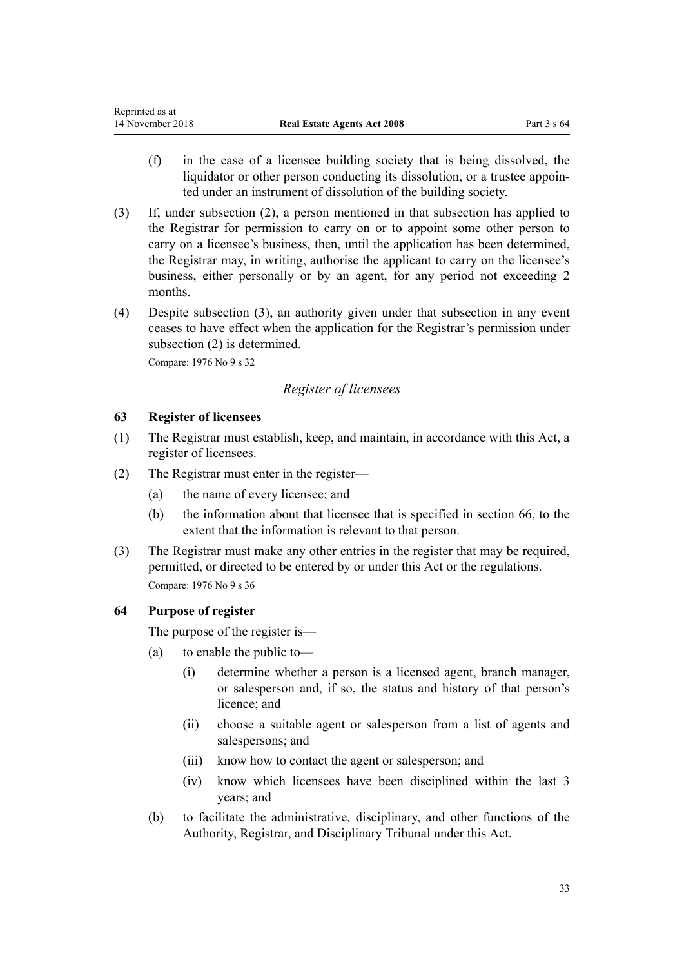- <span id="page-32-0"></span>(f) in the case of a licensee building society that is being dissolved, the liquidator or other person conducting its dissolution, or a trustee appointed under an instrument of dissolution of the building society.
- (3) If, under subsection (2), a person mentioned in that subsection has applied to the Registrar for permission to carry on or to appoint some other person to carry on a licensee's business, then, until the application has been determined, the Registrar may, in writing, authorise the applicant to carry on the licensee's business, either personally or by an agent, for any period not exceeding 2 months.
- (4) Despite subsection (3), an authority given under that subsection in any event ceases to have effect when the application for the Registrar's permission under subsection (2) is determined.

Compare: 1976 No 9 [s 32](http://prd-lgnz-nlb.prd.pco.net.nz/pdflink.aspx?id=DLM438248)

## *Register of licensees*

### **63 Register of licensees**

- (1) The Registrar must establish, keep, and maintain, in accordance with this Act, a register of licensees.
- (2) The Registrar must enter in the register—
	- (a) the name of every licensee; and
	- (b) the information about that licensee that is specified in [section 66,](#page-33-0) to the extent that the information is relevant to that person.
- (3) The Registrar must make any other entries in the register that may be required, permitted, or directed to be entered by or under this Act or the regulations. Compare: 1976 No 9 [s 36](http://prd-lgnz-nlb.prd.pco.net.nz/pdflink.aspx?id=DLM438266)

## **64 Purpose of register**

The purpose of the register is—

- (a) to enable the public to—
	- (i) determine whether a person is a licensed agent, branch manager, or salesperson and, if so, the status and history of that person's licence; and
	- (ii) choose a suitable agent or salesperson from a list of agents and salespersons; and
	- (iii) know how to contact the agent or salesperson; and
	- (iv) know which licensees have been disciplined within the last 3 years; and
- (b) to facilitate the administrative, disciplinary, and other functions of the Authority, Registrar, and Disciplinary Tribunal under this Act.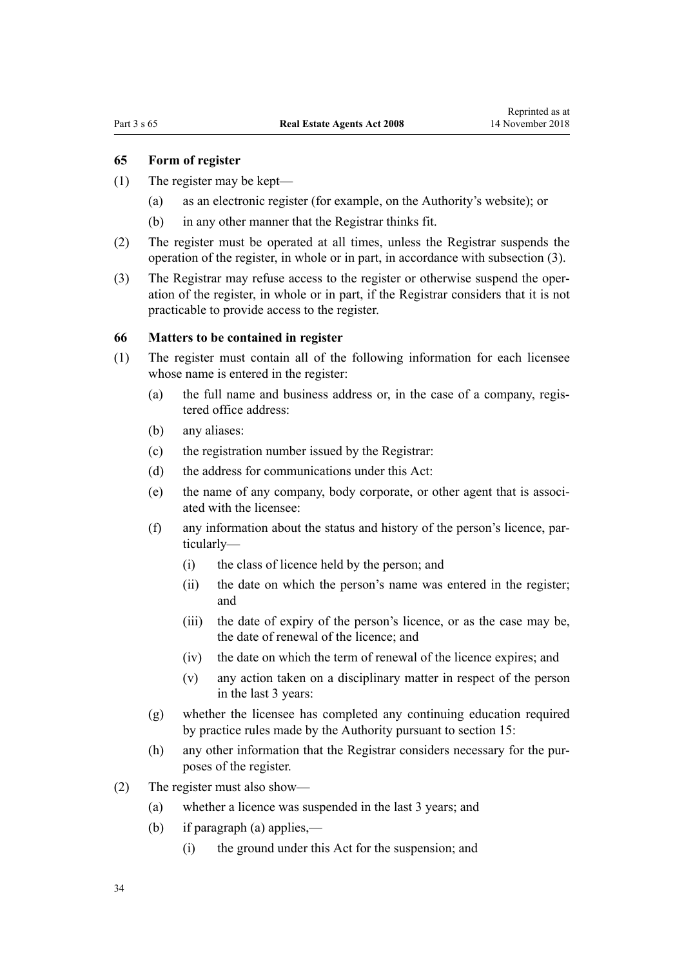#### <span id="page-33-0"></span>**65 Form of register**

- (1) The register may be kept—
	- (a) as an electronic register (for example, on the Authority's website); or
	- (b) in any other manner that the Registrar thinks fit.
- (2) The register must be operated at all times, unless the Registrar suspends the operation of the register, in whole or in part, in accordance with subsection (3).
- (3) The Registrar may refuse access to the register or otherwise suspend the operation of the register, in whole or in part, if the Registrar considers that it is not practicable to provide access to the register.

#### **66 Matters to be contained in register**

- (1) The register must contain all of the following information for each licensee whose name is entered in the register:
	- (a) the full name and business address or, in the case of a company, registered office address:
	- (b) any aliases:
	- (c) the registration number issued by the Registrar:
	- (d) the address for communications under this Act:
	- (e) the name of any company, body corporate, or other agent that is associated with the licensee:
	- (f) any information about the status and history of the person's licence, particularly—
		- (i) the class of licence held by the person; and
		- (ii) the date on which the person's name was entered in the register; and
		- (iii) the date of expiry of the person's licence, or as the case may be, the date of renewal of the licence; and
		- (iv) the date on which the term of renewal of the licence expires; and
		- (v) any action taken on a disciplinary matter in respect of the person in the last 3 years:
	- (g) whether the licensee has completed any continuing education required by practice rules made by the Authority pursuant to [section 15:](#page-14-0)
	- (h) any other information that the Registrar considers necessary for the purposes of the register.
- (2) The register must also show—
	- (a) whether a licence was suspended in the last 3 years; and
	- (b) if paragraph (a) applies,—
		- (i) the ground under this Act for the suspension; and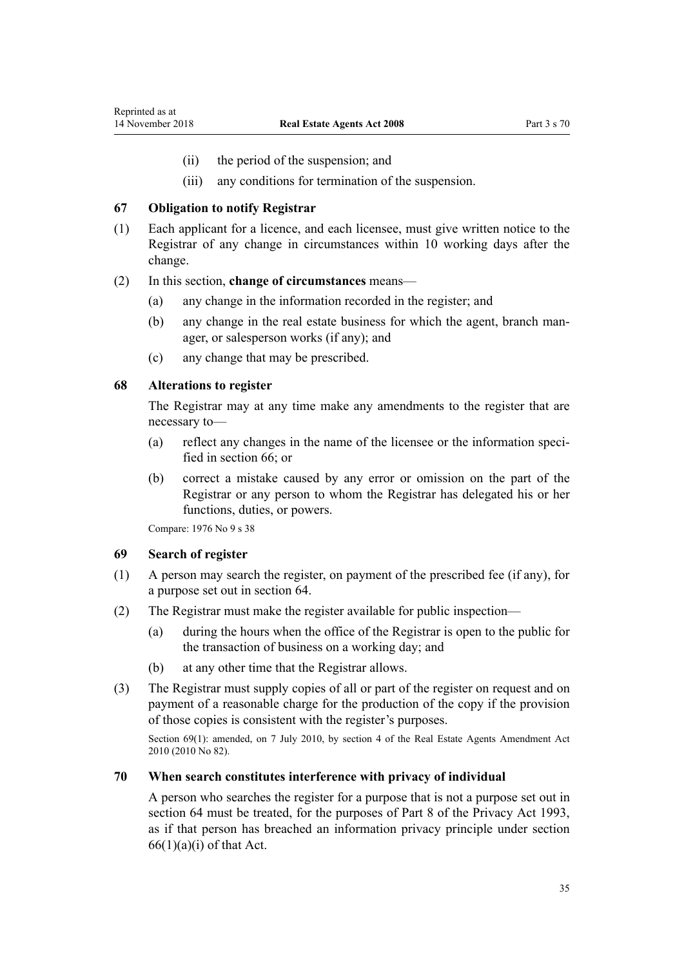- (ii) the period of the suspension; and
- (iii) any conditions for termination of the suspension.

#### <span id="page-34-0"></span>**67 Obligation to notify Registrar**

(1) Each applicant for a licence, and each licensee, must give written notice to the Registrar of any change in circumstances within 10 working days after the change.

#### (2) In this section, **change of circumstances** means—

- (a) any change in the information recorded in the register; and
- (b) any change in the real estate business for which the agent, branch manager, or salesperson works (if any); and
- (c) any change that may be prescribed.

#### **68 Alterations to register**

The Registrar may at any time make any amendments to the register that are necessary to—

- (a) reflect any changes in the name of the licensee or the information specified in [section 66;](#page-33-0) or
- (b) correct a mistake caused by any error or omission on the part of the Registrar or any person to whom the Registrar has delegated his or her functions, duties, or powers.

Compare: 1976 No 9 [s 38](http://prd-lgnz-nlb.prd.pco.net.nz/pdflink.aspx?id=DLM438274)

#### **69 Search of register**

- (1) A person may search the register, on payment of the prescribed fee (if any), for a purpose set out in [section 64](#page-32-0).
- (2) The Registrar must make the register available for public inspection—
	- (a) during the hours when the office of the Registrar is open to the public for the transaction of business on a working day; and
	- (b) at any other time that the Registrar allows.
- (3) The Registrar must supply copies of all or part of the register on request and on payment of a reasonable charge for the production of the copy if the provision of those copies is consistent with the register's purposes.

Section 69(1): amended, on 7 July 2010, by [section 4](http://prd-lgnz-nlb.prd.pco.net.nz/pdflink.aspx?id=DLM3044005) of the Real Estate Agents Amendment Act 2010 (2010 No 82).

#### **70 When search constitutes interference with privacy of individual**

A person who searches the register for a purpose that is not a purpose set out in [section 64](#page-32-0) must be treated, for the purposes of [Part 8](http://prd-lgnz-nlb.prd.pco.net.nz/pdflink.aspx?id=DLM297439) of the Privacy Act 1993, as if that person has breached an information privacy principle under [section](http://prd-lgnz-nlb.prd.pco.net.nz/pdflink.aspx?id=DLM297441)  $66(1)(a)(i)$  of that Act.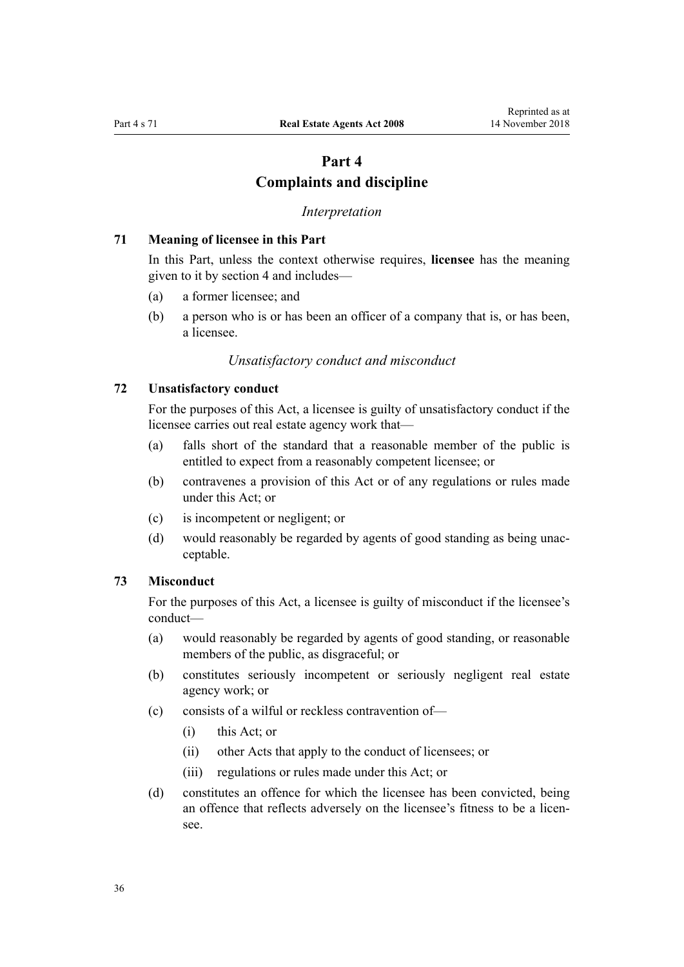## **Part 4 Complaints and discipline**

#### *Interpretation*

#### <span id="page-35-0"></span>**71 Meaning of licensee in this Part**

In this Part, unless the context otherwise requires, **licensee** has the meaning given to it by [section 4](#page-7-0) and includes—

- (a) a former licensee; and
- (b) a person who is or has been an officer of a company that is, or has been, a licensee.

#### *Unsatisfactory conduct and misconduct*

#### **72 Unsatisfactory conduct**

For the purposes of this Act, a licensee is guilty of unsatisfactory conduct if the licensee carries out real estate agency work that—

- (a) falls short of the standard that a reasonable member of the public is entitled to expect from a reasonably competent licensee; or
- (b) contravenes a provision of this Act or of any regulations or rules made under this Act; or
- (c) is incompetent or negligent; or
- (d) would reasonably be regarded by agents of good standing as being unacceptable.

#### **73 Misconduct**

For the purposes of this Act, a licensee is guilty of misconduct if the licensee's conduct—

- (a) would reasonably be regarded by agents of good standing, or reasonable members of the public, as disgraceful; or
- (b) constitutes seriously incompetent or seriously negligent real estate agency work; or
- (c) consists of a wilful or reckless contravention of—
	- (i) this Act; or
	- (ii) other Acts that apply to the conduct of licensees; or
	- (iii) regulations or rules made under this Act; or
- (d) constitutes an offence for which the licensee has been convicted, being an offence that reflects adversely on the licensee's fitness to be a licensee.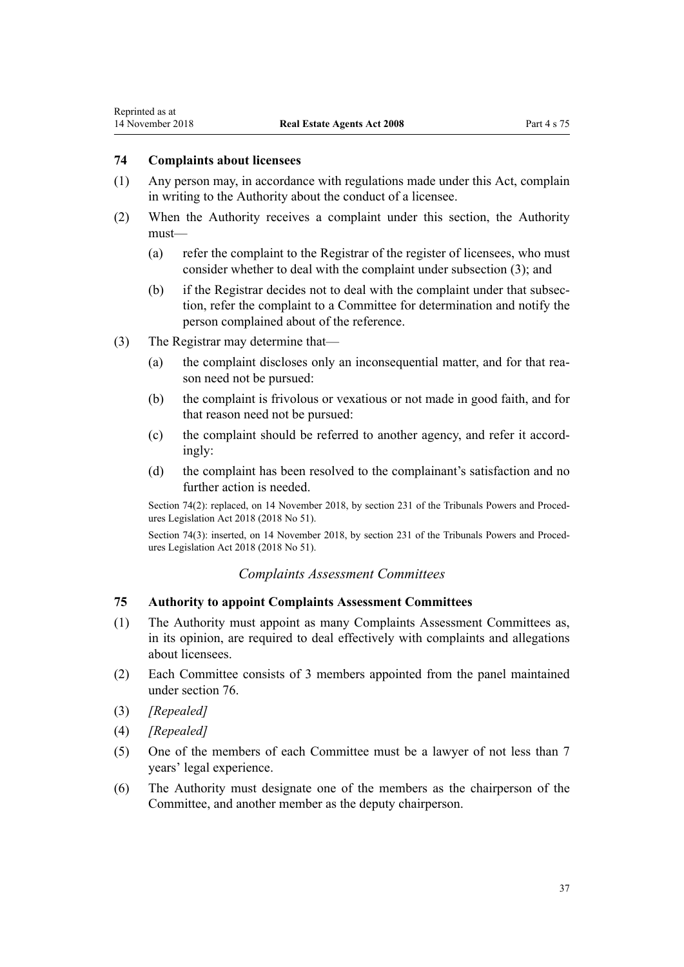## <span id="page-36-0"></span>**74 Complaints about licensees**

- (1) Any person may, in accordance with regulations made under this Act, complain in writing to the Authority about the conduct of a licensee.
- (2) When the Authority receives a complaint under this section, the Authority must—
	- (a) refer the complaint to the Registrar of the register of licensees, who must consider whether to deal with the complaint under subsection (3); and
	- (b) if the Registrar decides not to deal with the complaint under that subsection, refer the complaint to a Committee for determination and notify the person complained about of the reference.
- (3) The Registrar may determine that—
	- (a) the complaint discloses only an inconsequential matter, and for that reason need not be pursued:
	- (b) the complaint is frivolous or vexatious or not made in good faith, and for that reason need not be pursued:
	- (c) the complaint should be referred to another agency, and refer it accordingly:
	- (d) the complaint has been resolved to the complainant's satisfaction and no further action is needed.

Section 74(2): replaced, on 14 November 2018, by [section 231](http://prd-lgnz-nlb.prd.pco.net.nz/pdflink.aspx?id=DLM7374536) of the Tribunals Powers and Procedures Legislation Act 2018 (2018 No 51).

Section 74(3): inserted, on 14 November 2018, by [section 231](http://prd-lgnz-nlb.prd.pco.net.nz/pdflink.aspx?id=DLM7374536) of the Tribunals Powers and Procedures Legislation Act 2018 (2018 No 51).

### *Complaints Assessment Committees*

## **75 Authority to appoint Complaints Assessment Committees**

- (1) The Authority must appoint as many Complaints Assessment Committees as, in its opinion, are required to deal effectively with complaints and allegations about licensees.
- (2) Each Committee consists of 3 members appointed from the panel maintained under [section 76](#page-37-0).
- (3) *[Repealed]*
- (4) *[Repealed]*
- (5) One of the members of each Committee must be a lawyer of not less than 7 years' legal experience.
- (6) The Authority must designate one of the members as the chairperson of the Committee, and another member as the deputy chairperson.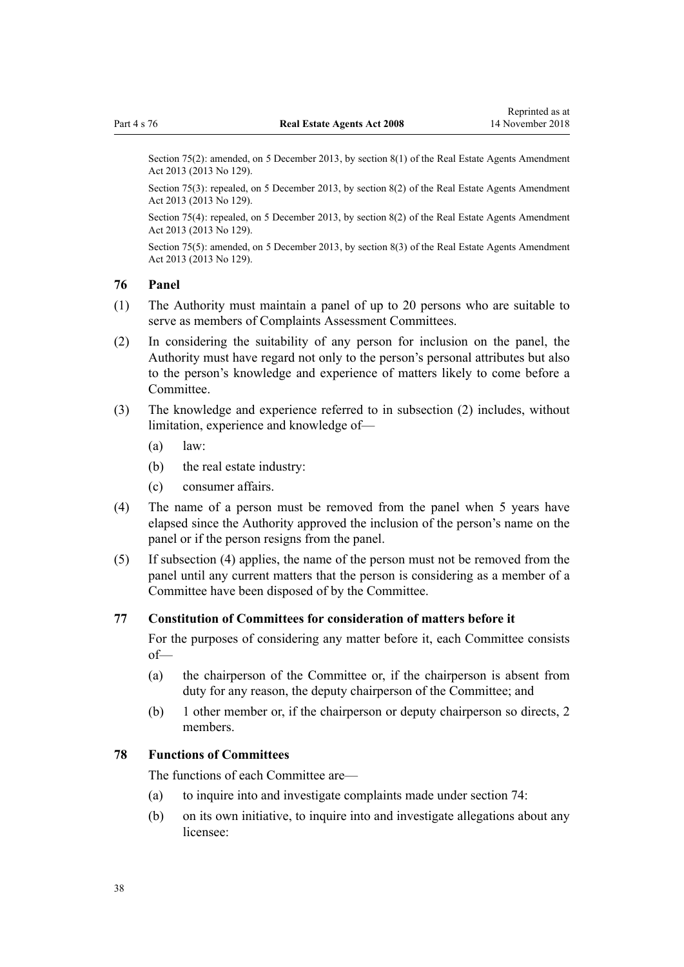<span id="page-37-0"></span>Section 75(2): amended, on 5 December 2013, by [section 8\(1\)](http://prd-lgnz-nlb.prd.pco.net.nz/pdflink.aspx?id=DLM5624113) of the Real Estate Agents Amendment Act 2013 (2013 No 129).

Section 75(3): repealed, on 5 December 2013, by [section 8\(2\)](http://prd-lgnz-nlb.prd.pco.net.nz/pdflink.aspx?id=DLM5624113) of the Real Estate Agents Amendment Act 2013 (2013 No 129).

Section 75(4): repealed, on 5 December 2013, by [section 8\(2\)](http://prd-lgnz-nlb.prd.pco.net.nz/pdflink.aspx?id=DLM5624113) of the Real Estate Agents Amendment Act 2013 (2013 No 129).

Section 75(5): amended, on 5 December 2013, by [section 8\(3\)](http://prd-lgnz-nlb.prd.pco.net.nz/pdflink.aspx?id=DLM5624113) of the Real Estate Agents Amendment Act 2013 (2013 No 129).

## **76 Panel**

- (1) The Authority must maintain a panel of up to 20 persons who are suitable to serve as members of Complaints Assessment Committees.
- (2) In considering the suitability of any person for inclusion on the panel, the Authority must have regard not only to the person's personal attributes but also to the person's knowledge and experience of matters likely to come before a Committee.
- (3) The knowledge and experience referred to in subsection (2) includes, without limitation, experience and knowledge of—
	- (a) law:
	- (b) the real estate industry:
	- (c) consumer affairs.
- (4) The name of a person must be removed from the panel when 5 years have elapsed since the Authority approved the inclusion of the person's name on the panel or if the person resigns from the panel.
- (5) If subsection (4) applies, the name of the person must not be removed from the panel until any current matters that the person is considering as a member of a Committee have been disposed of by the Committee.

### **77 Constitution of Committees for consideration of matters before it**

For the purposes of considering any matter before it, each Committee consists of—

- (a) the chairperson of the Committee or, if the chairperson is absent from duty for any reason, the deputy chairperson of the Committee; and
- (b) 1 other member or, if the chairperson or deputy chairperson so directs, 2 members.

### **78 Functions of Committees**

The functions of each Committee are—

- (a) to inquire into and investigate complaints made under [section 74:](#page-36-0)
- (b) on its own initiative, to inquire into and investigate allegations about any licensee: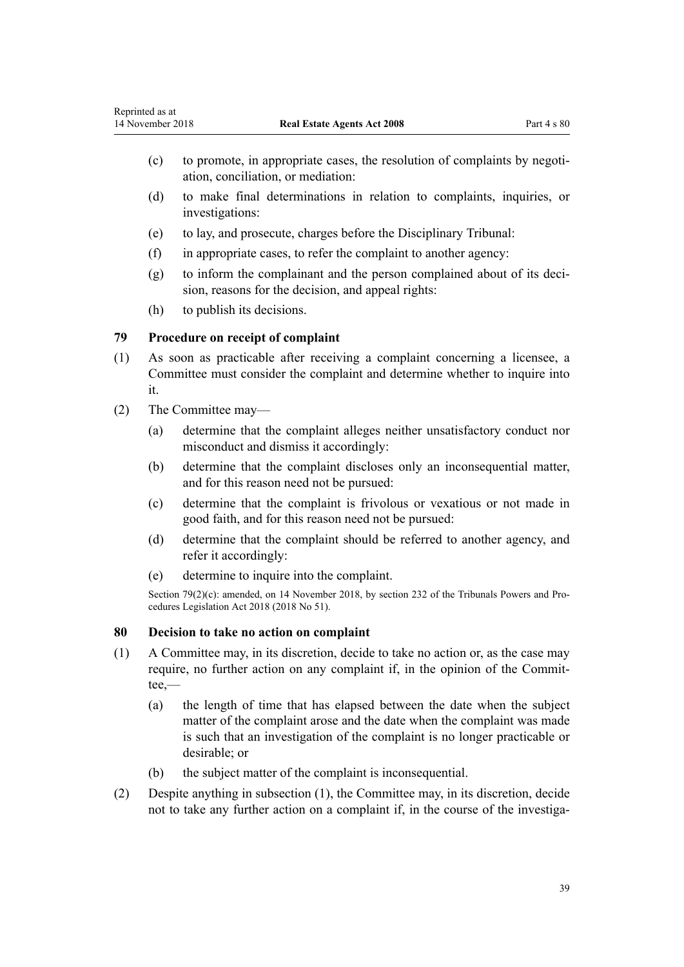- <span id="page-38-0"></span>(c) to promote, in appropriate cases, the resolution of complaints by negotiation, conciliation, or mediation:
- (d) to make final determinations in relation to complaints, inquiries, or investigations:
- (e) to lay, and prosecute, charges before the Disciplinary Tribunal:
- (f) in appropriate cases, to refer the complaint to another agency:
- (g) to inform the complainant and the person complained about of its decision, reasons for the decision, and appeal rights:
- (h) to publish its decisions.

## **79 Procedure on receipt of complaint**

- (1) As soon as practicable after receiving a complaint concerning a licensee, a Committee must consider the complaint and determine whether to inquire into it.
- (2) The Committee may—
	- (a) determine that the complaint alleges neither unsatisfactory conduct nor misconduct and dismiss it accordingly:
	- (b) determine that the complaint discloses only an inconsequential matter, and for this reason need not be pursued:
	- (c) determine that the complaint is frivolous or vexatious or not made in good faith, and for this reason need not be pursued:
	- (d) determine that the complaint should be referred to another agency, and refer it accordingly:
	- (e) determine to inquire into the complaint.

Section 79(2)(c): amended, on 14 November 2018, by [section 232](http://prd-lgnz-nlb.prd.pco.net.nz/pdflink.aspx?id=LMS104657) of the Tribunals Powers and Procedures Legislation Act 2018 (2018 No 51).

## **80 Decision to take no action on complaint**

- (1) A Committee may, in its discretion, decide to take no action or, as the case may require, no further action on any complaint if, in the opinion of the Committee,—
	- (a) the length of time that has elapsed between the date when the subject matter of the complaint arose and the date when the complaint was made is such that an investigation of the complaint is no longer practicable or desirable; or
	- (b) the subject matter of the complaint is inconsequential.
- (2) Despite anything in subsection (1), the Committee may, in its discretion, decide not to take any further action on a complaint if, in the course of the investiga-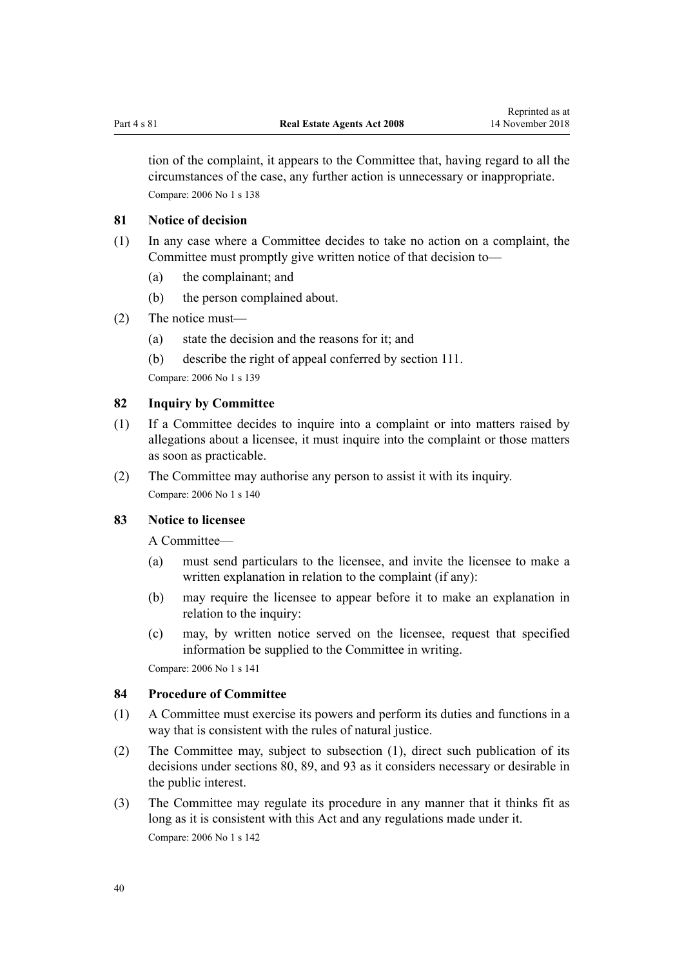<span id="page-39-0"></span>tion of the complaint, it appears to the Committee that, having regard to all the circumstances of the case, any further action is unnecessary or inappropriate. Compare: 2006 No 1 [s 138](http://prd-lgnz-nlb.prd.pco.net.nz/pdflink.aspx?id=DLM366176)

### **81 Notice of decision**

- (1) In any case where a Committee decides to take no action on a complaint, the Committee must promptly give written notice of that decision to—
	- (a) the complainant; and
	- (b) the person complained about.
- (2) The notice must—
	- (a) state the decision and the reasons for it; and
	- (b) describe the right of appeal conferred by [section 111](#page-50-0).

Compare: 2006 No 1 [s 139](http://prd-lgnz-nlb.prd.pco.net.nz/pdflink.aspx?id=DLM366177)

## **82 Inquiry by Committee**

- (1) If a Committee decides to inquire into a complaint or into matters raised by allegations about a licensee, it must inquire into the complaint or those matters as soon as practicable.
- (2) The Committee may authorise any person to assist it with its inquiry. Compare: 2006 No 1 [s 140](http://prd-lgnz-nlb.prd.pco.net.nz/pdflink.aspx?id=DLM366178)

## **83 Notice to licensee**

A Committee—

- (a) must send particulars to the licensee, and invite the licensee to make a written explanation in relation to the complaint (if any):
- (b) may require the licensee to appear before it to make an explanation in relation to the inquiry:
- (c) may, by written notice served on the licensee, request that specified information be supplied to the Committee in writing.

Compare: 2006 No 1 [s 141](http://prd-lgnz-nlb.prd.pco.net.nz/pdflink.aspx?id=DLM366179)

#### **84 Procedure of Committee**

- (1) A Committee must exercise its powers and perform its duties and functions in a way that is consistent with the rules of natural justice.
- (2) The Committee may, subject to subsection (1), direct such publication of its decisions under [sections 80,](#page-38-0) [89](#page-42-0), and [93](#page-43-0) as it considers necessary or desirable in the public interest.
- (3) The Committee may regulate its procedure in any manner that it thinks fit as long as it is consistent with this Act and any regulations made under it. Compare: 2006 No 1 [s 142](http://prd-lgnz-nlb.prd.pco.net.nz/pdflink.aspx?id=DLM366180)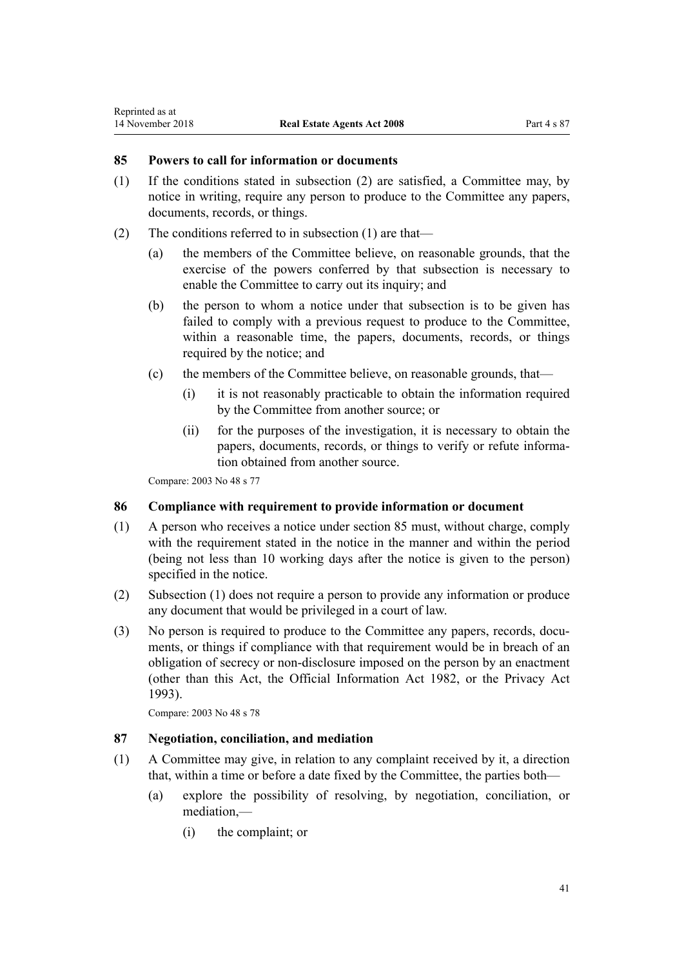# <span id="page-40-0"></span>**85 Powers to call for information or documents**

- (1) If the conditions stated in subsection (2) are satisfied, a Committee may, by notice in writing, require any person to produce to the Committee any papers, documents, records, or things.
- (2) The conditions referred to in subsection (1) are that—
	- (a) the members of the Committee believe, on reasonable grounds, that the exercise of the powers conferred by that subsection is necessary to enable the Committee to carry out its inquiry; and
	- (b) the person to whom a notice under that subsection is to be given has failed to comply with a previous request to produce to the Committee, within a reasonable time, the papers, documents, records, or things required by the notice; and
	- (c) the members of the Committee believe, on reasonable grounds, that—
		- (i) it is not reasonably practicable to obtain the information required by the Committee from another source; or
		- (ii) for the purposes of the investigation, it is necessary to obtain the papers, documents, records, or things to verify or refute information obtained from another source.

Compare: 2003 No 48 [s 77](http://prd-lgnz-nlb.prd.pco.net.nz/pdflink.aspx?id=DLM203883)

## **86 Compliance with requirement to provide information or document**

- (1) A person who receives a notice under section 85 must, without charge, comply with the requirement stated in the notice in the manner and within the period (being not less than 10 working days after the notice is given to the person) specified in the notice.
- (2) Subsection (1) does not require a person to provide any information or produce any document that would be privileged in a court of law.
- (3) No person is required to produce to the Committee any papers, records, documents, or things if compliance with that requirement would be in breach of an obligation of secrecy or non-disclosure imposed on the person by an enactment (other than this Act, the [Official Information Act 1982](http://prd-lgnz-nlb.prd.pco.net.nz/pdflink.aspx?id=DLM64784), or the [Privacy Act](http://prd-lgnz-nlb.prd.pco.net.nz/pdflink.aspx?id=DLM296638) [1993](http://prd-lgnz-nlb.prd.pco.net.nz/pdflink.aspx?id=DLM296638)).

Compare: 2003 No 48 [s 78](http://prd-lgnz-nlb.prd.pco.net.nz/pdflink.aspx?id=DLM203884)

## **87 Negotiation, conciliation, and mediation**

- (1) A Committee may give, in relation to any complaint received by it, a direction that, within a time or before a date fixed by the Committee, the parties both—
	- (a) explore the possibility of resolving, by negotiation, conciliation, or mediation,—
		- (i) the complaint; or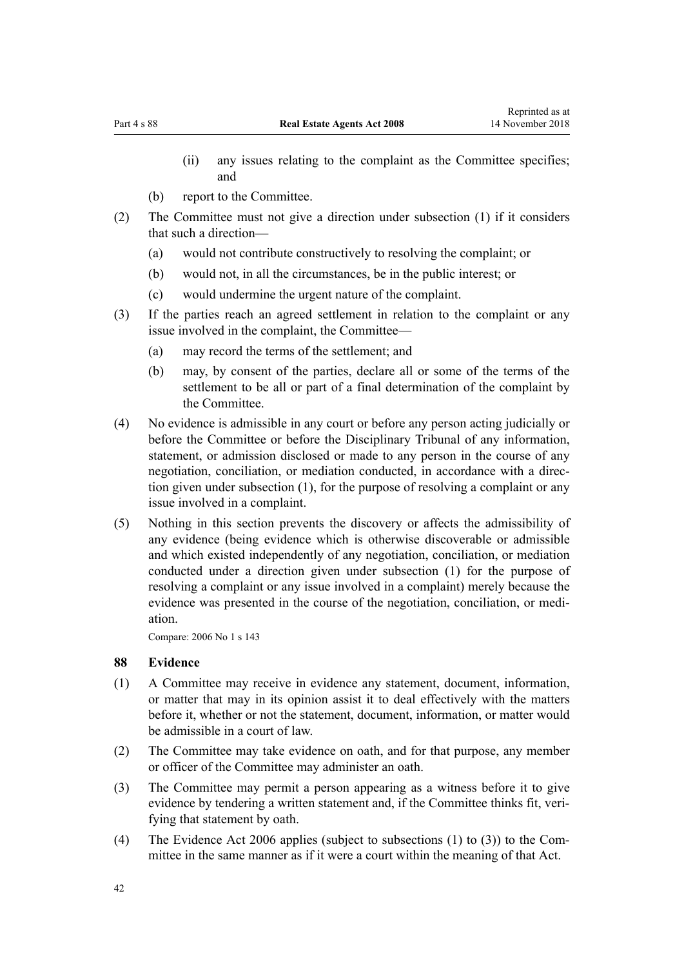- (ii) any issues relating to the complaint as the Committee specifies; and
- (b) report to the Committee.
- (2) The Committee must not give a direction under subsection (1) if it considers that such a direction—
	- (a) would not contribute constructively to resolving the complaint; or
	- (b) would not, in all the circumstances, be in the public interest; or
	- (c) would undermine the urgent nature of the complaint.
- (3) If the parties reach an agreed settlement in relation to the complaint or any issue involved in the complaint, the Committee—
	- (a) may record the terms of the settlement; and
	- (b) may, by consent of the parties, declare all or some of the terms of the settlement to be all or part of a final determination of the complaint by the Committee.
- (4) No evidence is admissible in any court or before any person acting judicially or before the Committee or before the Disciplinary Tribunal of any information, statement, or admission disclosed or made to any person in the course of any negotiation, conciliation, or mediation conducted, in accordance with a direction given under subsection (1), for the purpose of resolving a complaint or any issue involved in a complaint.
- (5) Nothing in this section prevents the discovery or affects the admissibility of any evidence (being evidence which is otherwise discoverable or admissible and which existed independently of any negotiation, conciliation, or mediation conducted under a direction given under subsection (1) for the purpose of resolving a complaint or any issue involved in a complaint) merely because the evidence was presented in the course of the negotiation, conciliation, or mediation.

Compare: 2006 No 1 [s 143](http://prd-lgnz-nlb.prd.pco.net.nz/pdflink.aspx?id=DLM366181)

## **88 Evidence**

- (1) A Committee may receive in evidence any statement, document, information, or matter that may in its opinion assist it to deal effectively with the matters before it, whether or not the statement, document, information, or matter would be admissible in a court of law.
- (2) The Committee may take evidence on oath, and for that purpose, any member or officer of the Committee may administer an oath.
- (3) The Committee may permit a person appearing as a witness before it to give evidence by tendering a written statement and, if the Committee thinks fit, verifying that statement by oath.
- (4) The [Evidence Act 2006](http://prd-lgnz-nlb.prd.pco.net.nz/pdflink.aspx?id=DLM393462) applies (subject to subsections (1) to (3)) to the Committee in the same manner as if it were a court within the meaning of that Act.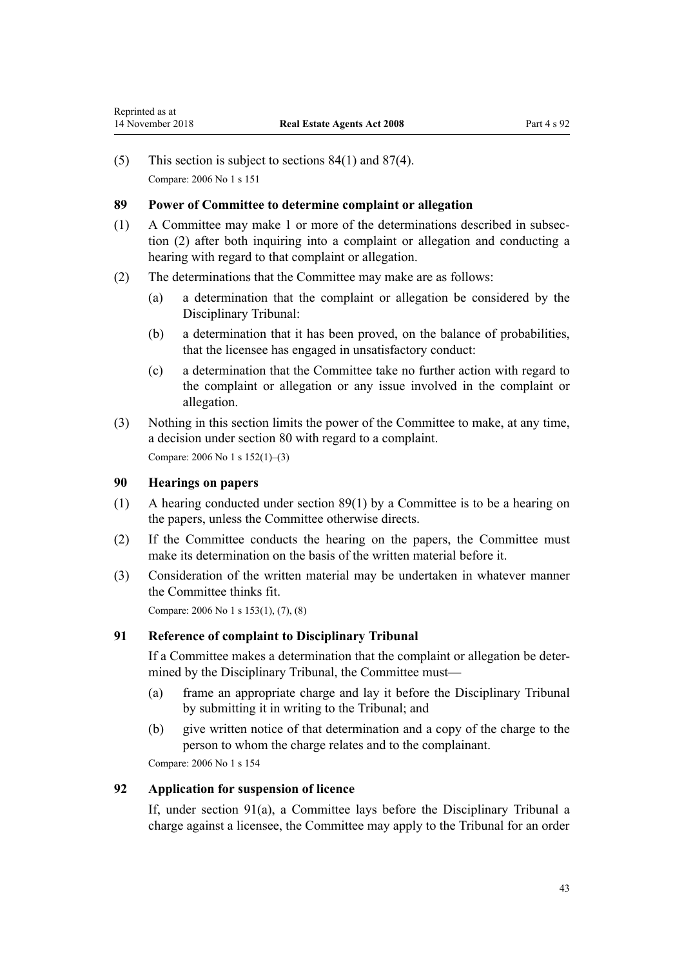<span id="page-42-0"></span>(5) This section is subject to [sections 84\(1\)](#page-39-0) and [87\(4\).](#page-40-0) Compare: 2006 No 1 [s 151](http://prd-lgnz-nlb.prd.pco.net.nz/pdflink.aspx?id=DLM366190)

### **89 Power of Committee to determine complaint or allegation**

- (1) A Committee may make 1 or more of the determinations described in subsection (2) after both inquiring into a complaint or allegation and conducting a hearing with regard to that complaint or allegation.
- (2) The determinations that the Committee may make are as follows:
	- (a) a determination that the complaint or allegation be considered by the Disciplinary Tribunal:
	- (b) a determination that it has been proved, on the balance of probabilities, that the licensee has engaged in unsatisfactory conduct:
	- (c) a determination that the Committee take no further action with regard to the complaint or allegation or any issue involved in the complaint or allegation.
- (3) Nothing in this section limits the power of the Committee to make, at any time, a decision under [section 80](#page-38-0) with regard to a complaint.

Compare: 2006 No 1 [s 152\(1\)–\(3\)](http://prd-lgnz-nlb.prd.pco.net.nz/pdflink.aspx?id=DLM366192)

## **90 Hearings on papers**

- (1) A hearing conducted under section 89(1) by a Committee is to be a hearing on the papers, unless the Committee otherwise directs.
- (2) If the Committee conducts the hearing on the papers, the Committee must make its determination on the basis of the written material before it.
- (3) Consideration of the written material may be undertaken in whatever manner the Committee thinks fit.

Compare: 2006 No 1 [s 153\(1\),](http://prd-lgnz-nlb.prd.pco.net.nz/pdflink.aspx?id=DLM366193) (7), (8)

# **91 Reference of complaint to Disciplinary Tribunal**

If a Committee makes a determination that the complaint or allegation be determined by the Disciplinary Tribunal, the Committee must—

- (a) frame an appropriate charge and lay it before the Disciplinary Tribunal by submitting it in writing to the Tribunal; and
- (b) give written notice of that determination and a copy of the charge to the person to whom the charge relates and to the complainant.

Compare: 2006 No 1 [s 154](http://prd-lgnz-nlb.prd.pco.net.nz/pdflink.aspx?id=DLM366194)

# **92 Application for suspension of licence**

If, under section 91(a), a Committee lays before the Disciplinary Tribunal a charge against a licensee, the Committee may apply to the Tribunal for an order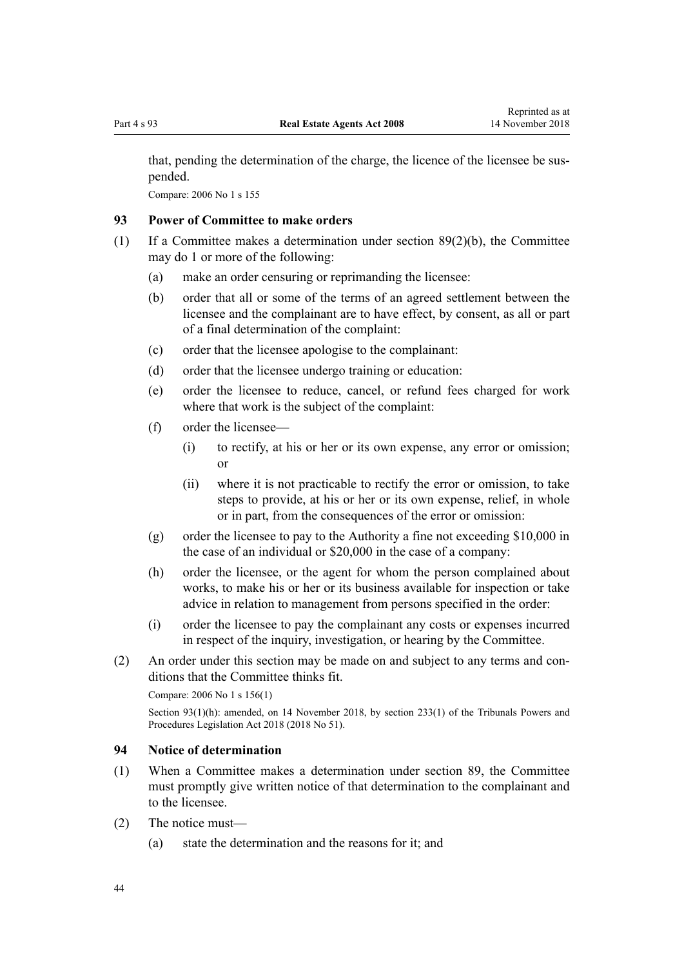<span id="page-43-0"></span>that, pending the determination of the charge, the licence of the licensee be suspended.

Compare: 2006 No 1 [s 155](http://prd-lgnz-nlb.prd.pco.net.nz/pdflink.aspx?id=DLM366195)

## **93 Power of Committee to make orders**

- (1) If a Committee makes a determination under [section 89\(2\)\(b\)](#page-42-0), the Committee may do 1 or more of the following:
	- (a) make an order censuring or reprimanding the licensee:
	- (b) order that all or some of the terms of an agreed settlement between the licensee and the complainant are to have effect, by consent, as all or part of a final determination of the complaint:
	- (c) order that the licensee apologise to the complainant:
	- (d) order that the licensee undergo training or education:
	- (e) order the licensee to reduce, cancel, or refund fees charged for work where that work is the subject of the complaint:
	- (f) order the licensee—
		- (i) to rectify, at his or her or its own expense, any error or omission; or
		- (ii) where it is not practicable to rectify the error or omission, to take steps to provide, at his or her or its own expense, relief, in whole or in part, from the consequences of the error or omission:
	- (g) order the licensee to pay to the Authority a fine not exceeding \$10,000 in the case of an individual or \$20,000 in the case of a company:
	- (h) order the licensee, or the agent for whom the person complained about works, to make his or her or its business available for inspection or take advice in relation to management from persons specified in the order:
	- (i) order the licensee to pay the complainant any costs or expenses incurred in respect of the inquiry, investigation, or hearing by the Committee.
- (2) An order under this section may be made on and subject to any terms and conditions that the Committee thinks fit.

Compare: 2006 No 1 [s 156\(1\)](http://prd-lgnz-nlb.prd.pco.net.nz/pdflink.aspx?id=DLM366196)

```
section 233(1) of the Tribunals Powers and
Procedures Legislation Act 2018 (2018 No 51).
```
## **94 Notice of determination**

- (1) When a Committee makes a determination under [section 89,](#page-42-0) the Committee must promptly give written notice of that determination to the complainant and to the licensee.
- (2) The notice must—
	- (a) state the determination and the reasons for it; and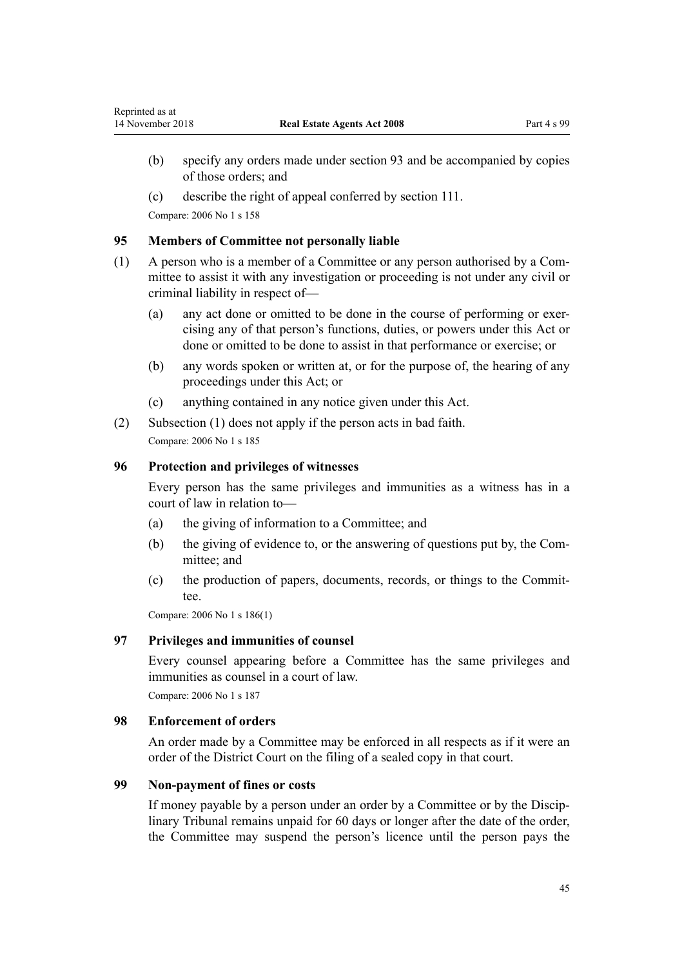(c) describe the right of appeal conferred by [section 111](#page-50-0).

Compare: 2006 No 1 [s 158](http://prd-lgnz-nlb.prd.pco.net.nz/pdflink.aspx?id=DLM366700)

Reprinted as at

### **95 Members of Committee not personally liable**

- (1) A person who is a member of a Committee or any person authorised by a Committee to assist it with any investigation or proceeding is not under any civil or criminal liability in respect of—
	- (a) any act done or omitted to be done in the course of performing or exercising any of that person's functions, duties, or powers under this Act or done or omitted to be done to assist in that performance or exercise; or
	- (b) any words spoken or written at, or for the purpose of, the hearing of any proceedings under this Act; or
	- (c) anything contained in any notice given under this Act.
- (2) Subsection (1) does not apply if the person acts in bad faith. Compare: 2006 No 1 [s 185](http://prd-lgnz-nlb.prd.pco.net.nz/pdflink.aspx?id=DLM366730)

### **96 Protection and privileges of witnesses**

Every person has the same privileges and immunities as a witness has in a court of law in relation to—

- (a) the giving of information to a Committee; and
- (b) the giving of evidence to, or the answering of questions put by, the Committee; and
- (c) the production of papers, documents, records, or things to the Committee.

Compare: 2006 No 1 [s 186\(1\)](http://prd-lgnz-nlb.prd.pco.net.nz/pdflink.aspx?id=DLM366731)

## **97 Privileges and immunities of counsel**

Every counsel appearing before a Committee has the same privileges and immunities as counsel in a court of law.

Compare: 2006 No 1 [s 187](http://prd-lgnz-nlb.prd.pco.net.nz/pdflink.aspx?id=DLM366733)

## **98 Enforcement of orders**

An order made by a Committee may be enforced in all respects as if it were an order of the District Court on the filing of a sealed copy in that court.

## **99 Non-payment of fines or costs**

If money payable by a person under an order by a Committee or by the Disciplinary Tribunal remains unpaid for 60 days or longer after the date of the order, the Committee may suspend the person's licence until the person pays the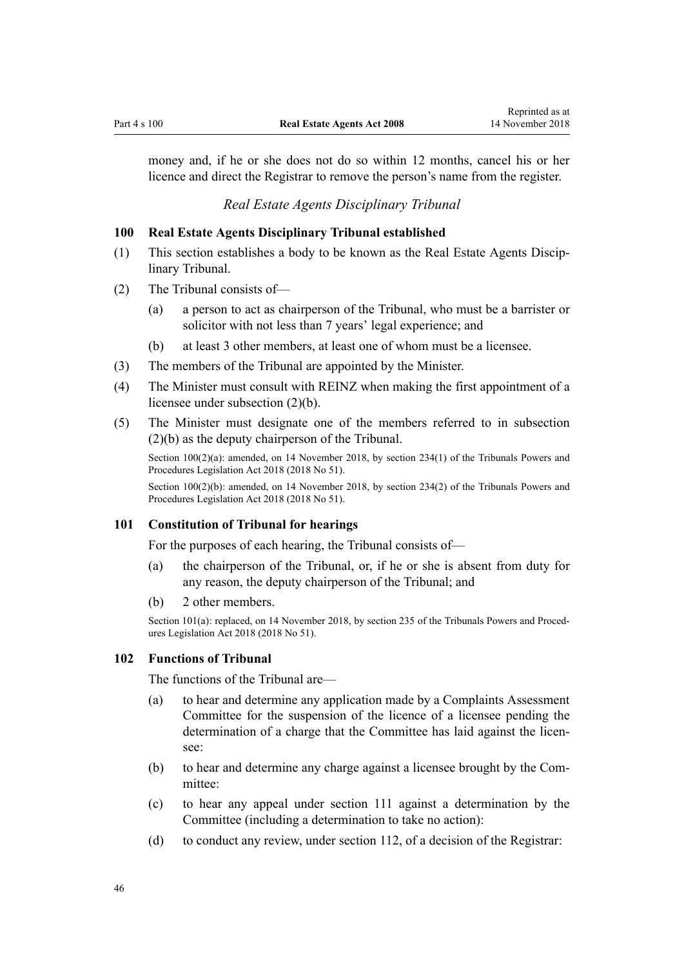money and, if he or she does not do so within 12 months, cancel his or her licence and direct the Registrar to remove the person's name from the register.

*Real Estate Agents Disciplinary Tribunal*

## **100 Real Estate Agents Disciplinary Tribunal established**

- (1) This section establishes a body to be known as the Real Estate Agents Disciplinary Tribunal.
- (2) The Tribunal consists of—
	- (a) a person to act as chairperson of the Tribunal, who must be a barrister or solicitor with not less than 7 years' legal experience; and
	- (b) at least 3 other members, at least one of whom must be a licensee.
- (3) The members of the Tribunal are appointed by the Minister.
- (4) The Minister must consult with REINZ when making the first appointment of a licensee under subsection (2)(b).
- (5) The Minister must designate one of the members referred to in subsection (2)(b) as the deputy chairperson of the Tribunal.

Section 100(2)(a): amended, on 14 November 2018, by [section 234\(1\)](http://prd-lgnz-nlb.prd.pco.net.nz/pdflink.aspx?id=DLM7374538) of the Tribunals Powers and Procedures Legislation Act 2018 (2018 No 51).

Section 100(2)(b): amended, on 14 November 2018, by [section 234\(2\)](http://prd-lgnz-nlb.prd.pco.net.nz/pdflink.aspx?id=DLM7374538) of the Tribunals Powers and Procedures Legislation Act 2018 (2018 No 51).

## **101 Constitution of Tribunal for hearings**

For the purposes of each hearing, the Tribunal consists of—

- (a) the chairperson of the Tribunal, or, if he or she is absent from duty for any reason, the deputy chairperson of the Tribunal; and
- (b) 2 other members.

Section 101(a): replaced, on 14 November 2018, by [section 235](http://prd-lgnz-nlb.prd.pco.net.nz/pdflink.aspx?id=DLM7374539) of the Tribunals Powers and Procedures Legislation Act 2018 (2018 No 51).

#### **102 Functions of Tribunal**

The functions of the Tribunal are—

- (a) to hear and determine any application made by a Complaints Assessment Committee for the suspension of the licence of a licensee pending the determination of a charge that the Committee has laid against the licensee:
- (b) to hear and determine any charge against a licensee brought by the Committee:
- (c) to hear any appeal under [section 111](#page-50-0) against a determination by the Committee (including a determination to take no action):
- (d) to conduct any review, under [section 112](#page-51-0), of a decision of the Registrar: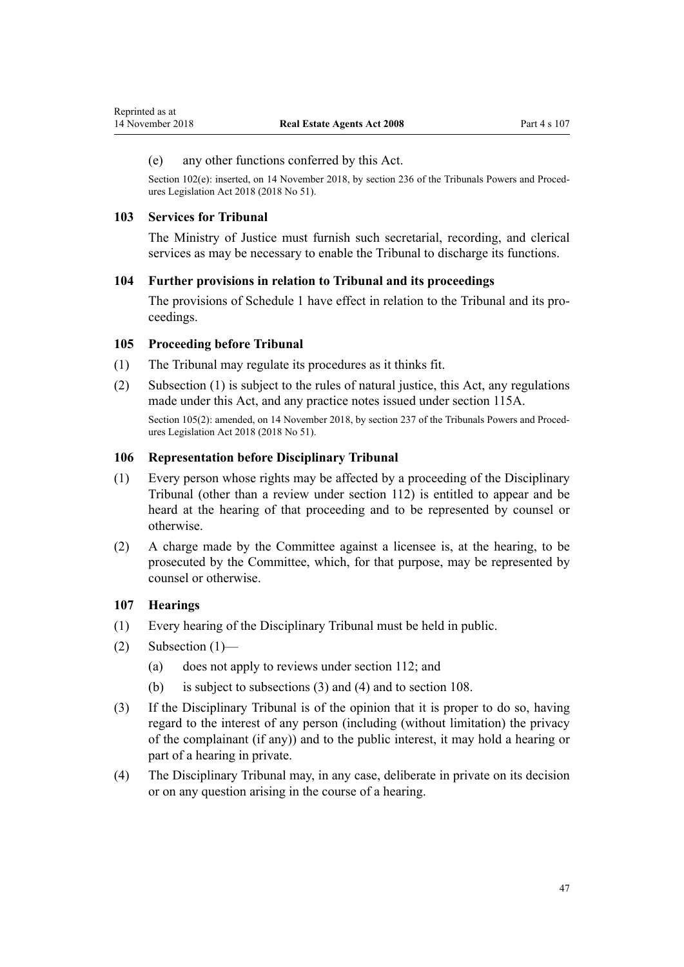## <span id="page-46-0"></span>(e) any other functions conferred by this Act.

Section 102(e): inserted, on 14 November 2018, by [section 236](http://prd-lgnz-nlb.prd.pco.net.nz/pdflink.aspx?id=LMS35582) of the Tribunals Powers and Procedures Legislation Act 2018 (2018 No 51).

### **103 Services for Tribunal**

The Ministry of Justice must furnish such secretarial, recording, and clerical services as may be necessary to enable the Tribunal to discharge its functions.

### **104 Further provisions in relation to Tribunal and its proceedings**

The provisions of [Schedule 1](#page-76-0) have effect in relation to the Tribunal and its proceedings.

### **105 Proceeding before Tribunal**

- (1) The Tribunal may regulate its procedures as it thinks fit.
- (2) Subsection (1) is subject to the rules of natural justice, this Act, any regulations made under this Act, and any practice notes issued under [section 115A.](#page-52-0)

Section 105(2): amended, on 14 November 2018, by [section 237](http://prd-lgnz-nlb.prd.pco.net.nz/pdflink.aspx?id=LMS104658) of the Tribunals Powers and Procedures Legislation Act 2018 (2018 No 51).

## **106 Representation before Disciplinary Tribunal**

- (1) Every person whose rights may be affected by a proceeding of the Disciplinary Tribunal (other than a review under [section 112](#page-51-0)) is entitled to appear and be heard at the hearing of that proceeding and to be represented by counsel or otherwise.
- (2) A charge made by the Committee against a licensee is, at the hearing, to be prosecuted by the Committee, which, for that purpose, may be represented by counsel or otherwise.

## **107 Hearings**

- (1) Every hearing of the Disciplinary Tribunal must be held in public.
- (2) Subsection  $(1)$ 
	- (a) does not apply to reviews under [section 112;](#page-51-0) and
	- (b) is subject to subsections (3) and (4) and to [section 108.](#page-47-0)
- (3) If the Disciplinary Tribunal is of the opinion that it is proper to do so, having regard to the interest of any person (including (without limitation) the privacy of the complainant (if any)) and to the public interest, it may hold a hearing or part of a hearing in private.
- (4) The Disciplinary Tribunal may, in any case, deliberate in private on its decision or on any question arising in the course of a hearing.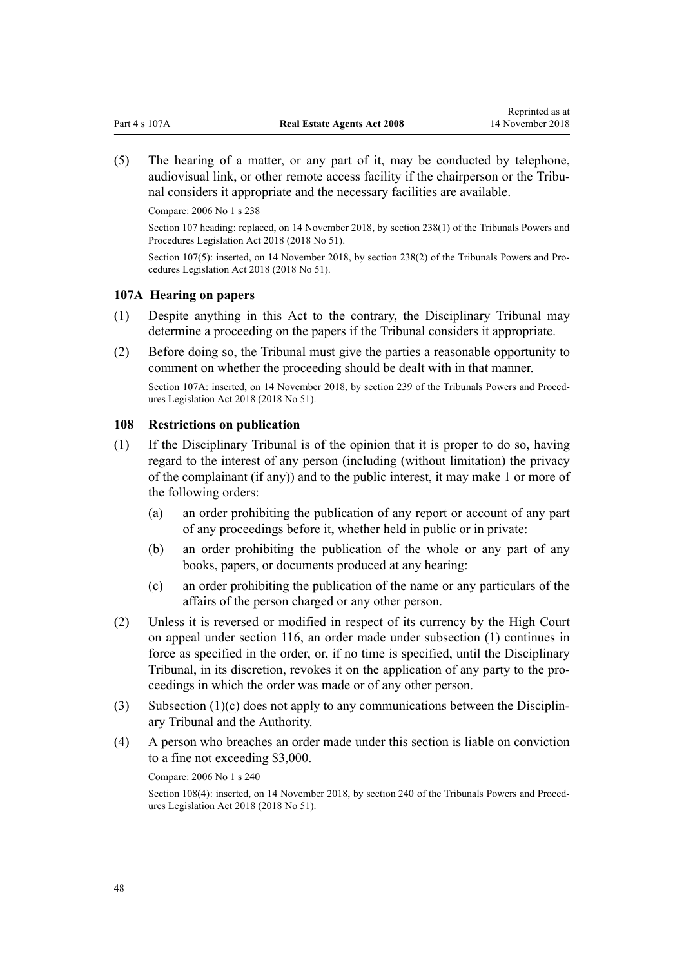<span id="page-47-0"></span>(5) The hearing of a matter, or any part of it, may be conducted by telephone, audiovisual link, or other remote access facility if the chairperson or the Tribunal considers it appropriate and the necessary facilities are available.

Compare: 2006 No 1 [s 238](http://prd-lgnz-nlb.prd.pco.net.nz/pdflink.aspx?id=DLM366792)

Section 107 heading: replaced, on 14 November 2018, by [section 238\(1\)](http://prd-lgnz-nlb.prd.pco.net.nz/pdflink.aspx?id=DLM7374540) of the Tribunals Powers and Procedures Legislation Act 2018 (2018 No 51).

Section 107(5): inserted, on 14 November 2018, by [section 238\(2\)](http://prd-lgnz-nlb.prd.pco.net.nz/pdflink.aspx?id=DLM7374540) of the Tribunals Powers and Procedures Legislation Act 2018 (2018 No 51).

### **107A Hearing on papers**

- (1) Despite anything in this Act to the contrary, the Disciplinary Tribunal may determine a proceeding on the papers if the Tribunal considers it appropriate.
- (2) Before doing so, the Tribunal must give the parties a reasonable opportunity to comment on whether the proceeding should be dealt with in that manner.

Section 107A: inserted, on 14 November 2018, by [section 239](http://prd-lgnz-nlb.prd.pco.net.nz/pdflink.aspx?id=DLM7374541) of the Tribunals Powers and Procedures Legislation Act 2018 (2018 No 51).

#### **108 Restrictions on publication**

- (1) If the Disciplinary Tribunal is of the opinion that it is proper to do so, having regard to the interest of any person (including (without limitation) the privacy of the complainant (if any)) and to the public interest, it may make 1 or more of the following orders:
	- (a) an order prohibiting the publication of any report or account of any part of any proceedings before it, whether held in public or in private:
	- (b) an order prohibiting the publication of the whole or any part of any books, papers, or documents produced at any hearing:
	- (c) an order prohibiting the publication of the name or any particulars of the affairs of the person charged or any other person.
- (2) Unless it is reversed or modified in respect of its currency by the High Court on appeal under [section 116,](#page-52-0) an order made under subsection (1) continues in force as specified in the order, or, if no time is specified, until the Disciplinary Tribunal, in its discretion, revokes it on the application of any party to the proceedings in which the order was made or of any other person.
- (3) Subsection (1)(c) does not apply to any communications between the Disciplinary Tribunal and the Authority.
- (4) A person who breaches an order made under this section is liable on conviction to a fine not exceeding \$3,000.

Compare: 2006 No 1 [s 240](http://prd-lgnz-nlb.prd.pco.net.nz/pdflink.aspx?id=DLM366795)

Section 108(4): inserted, on 14 November 2018, by [section 240](http://prd-lgnz-nlb.prd.pco.net.nz/pdflink.aspx?id=DLM7374543) of the Tribunals Powers and Procedures Legislation Act 2018 (2018 No 51).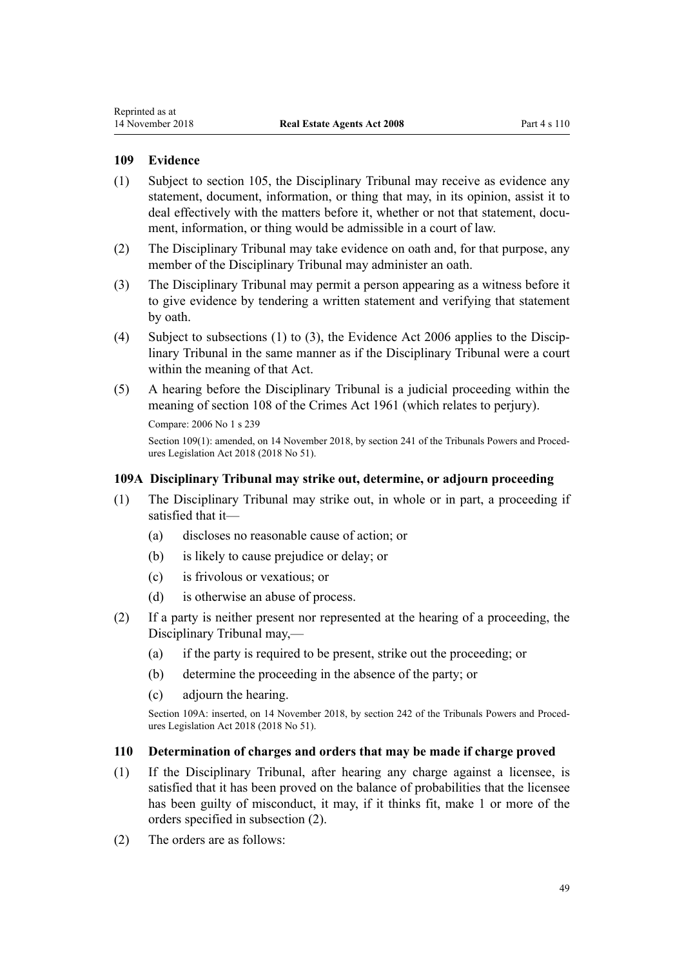## <span id="page-48-0"></span>**109 Evidence**

- (1) Subject to [section 105,](#page-46-0) the Disciplinary Tribunal may receive as evidence any statement, document, information, or thing that may, in its opinion, assist it to deal effectively with the matters before it, whether or not that statement, document, information, or thing would be admissible in a court of law.
- (2) The Disciplinary Tribunal may take evidence on oath and, for that purpose, any member of the Disciplinary Tribunal may administer an oath.
- (3) The Disciplinary Tribunal may permit a person appearing as a witness before it to give evidence by tendering a written statement and verifying that statement by oath.
- (4) Subject to subsections (1) to (3), the [Evidence Act 2006](http://prd-lgnz-nlb.prd.pco.net.nz/pdflink.aspx?id=DLM393462) applies to the Disciplinary Tribunal in the same manner as if the Disciplinary Tribunal were a court within the meaning of that Act.
- (5) A hearing before the Disciplinary Tribunal is a judicial proceeding within the meaning of [section 108](http://prd-lgnz-nlb.prd.pco.net.nz/pdflink.aspx?id=DLM328793) of the Crimes Act 1961 (which relates to perjury). Compare: 2006 No 1 [s 239](http://prd-lgnz-nlb.prd.pco.net.nz/pdflink.aspx?id=DLM366793)

Section 109(1): amended, on 14 November 2018, by [section 241](http://prd-lgnz-nlb.prd.pco.net.nz/pdflink.aspx?id=DLM7374544) of the Tribunals Powers and Procedures Legislation Act 2018 (2018 No 51).

## **109A Disciplinary Tribunal may strike out, determine, or adjourn proceeding**

- (1) The Disciplinary Tribunal may strike out, in whole or in part, a proceeding if satisfied that it—
	- (a) discloses no reasonable cause of action; or
	- (b) is likely to cause prejudice or delay; or
	- (c) is frivolous or vexatious; or
	- (d) is otherwise an abuse of process.
- (2) If a party is neither present nor represented at the hearing of a proceeding, the Disciplinary Tribunal may,—
	- (a) if the party is required to be present, strike out the proceeding; or
	- (b) determine the proceeding in the absence of the party; or
	- (c) adjourn the hearing.

Section 109A: inserted, on 14 November 2018, by [section 242](http://prd-lgnz-nlb.prd.pco.net.nz/pdflink.aspx?id=DLM7374545) of the Tribunals Powers and Procedures Legislation Act 2018 (2018 No 51).

## **110 Determination of charges and orders that may be made if charge proved**

- (1) If the Disciplinary Tribunal, after hearing any charge against a licensee, is satisfied that it has been proved on the balance of probabilities that the licensee has been guilty of misconduct, it may, if it thinks fit, make 1 or more of the orders specified in subsection (2).
- (2) The orders are as follows: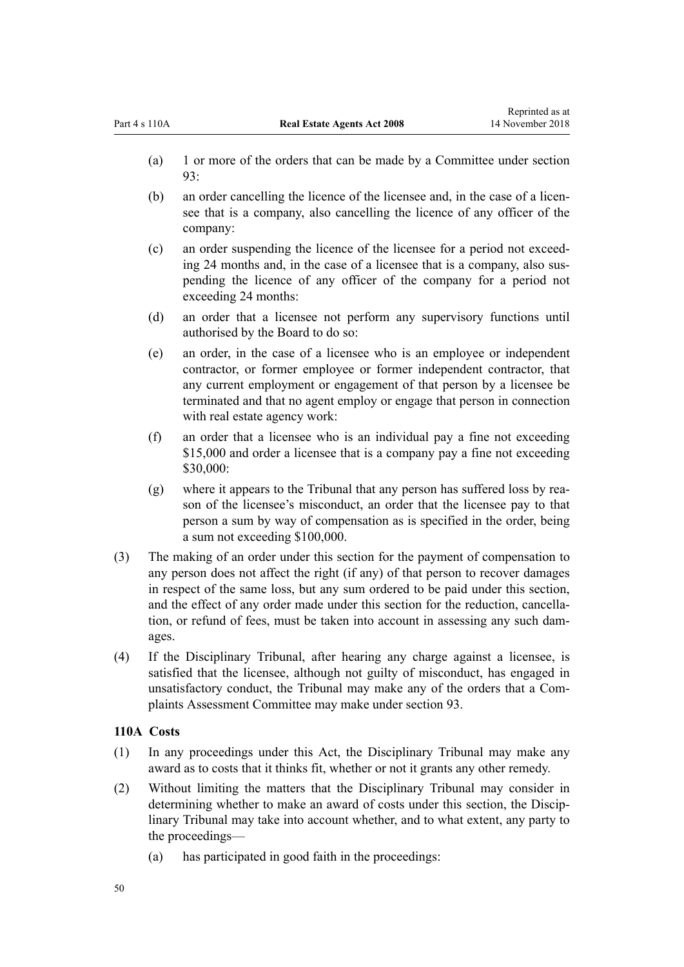- (a) 1 or more of the orders that can be made by a Committee under [section](#page-43-0) [93:](#page-43-0)
- (b) an order cancelling the licence of the licensee and, in the case of a licensee that is a company, also cancelling the licence of any officer of the company:
- (c) an order suspending the licence of the licensee for a period not exceeding 24 months and, in the case of a licensee that is a company, also suspending the licence of any officer of the company for a period not exceeding 24 months:
- (d) an order that a licensee not perform any supervisory functions until authorised by the Board to do so:
- (e) an order, in the case of a licensee who is an employee or independent contractor, or former employee or former independent contractor, that any current employment or engagement of that person by a licensee be terminated and that no agent employ or engage that person in connection with real estate agency work:
- (f) an order that a licensee who is an individual pay a fine not exceeding \$15,000 and order a licensee that is a company pay a fine not exceeding \$30,000:
- (g) where it appears to the Tribunal that any person has suffered loss by reason of the licensee's misconduct, an order that the licensee pay to that person a sum by way of compensation as is specified in the order, being a sum not exceeding \$100,000.
- (3) The making of an order under this section for the payment of compensation to any person does not affect the right (if any) of that person to recover damages in respect of the same loss, but any sum ordered to be paid under this section, and the effect of any order made under this section for the reduction, cancellation, or refund of fees, must be taken into account in assessing any such damages.
- (4) If the Disciplinary Tribunal, after hearing any charge against a licensee, is satisfied that the licensee, although not guilty of misconduct, has engaged in unsatisfactory conduct, the Tribunal may make any of the orders that a Complaints Assessment Committee may make under [section 93](#page-43-0).

## **110A Costs**

- (1) In any proceedings under this Act, the Disciplinary Tribunal may make any award as to costs that it thinks fit, whether or not it grants any other remedy.
- (2) Without limiting the matters that the Disciplinary Tribunal may consider in determining whether to make an award of costs under this section, the Disciplinary Tribunal may take into account whether, and to what extent, any party to the proceedings—
	- (a) has participated in good faith in the proceedings: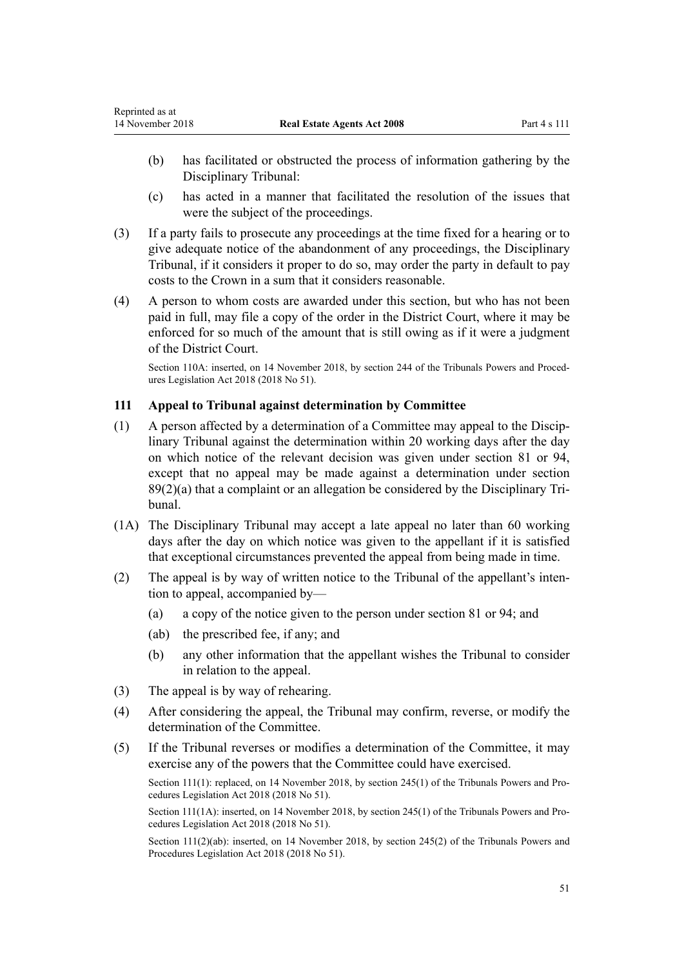- <span id="page-50-0"></span>(b) has facilitated or obstructed the process of information gathering by the Disciplinary Tribunal:
- (c) has acted in a manner that facilitated the resolution of the issues that were the subject of the proceedings.
- (3) If a party fails to prosecute any proceedings at the time fixed for a hearing or to give adequate notice of the abandonment of any proceedings, the Disciplinary Tribunal, if it considers it proper to do so, may order the party in default to pay costs to the Crown in a sum that it considers reasonable.
- (4) A person to whom costs are awarded under this section, but who has not been paid in full, may file a copy of the order in the District Court, where it may be enforced for so much of the amount that is still owing as if it were a judgment of the District Court.

Section 110A: inserted, on 14 November 2018, by [section 244](http://prd-lgnz-nlb.prd.pco.net.nz/pdflink.aspx?id=DLM7374548) of the Tribunals Powers and Procedures Legislation Act 2018 (2018 No 51).

# **111 Appeal to Tribunal against determination by Committee**

- (1) A person affected by a determination of a Committee may appeal to the Disciplinary Tribunal against the determination within 20 working days after the day on which notice of the relevant decision was given under [section 81](#page-39-0) or [94](#page-43-0), except that no appeal may be made against a determination under [section](#page-42-0) [89\(2\)\(a\)](#page-42-0) that a complaint or an allegation be considered by the Disciplinary Tribunal.
- (1A) The Disciplinary Tribunal may accept a late appeal no later than 60 working days after the day on which notice was given to the appellant if it is satisfied that exceptional circumstances prevented the appeal from being made in time.
- (2) The appeal is by way of written notice to the Tribunal of the appellant's intention to appeal, accompanied by—
	- (a) a copy of the notice given to the person under [section 81](#page-39-0) or [94](#page-43-0); and
	- (ab) the prescribed fee, if any; and
	- (b) any other information that the appellant wishes the Tribunal to consider in relation to the appeal.
- (3) The appeal is by way of rehearing.
- (4) After considering the appeal, the Tribunal may confirm, reverse, or modify the determination of the Committee.
- (5) If the Tribunal reverses or modifies a determination of the Committee, it may exercise any of the powers that the Committee could have exercised.

Section 111(1): replaced, on 14 November 2018, by [section 245\(1\)](http://prd-lgnz-nlb.prd.pco.net.nz/pdflink.aspx?id=DLM7374550) of the Tribunals Powers and Procedures Legislation Act 2018 (2018 No 51).

Section 111(1A): inserted, on 14 November 2018, by [section 245\(1\)](http://prd-lgnz-nlb.prd.pco.net.nz/pdflink.aspx?id=DLM7374550) of the Tribunals Powers and Procedures Legislation Act 2018 (2018 No 51).

Section 111(2)(ab): inserted, on 14 November 2018, by [section 245\(2\)](http://prd-lgnz-nlb.prd.pco.net.nz/pdflink.aspx?id=DLM7374550) of the Tribunals Powers and Procedures Legislation Act 2018 (2018 No 51).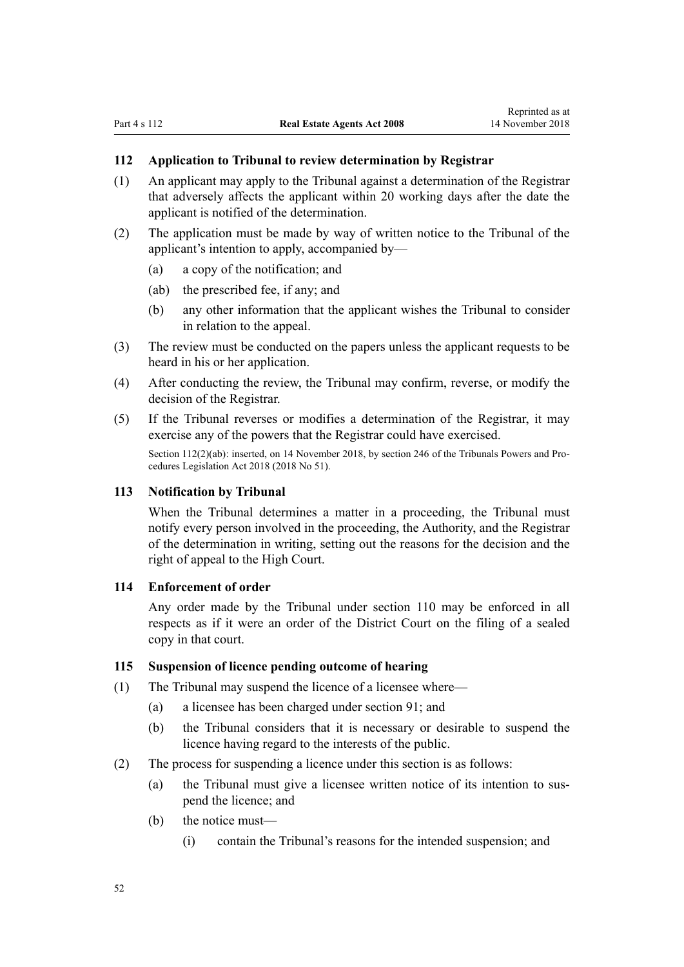## <span id="page-51-0"></span>**112 Application to Tribunal to review determination by Registrar**

- (1) An applicant may apply to the Tribunal against a determination of the Registrar that adversely affects the applicant within 20 working days after the date the applicant is notified of the determination.
- (2) The application must be made by way of written notice to the Tribunal of the applicant's intention to apply, accompanied by—
	- (a) a copy of the notification; and
	- (ab) the prescribed fee, if any; and
	- (b) any other information that the applicant wishes the Tribunal to consider in relation to the appeal.
- (3) The review must be conducted on the papers unless the applicant requests to be heard in his or her application.
- (4) After conducting the review, the Tribunal may confirm, reverse, or modify the decision of the Registrar.
- (5) If the Tribunal reverses or modifies a determination of the Registrar, it may exercise any of the powers that the Registrar could have exercised.

Section 112(2)(ab): inserted, on 14 November 2018, by [section 246](http://prd-lgnz-nlb.prd.pco.net.nz/pdflink.aspx?id=DLM7374551) of the Tribunals Powers and Procedures Legislation Act 2018 (2018 No 51).

#### **113 Notification by Tribunal**

When the Tribunal determines a matter in a proceeding, the Tribunal must notify every person involved in the proceeding, the Authority, and the Registrar of the determination in writing, setting out the reasons for the decision and the right of appeal to the High Court.

#### **114 Enforcement of order**

Any order made by the Tribunal under [section 110](#page-48-0) may be enforced in all respects as if it were an order of the District Court on the filing of a sealed copy in that court.

## **115 Suspension of licence pending outcome of hearing**

- (1) The Tribunal may suspend the licence of a licensee where—
	- (a) a licensee has been charged under [section 91;](#page-42-0) and
	- (b) the Tribunal considers that it is necessary or desirable to suspend the licence having regard to the interests of the public.
- (2) The process for suspending a licence under this section is as follows:
	- (a) the Tribunal must give a licensee written notice of its intention to suspend the licence; and
	- (b) the notice must—
		- (i) contain the Tribunal's reasons for the intended suspension; and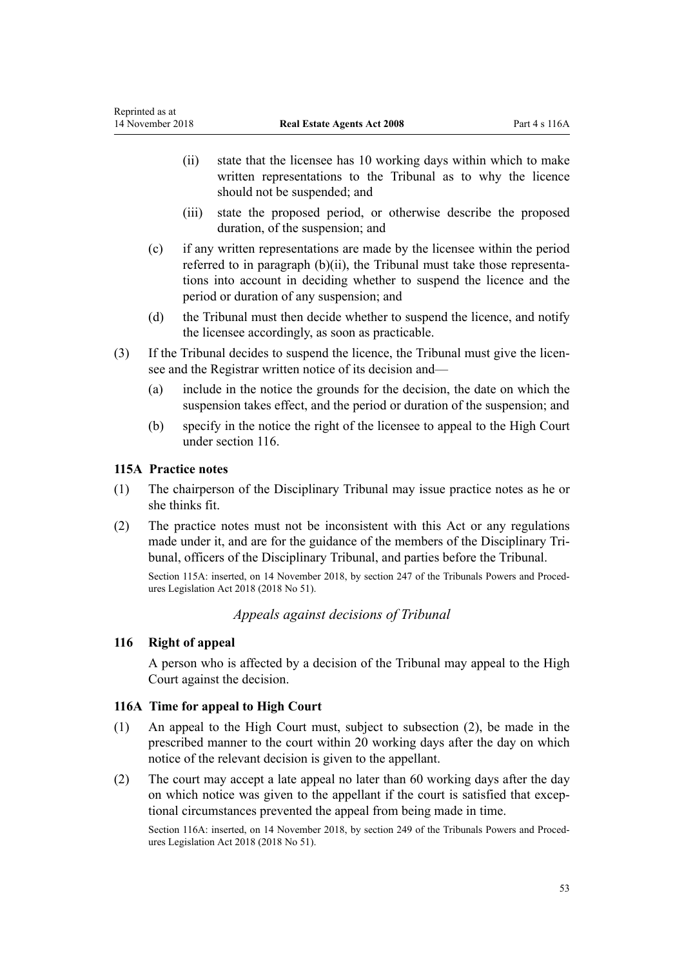- <span id="page-52-0"></span>(ii) state that the licensee has 10 working days within which to make written representations to the Tribunal as to why the licence should not be suspended; and
- (iii) state the proposed period, or otherwise describe the proposed duration, of the suspension; and
- (c) if any written representations are made by the licensee within the period referred to in paragraph (b)(ii), the Tribunal must take those representations into account in deciding whether to suspend the licence and the period or duration of any suspension; and
- (d) the Tribunal must then decide whether to suspend the licence, and notify the licensee accordingly, as soon as practicable.
- (3) If the Tribunal decides to suspend the licence, the Tribunal must give the licensee and the Registrar written notice of its decision and—
	- (a) include in the notice the grounds for the decision, the date on which the suspension takes effect, and the period or duration of the suspension; and
	- (b) specify in the notice the right of the licensee to appeal to the High Court under section 116.

## **115A Practice notes**

- (1) The chairperson of the Disciplinary Tribunal may issue practice notes as he or she thinks fit.
- (2) The practice notes must not be inconsistent with this Act or any regulations made under it, and are for the guidance of the members of the Disciplinary Tribunal, officers of the Disciplinary Tribunal, and parties before the Tribunal.

Section 115A: inserted, on 14 November 2018, by [section 247](http://prd-lgnz-nlb.prd.pco.net.nz/pdflink.aspx?id=DLM7374552) of the Tribunals Powers and Procedures Legislation Act 2018 (2018 No 51).

# *Appeals against decisions of Tribunal*

## **116 Right of appeal**

A person who is affected by a decision of the Tribunal may appeal to the High Court against the decision.

## **116A Time for appeal to High Court**

- (1) An appeal to the High Court must, subject to subsection (2), be made in the prescribed manner to the court within 20 working days after the day on which notice of the relevant decision is given to the appellant.
- (2) The court may accept a late appeal no later than 60 working days after the day on which notice was given to the appellant if the court is satisfied that exceptional circumstances prevented the appeal from being made in time.

Section 116A: inserted, on 14 November 2018, by [section 249](http://prd-lgnz-nlb.prd.pco.net.nz/pdflink.aspx?id=DLM7374556) of the Tribunals Powers and Procedures Legislation Act 2018 (2018 No 51).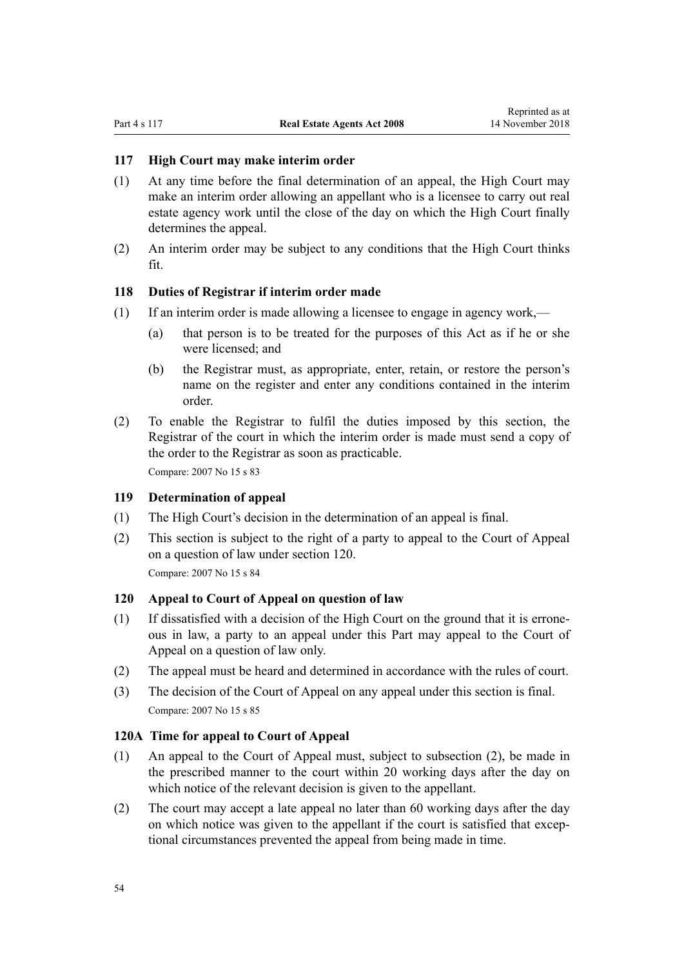## **117 High Court may make interim order**

- (1) At any time before the final determination of an appeal, the High Court may make an interim order allowing an appellant who is a licensee to carry out real estate agency work until the close of the day on which the High Court finally determines the appeal.
- (2) An interim order may be subject to any conditions that the High Court thinks fit.

## **118 Duties of Registrar if interim order made**

- (1) If an interim order is made allowing a licensee to engage in agency work,—
	- (a) that person is to be treated for the purposes of this Act as if he or she were licensed; and
	- (b) the Registrar must, as appropriate, enter, retain, or restore the person's name on the register and enter any conditions contained in the interim order.
- (2) To enable the Registrar to fulfil the duties imposed by this section, the Registrar of the court in which the interim order is made must send a copy of the order to the Registrar as soon as practicable.

Compare: 2007 No 15 [s 83](http://prd-lgnz-nlb.prd.pco.net.nz/pdflink.aspx?id=DLM407396)

## **119 Determination of appeal**

- (1) The High Court's decision in the determination of an appeal is final.
- (2) This section is subject to the right of a party to appeal to the Court of Appeal on a question of law under section 120.

Compare: 2007 No 15 [s 84](http://prd-lgnz-nlb.prd.pco.net.nz/pdflink.aspx?id=DLM407397)

## **120 Appeal to Court of Appeal on question of law**

- (1) If dissatisfied with a decision of the High Court on the ground that it is erroneous in law, a party to an appeal under this Part may appeal to the Court of Appeal on a question of law only.
- (2) The appeal must be heard and determined in accordance with the rules of court.
- (3) The decision of the Court of Appeal on any appeal under this section is final. Compare: 2007 No 15 [s 85](http://prd-lgnz-nlb.prd.pco.net.nz/pdflink.aspx?id=DLM407398)

### **120A Time for appeal to Court of Appeal**

- (1) An appeal to the Court of Appeal must, subject to subsection (2), be made in the prescribed manner to the court within 20 working days after the day on which notice of the relevant decision is given to the appellant.
- (2) The court may accept a late appeal no later than 60 working days after the day on which notice was given to the appellant if the court is satisfied that exceptional circumstances prevented the appeal from being made in time.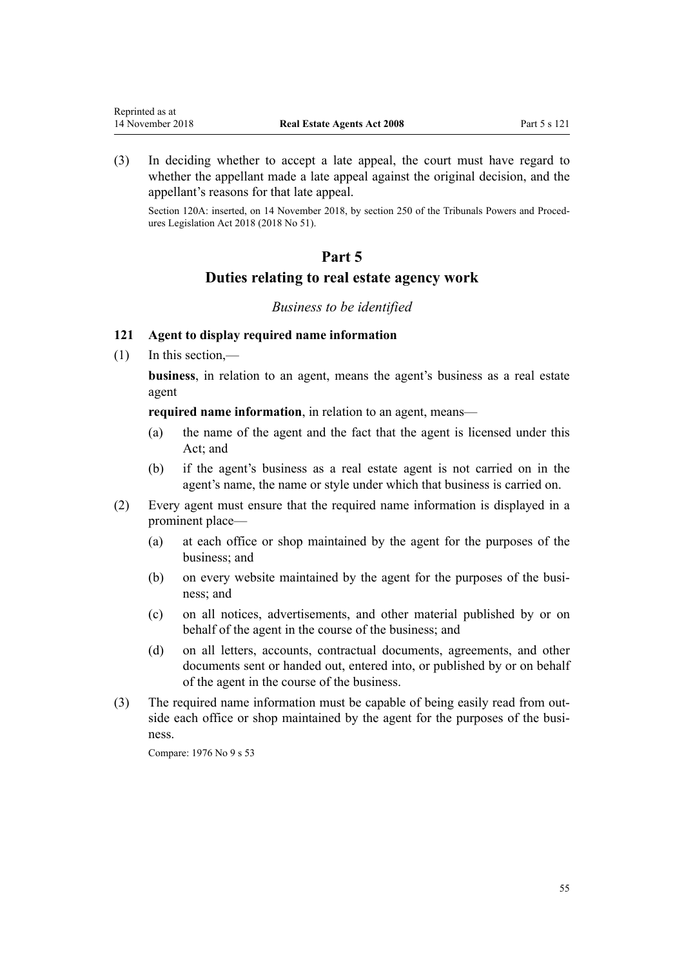(3) In deciding whether to accept a late appeal, the court must have regard to whether the appellant made a late appeal against the original decision, and the appellant's reasons for that late appeal.

Section 120A: inserted, on 14 November 2018, by [section 250](http://prd-lgnz-nlb.prd.pco.net.nz/pdflink.aspx?id=DLM7374558) of the Tribunals Powers and Procedures Legislation Act 2018 (2018 No 51).

# **Part 5**

# **Duties relating to real estate agency work**

### *Business to be identified*

# **121 Agent to display required name information**

(1) In this section,—

**business**, in relation to an agent, means the agent's business as a real estate agent

**required name information**, in relation to an agent, means—

- (a) the name of the agent and the fact that the agent is licensed under this Act; and
- (b) if the agent's business as a real estate agent is not carried on in the agent's name, the name or style under which that business is carried on.
- (2) Every agent must ensure that the required name information is displayed in a prominent place—
	- (a) at each office or shop maintained by the agent for the purposes of the business; and
	- (b) on every website maintained by the agent for the purposes of the business; and
	- (c) on all notices, advertisements, and other material published by or on behalf of the agent in the course of the business; and
	- (d) on all letters, accounts, contractual documents, agreements, and other documents sent or handed out, entered into, or published by or on behalf of the agent in the course of the business.
- (3) The required name information must be capable of being easily read from outside each office or shop maintained by the agent for the purposes of the business.

Compare: 1976 No 9 [s 53](http://prd-lgnz-nlb.prd.pco.net.nz/pdflink.aspx?id=DLM438448)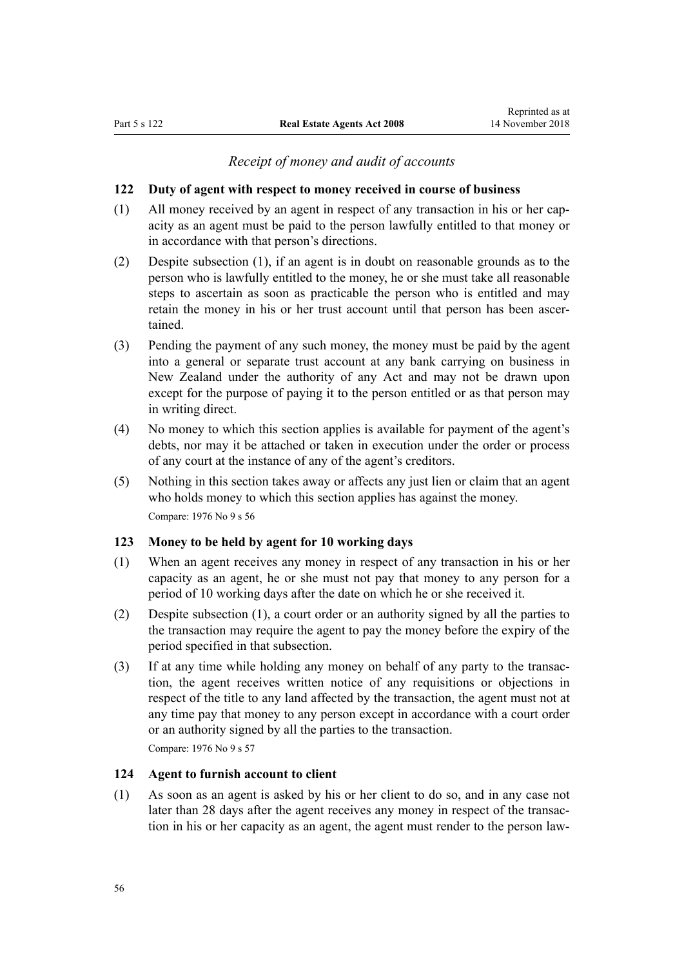## *Receipt of money and audit of accounts*

### <span id="page-55-0"></span>**122 Duty of agent with respect to money received in course of business**

- (1) All money received by an agent in respect of any transaction in his or her capacity as an agent must be paid to the person lawfully entitled to that money or in accordance with that person's directions.
- (2) Despite subsection (1), if an agent is in doubt on reasonable grounds as to the person who is lawfully entitled to the money, he or she must take all reasonable steps to ascertain as soon as practicable the person who is entitled and may retain the money in his or her trust account until that person has been ascertained.
- (3) Pending the payment of any such money, the money must be paid by the agent into a general or separate trust account at any bank carrying on business in New Zealand under the authority of any Act and may not be drawn upon except for the purpose of paying it to the person entitled or as that person may in writing direct.
- (4) No money to which this section applies is available for payment of the agent's debts, nor may it be attached or taken in execution under the order or process of any court at the instance of any of the agent's creditors.
- (5) Nothing in this section takes away or affects any just lien or claim that an agent who holds money to which this section applies has against the money. Compare: 1976 No 9 [s 56](http://prd-lgnz-nlb.prd.pco.net.nz/pdflink.aspx?id=DLM438482)

#### **123 Money to be held by agent for 10 working days**

- (1) When an agent receives any money in respect of any transaction in his or her capacity as an agent, he or she must not pay that money to any person for a period of 10 working days after the date on which he or she received it.
- (2) Despite subsection (1), a court order or an authority signed by all the parties to the transaction may require the agent to pay the money before the expiry of the period specified in that subsection.
- (3) If at any time while holding any money on behalf of any party to the transaction, the agent receives written notice of any requisitions or objections in respect of the title to any land affected by the transaction, the agent must not at any time pay that money to any person except in accordance with a court order or an authority signed by all the parties to the transaction. Compare: 1976 No 9 [s 57](http://prd-lgnz-nlb.prd.pco.net.nz/pdflink.aspx?id=DLM438486)

### **124 Agent to furnish account to client**

(1) As soon as an agent is asked by his or her client to do so, and in any case not later than 28 days after the agent receives any money in respect of the transaction in his or her capacity as an agent, the agent must render to the person law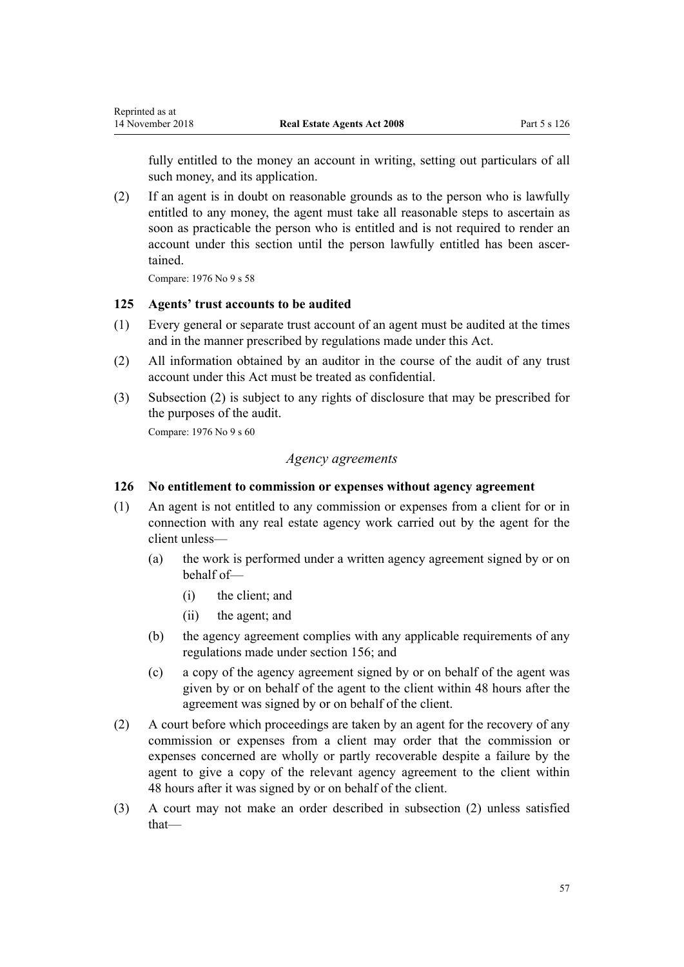<span id="page-56-0"></span>fully entitled to the money an account in writing, setting out particulars of all such money, and its application.

(2) If an agent is in doubt on reasonable grounds as to the person who is lawfully entitled to any money, the agent must take all reasonable steps to ascertain as soon as practicable the person who is entitled and is not required to render an account under this section until the person lawfully entitled has been ascertained.

Compare: 1976 No 9 [s 58](http://prd-lgnz-nlb.prd.pco.net.nz/pdflink.aspx?id=DLM438489)

## **125 Agents' trust accounts to be audited**

- (1) Every general or separate trust account of an agent must be audited at the times and in the manner prescribed by regulations made under this Act.
- (2) All information obtained by an auditor in the course of the audit of any trust account under this Act must be treated as confidential.
- (3) Subsection (2) is subject to any rights of disclosure that may be prescribed for the purposes of the audit.

Compare: 1976 No 9 [s 60](http://prd-lgnz-nlb.prd.pco.net.nz/pdflink.aspx?id=DLM438499)

## *Agency agreements*

## **126 No entitlement to commission or expenses without agency agreement**

- (1) An agent is not entitled to any commission or expenses from a client for or in connection with any real estate agency work carried out by the agent for the client unless—
	- (a) the work is performed under a written agency agreement signed by or on behalf of—
		- (i) the client; and
		- (ii) the agent; and
	- (b) the agency agreement complies with any applicable requirements of any regulations made under [section 156;](#page-68-0) and
	- (c) a copy of the agency agreement signed by or on behalf of the agent was given by or on behalf of the agent to the client within 48 hours after the agreement was signed by or on behalf of the client.
- (2) A court before which proceedings are taken by an agent for the recovery of any commission or expenses from a client may order that the commission or expenses concerned are wholly or partly recoverable despite a failure by the agent to give a copy of the relevant agency agreement to the client within 48 hours after it was signed by or on behalf of the client.
- (3) A court may not make an order described in subsection (2) unless satisfied that—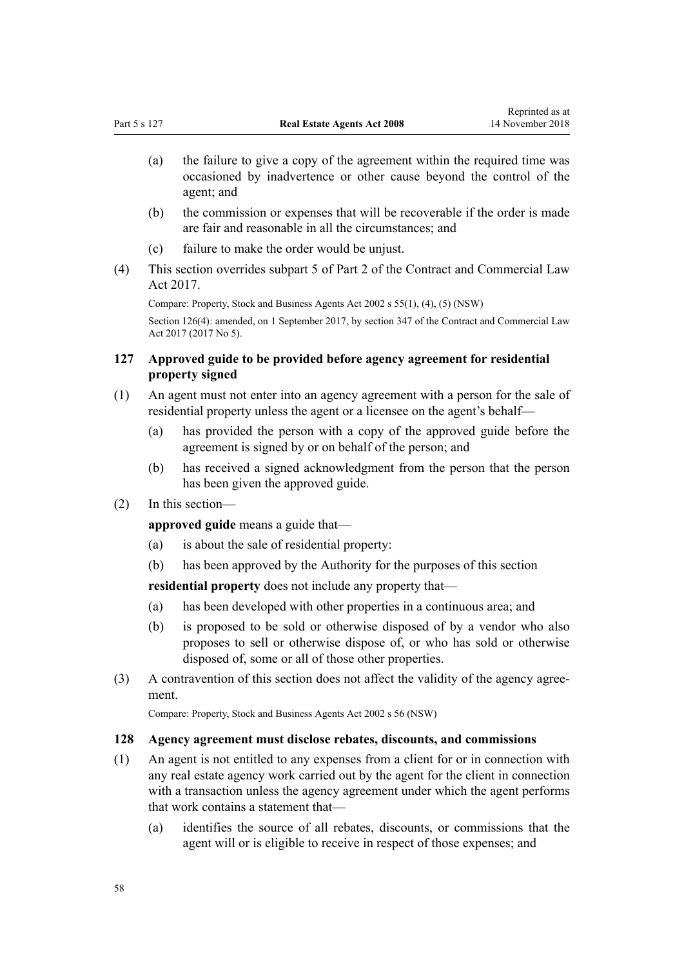- <span id="page-57-0"></span>(a) the failure to give a copy of the agreement within the required time was occasioned by inadvertence or other cause beyond the control of the agent; and
- (b) the commission or expenses that will be recoverable if the order is made are fair and reasonable in all the circumstances; and
- (c) failure to make the order would be unjust.
- (4) This section overrides [subpart 5](http://prd-lgnz-nlb.prd.pco.net.nz/pdflink.aspx?id=DLM6844158) of Part 2 of the Contract and Commercial Law Act 2017.

Compare: Property, Stock and Business Agents Act 2002 s 55(1), (4), (5) (NSW) Section 126(4): amended, on 1 September 2017, by [section 347](http://prd-lgnz-nlb.prd.pco.net.nz/pdflink.aspx?id=DLM6844761) of the Contract and Commercial Law Act 2017 (2017 No 5).

## **127 Approved guide to be provided before agency agreement for residential property signed**

- (1) An agent must not enter into an agency agreement with a person for the sale of residential property unless the agent or a licensee on the agent's behalf—
	- (a) has provided the person with a copy of the approved guide before the agreement is signed by or on behalf of the person; and
	- (b) has received a signed acknowledgment from the person that the person has been given the approved guide.
- (2) In this section—

**approved guide** means a guide that—

- (a) is about the sale of residential property:
- (b) has been approved by the Authority for the purposes of this section

**residential property** does not include any property that—

- (a) has been developed with other properties in a continuous area; and
- (b) is proposed to be sold or otherwise disposed of by a vendor who also proposes to sell or otherwise dispose of, or who has sold or otherwise disposed of, some or all of those other properties.
- (3) A contravention of this section does not affect the validity of the agency agreement.

Compare: Property, Stock and Business Agents Act 2002 s 56 (NSW)

### **128 Agency agreement must disclose rebates, discounts, and commissions**

- (1) An agent is not entitled to any expenses from a client for or in connection with any real estate agency work carried out by the agent for the client in connection with a transaction unless the agency agreement under which the agent performs that work contains a statement that—
	- (a) identifies the source of all rebates, discounts, or commissions that the agent will or is eligible to receive in respect of those expenses; and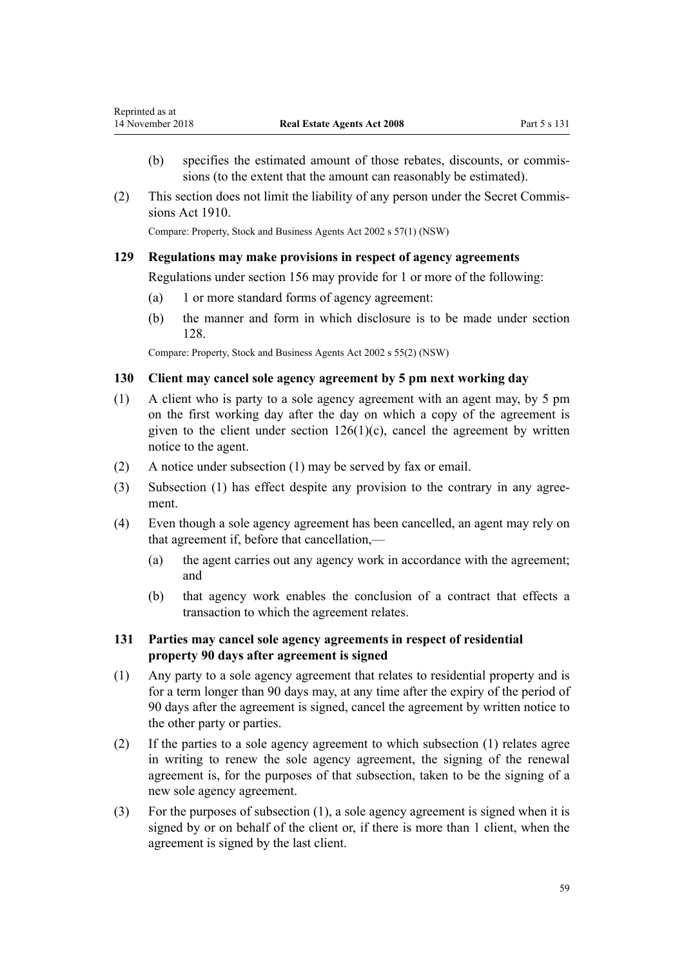- (b) specifies the estimated amount of those rebates, discounts, or commissions (to the extent that the amount can reasonably be estimated).
- (2) This section does not limit the liability of any person under the [Secret Commis](http://prd-lgnz-nlb.prd.pco.net.nz/pdflink.aspx?id=DLM177642)[sions Act 1910](http://prd-lgnz-nlb.prd.pco.net.nz/pdflink.aspx?id=DLM177642).

Compare: Property, Stock and Business Agents Act 2002 s 57(1) (NSW)

## **129 Regulations may make provisions in respect of agency agreements**

Regulations under [section 156](#page-68-0) may provide for 1 or more of the following:

- (a) 1 or more standard forms of agency agreement:
- (b) the manner and form in which disclosure is to be made under [section](#page-57-0) [128](#page-57-0).

Compare: Property, Stock and Business Agents Act 2002 s 55(2) (NSW)

## **130 Client may cancel sole agency agreement by 5 pm next working day**

- (1) A client who is party to a sole agency agreement with an agent may, by 5 pm on the first working day after the day on which a copy of the agreement is given to the client under section  $126(1)(c)$ , cancel the agreement by written notice to the agent.
- (2) A notice under subsection (1) may be served by fax or email.
- (3) Subsection (1) has effect despite any provision to the contrary in any agreement.
- (4) Even though a sole agency agreement has been cancelled, an agent may rely on that agreement if, before that cancellation,—
	- (a) the agent carries out any agency work in accordance with the agreement; and
	- (b) that agency work enables the conclusion of a contract that effects a transaction to which the agreement relates.

## **131 Parties may cancel sole agency agreements in respect of residential property 90 days after agreement is signed**

- (1) Any party to a sole agency agreement that relates to residential property and is for a term longer than 90 days may, at any time after the expiry of the period of 90 days after the agreement is signed, cancel the agreement by written notice to the other party or parties.
- (2) If the parties to a sole agency agreement to which subsection (1) relates agree in writing to renew the sole agency agreement, the signing of the renewal agreement is, for the purposes of that subsection, taken to be the signing of a new sole agency agreement.
- (3) For the purposes of subsection (1), a sole agency agreement is signed when it is signed by or on behalf of the client or, if there is more than 1 client, when the agreement is signed by the last client.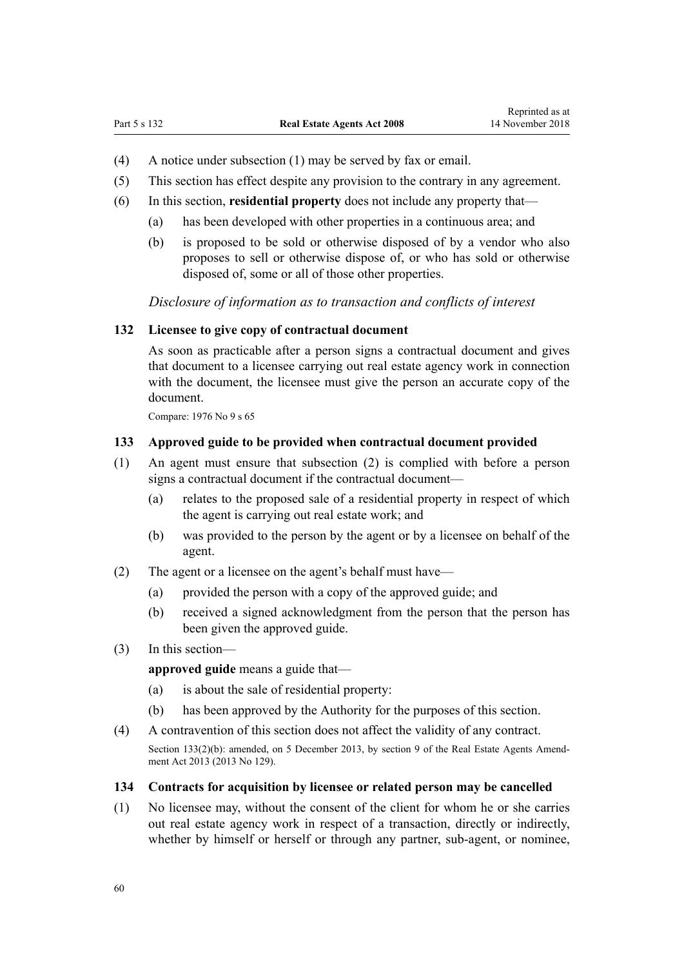- <span id="page-59-0"></span>(4) A notice under subsection (1) may be served by fax or email.
- (5) This section has effect despite any provision to the contrary in any agreement.
- (6) In this section, **residential property** does not include any property that—
	- (a) has been developed with other properties in a continuous area; and
	- (b) is proposed to be sold or otherwise disposed of by a vendor who also proposes to sell or otherwise dispose of, or who has sold or otherwise disposed of, some or all of those other properties.

*Disclosure of information as to transaction and conflicts of interest*

## **132 Licensee to give copy of contractual document**

As soon as practicable after a person signs a contractual document and gives that document to a licensee carrying out real estate agency work in connection with the document, the licensee must give the person an accurate copy of the document.

Compare: 1976 No 9 [s 65](http://prd-lgnz-nlb.prd.pco.net.nz/pdflink.aspx?id=DLM438521)

#### **133 Approved guide to be provided when contractual document provided**

- (1) An agent must ensure that subsection (2) is complied with before a person signs a contractual document if the contractual document—
	- (a) relates to the proposed sale of a residential property in respect of which the agent is carrying out real estate work; and
	- (b) was provided to the person by the agent or by a licensee on behalf of the agent.
- (2) The agent or a licensee on the agent's behalf must have—
	- (a) provided the person with a copy of the approved guide; and
	- (b) received a signed acknowledgment from the person that the person has been given the approved guide.
- (3) In this section—

**approved guide** means a guide that—

- (a) is about the sale of residential property:
- (b) has been approved by the Authority for the purposes of this section.
- (4) A contravention of this section does not affect the validity of any contract.

Section 133(2)(b): amended, on 5 December 2013, by [section 9](http://prd-lgnz-nlb.prd.pco.net.nz/pdflink.aspx?id=DLM5624114) of the Real Estate Agents Amendment Act 2013 (2013 No 129).

#### **134 Contracts for acquisition by licensee or related person may be cancelled**

(1) No licensee may, without the consent of the client for whom he or she carries out real estate agency work in respect of a transaction, directly or indirectly, whether by himself or herself or through any partner, sub-agent, or nominee,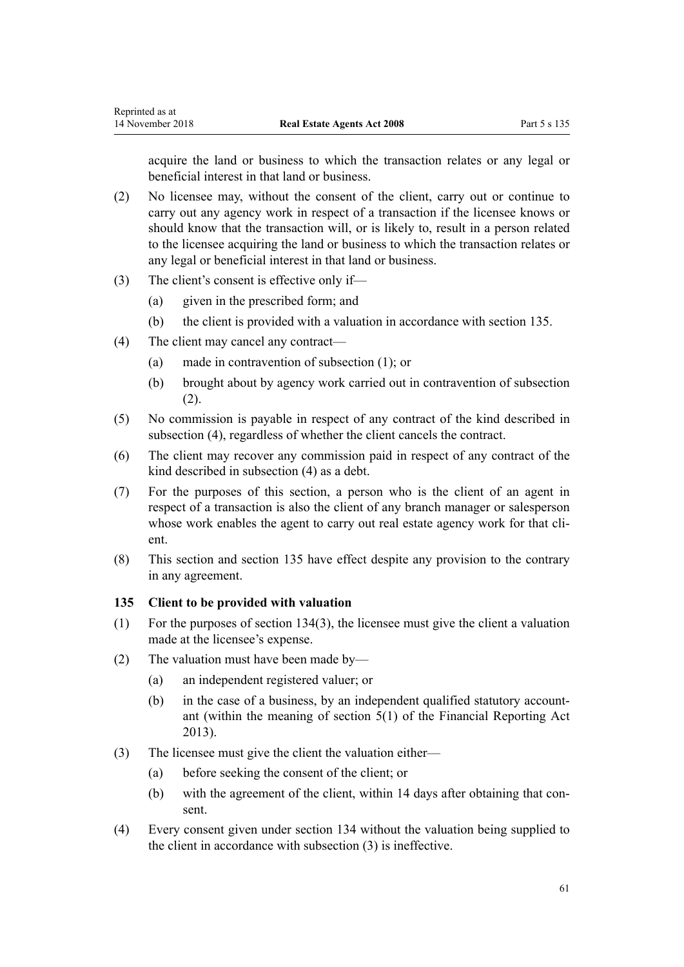acquire the land or business to which the transaction relates or any legal or beneficial interest in that land or business.

- (2) No licensee may, without the consent of the client, carry out or continue to carry out any agency work in respect of a transaction if the licensee knows or should know that the transaction will, or is likely to, result in a person related to the licensee acquiring the land or business to which the transaction relates or any legal or beneficial interest in that land or business.
- (3) The client's consent is effective only if—
	- (a) given in the prescribed form; and
	- (b) the client is provided with a valuation in accordance with section 135.
- (4) The client may cancel any contract—
	- (a) made in contravention of subsection (1); or
	- (b) brought about by agency work carried out in contravention of subsection (2).
- (5) No commission is payable in respect of any contract of the kind described in subsection (4), regardless of whether the client cancels the contract.
- (6) The client may recover any commission paid in respect of any contract of the kind described in subsection (4) as a debt.
- (7) For the purposes of this section, a person who is the client of an agent in respect of a transaction is also the client of any branch manager or salesperson whose work enables the agent to carry out real estate agency work for that client.
- (8) This section and section 135 have effect despite any provision to the contrary in any agreement.

## **135 Client to be provided with valuation**

- (1) For the purposes of [section 134\(3\)](#page-59-0), the licensee must give the client a valuation made at the licensee's expense.
- (2) The valuation must have been made by—
	- (a) an independent registered valuer; or
	- (b) in the case of a business, by an independent qualified statutory accountant (within the meaning of [section 5\(1\)](http://prd-lgnz-nlb.prd.pco.net.nz/pdflink.aspx?id=DLM4632837) of the Financial Reporting Act 2013).
- (3) The licensee must give the client the valuation either—
	- (a) before seeking the consent of the client; or
	- (b) with the agreement of the client, within 14 days after obtaining that consent.
- (4) Every consent given under [section 134](#page-59-0) without the valuation being supplied to the client in accordance with subsection (3) is ineffective.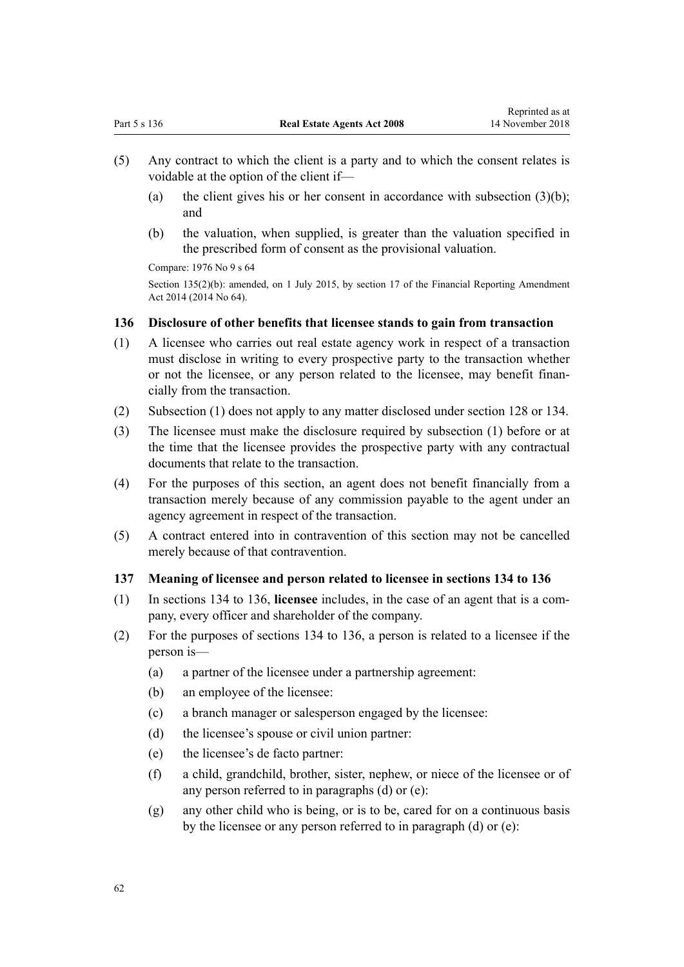- <span id="page-61-0"></span>(5) Any contract to which the client is a party and to which the consent relates is voidable at the option of the client if—
	- (a) the client gives his or her consent in accordance with subsection  $(3)(b)$ ; and
	- (b) the valuation, when supplied, is greater than the valuation specified in the prescribed form of consent as the provisional valuation.

Compare: 1976 No 9 [s 64](http://prd-lgnz-nlb.prd.pco.net.nz/pdflink.aspx?id=DLM438516)

Section 135(2)(b): amended, on 1 July 2015, by [section 17](http://prd-lgnz-nlb.prd.pco.net.nz/pdflink.aspx?id=DLM6188335) of the Financial Reporting Amendment Act 2014 (2014 No 64).

## **136 Disclosure of other benefits that licensee stands to gain from transaction**

- (1) A licensee who carries out real estate agency work in respect of a transaction must disclose in writing to every prospective party to the transaction whether or not the licensee, or any person related to the licensee, may benefit financially from the transaction.
- (2) Subsection (1) does not apply to any matter disclosed under [section 128](#page-57-0) or [134](#page-59-0).
- (3) The licensee must make the disclosure required by subsection (1) before or at the time that the licensee provides the prospective party with any contractual documents that relate to the transaction.
- (4) For the purposes of this section, an agent does not benefit financially from a transaction merely because of any commission payable to the agent under an agency agreement in respect of the transaction.
- (5) A contract entered into in contravention of this section may not be cancelled merely because of that contravention.

## **137 Meaning of licensee and person related to licensee in sections 134 to 136**

- (1) In [sections 134](#page-59-0) to 136, **licensee** includes, in the case of an agent that is a company, every officer and shareholder of the company.
- (2) For the purposes of [sections 134](#page-59-0) to 136, a person is related to a licensee if the person is—
	- (a) a partner of the licensee under a partnership agreement:
	- (b) an employee of the licensee:
	- (c) a branch manager or salesperson engaged by the licensee:
	- (d) the licensee's spouse or civil union partner:
	- (e) the licensee's de facto partner:
	- (f) a child, grandchild, brother, sister, nephew, or niece of the licensee or of any person referred to in paragraphs (d) or (e):
	- (g) any other child who is being, or is to be, cared for on a continuous basis by the licensee or any person referred to in paragraph (d) or (e):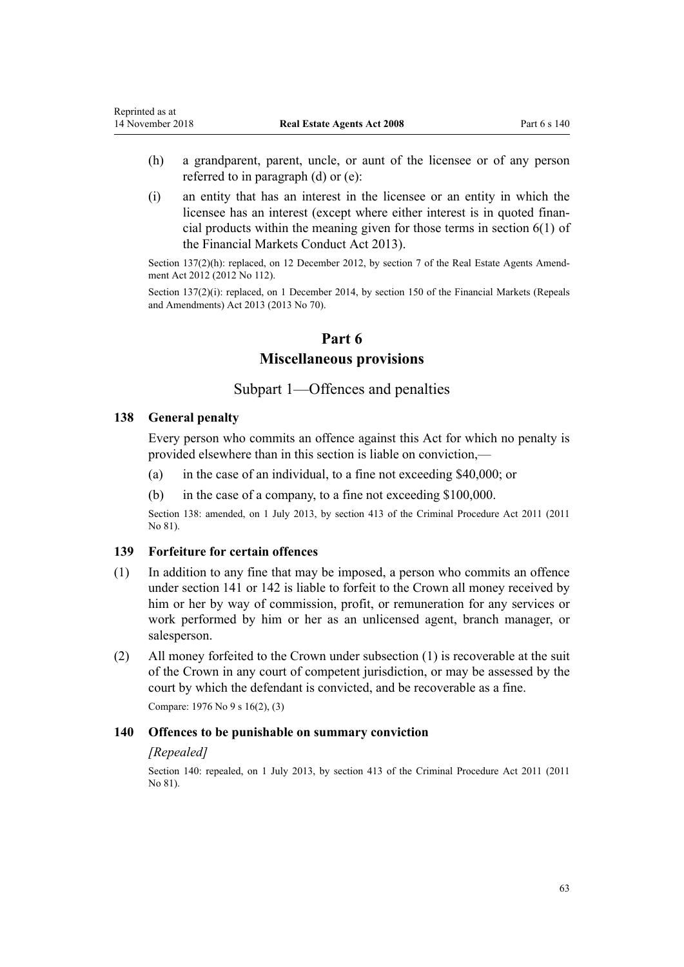- (h) a grandparent, parent, uncle, or aunt of the licensee or of any person referred to in paragraph (d) or (e):
- (i) an entity that has an interest in the licensee or an entity in which the licensee has an interest (except where either interest is in quoted financial products within the meaning given for those terms in [section 6\(1\)](http://prd-lgnz-nlb.prd.pco.net.nz/pdflink.aspx?id=DLM4090590) of the Financial Markets Conduct Act 2013).

Section 137(2)(h): replaced, on 12 December 2012, by [section 7](http://prd-lgnz-nlb.prd.pco.net.nz/pdflink.aspx?id=DLM4991115) of the Real Estate Agents Amendment Act 2012 (2012 No 112).

Section 137(2)(i): replaced, on 1 December 2014, by [section 150](http://prd-lgnz-nlb.prd.pco.net.nz/pdflink.aspx?id=DLM5561603) of the Financial Markets (Repeals and Amendments) Act 2013 (2013 No 70).

## **Part 6**

## **Miscellaneous provisions**

# Subpart 1—Offences and penalties

#### **138 General penalty**

Every person who commits an offence against this Act for which no penalty is provided elsewhere than in this section is liable on conviction,—

- (a) in the case of an individual, to a fine not exceeding \$40,000; or
- (b) in the case of a company, to a fine not exceeding \$100,000.

Section 138: amended, on 1 July 2013, by section 413 of the Criminal Procedure Act 2011 (2011 No 81).

### **139 Forfeiture for certain offences**

- (1) In addition to any fine that may be imposed, a person who commits an offence under [section 141](#page-63-0) or [142](#page-63-0) is liable to forfeit to the Crown all money received by him or her by way of commission, profit, or remuneration for any services or work performed by him or her as an unlicensed agent, branch manager, or salesperson.
- (2) All money forfeited to the Crown under subsection (1) is recoverable at the suit of the Crown in any court of competent jurisdiction, or may be assessed by the court by which the defendant is convicted, and be recoverable as a fine. Compare: 1976 No 9 [s 16\(2\)](http://prd-lgnz-nlb.prd.pco.net.nz/pdflink.aspx?id=DLM438171), (3)

#### **140 Offences to be punishable on summary conviction**

### *[Repealed]*

Section 140: repealed, on 1 July 2013, by [section 413](http://prd-lgnz-nlb.prd.pco.net.nz/pdflink.aspx?id=DLM3360714) of the Criminal Procedure Act 2011 (2011 No 81).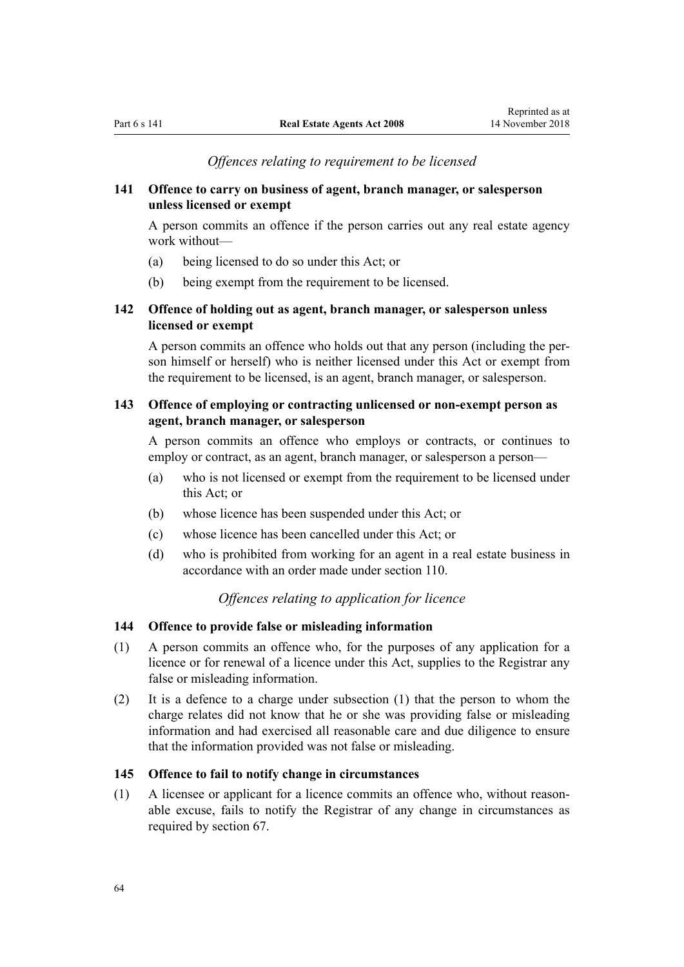### *Offences relating to requirement to be licensed*

## <span id="page-63-0"></span>**141 Offence to carry on business of agent, branch manager, or salesperson unless licensed or exempt**

A person commits an offence if the person carries out any real estate agency work without—

- (a) being licensed to do so under this Act; or
- (b) being exempt from the requirement to be licensed.

# **142 Offence of holding out as agent, branch manager, or salesperson unless licensed or exempt**

A person commits an offence who holds out that any person (including the person himself or herself) who is neither licensed under this Act or exempt from the requirement to be licensed, is an agent, branch manager, or salesperson.

# **143 Offence of employing or contracting unlicensed or non-exempt person as agent, branch manager, or salesperson**

A person commits an offence who employs or contracts, or continues to employ or contract, as an agent, branch manager, or salesperson a person—

- (a) who is not licensed or exempt from the requirement to be licensed under this Act; or
- (b) whose licence has been suspended under this Act; or
- (c) whose licence has been cancelled under this Act; or
- (d) who is prohibited from working for an agent in a real estate business in accordance with an order made under [section 110](#page-48-0).

# *Offences relating to application for licence*

### **144 Offence to provide false or misleading information**

- (1) A person commits an offence who, for the purposes of any application for a licence or for renewal of a licence under this Act, supplies to the Registrar any false or misleading information.
- (2) It is a defence to a charge under subsection (1) that the person to whom the charge relates did not know that he or she was providing false or misleading information and had exercised all reasonable care and due diligence to ensure that the information provided was not false or misleading.

## **145 Offence to fail to notify change in circumstances**

(1) A licensee or applicant for a licence commits an offence who, without reasonable excuse, fails to notify the Registrar of any change in circumstances as required by [section 67.](#page-34-0)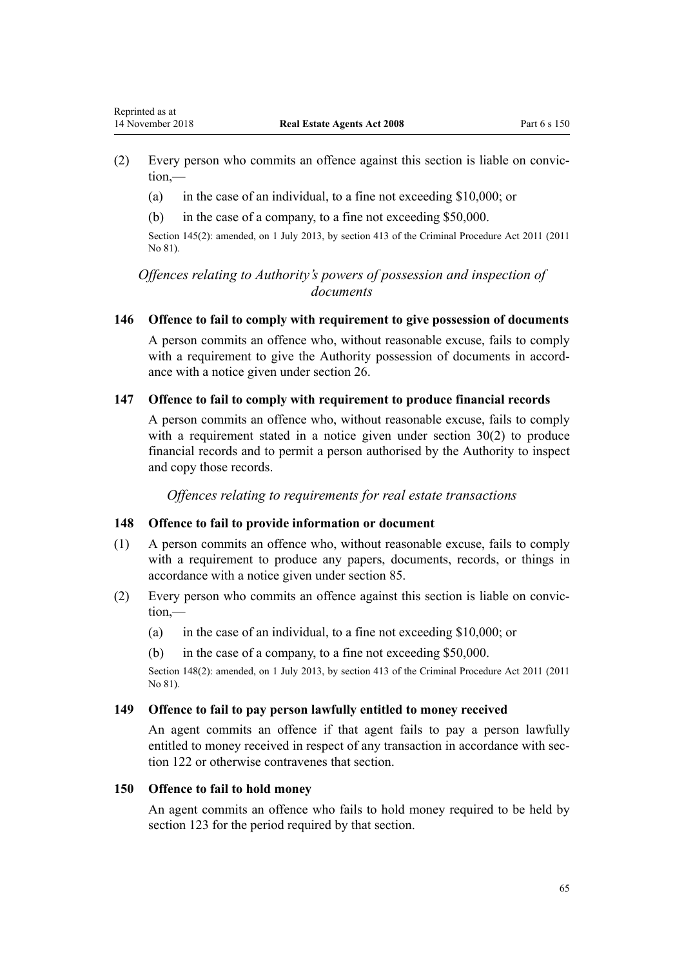- (2) Every person who commits an offence against this section is liable on conviction,—
	- (a) in the case of an individual, to a fine not exceeding \$10,000; or
	- (b) in the case of a company, to a fine not exceeding \$50,000.

Section 145(2): amended, on 1 July 2013, by [section 413](http://prd-lgnz-nlb.prd.pco.net.nz/pdflink.aspx?id=DLM3360714) of the Criminal Procedure Act 2011 (2011 No 81).

# *Offences relating to Authority's powers of possession and inspection of documents*

### **146 Offence to fail to comply with requirement to give possession of documents**

A person commits an offence who, without reasonable excuse, fails to comply with a requirement to give the Authority possession of documents in accordance with a notice given under [section 26.](#page-18-0)

### **147 Offence to fail to comply with requirement to produce financial records**

A person commits an offence who, without reasonable excuse, fails to comply with a requirement stated in a notice given under [section 30\(2\)](#page-19-0) to produce financial records and to permit a person authorised by the Authority to inspect and copy those records.

*Offences relating to requirements for real estate transactions*

## **148 Offence to fail to provide information or document**

- (1) A person commits an offence who, without reasonable excuse, fails to comply with a requirement to produce any papers, documents, records, or things in accordance with a notice given under [section 85](#page-40-0).
- (2) Every person who commits an offence against this section is liable on conviction,—
	- (a) in the case of an individual, to a fine not exceeding \$10,000; or
	- (b) in the case of a company, to a fine not exceeding \$50,000.

Section 148(2): amended, on 1 July 2013, by [section 413](http://prd-lgnz-nlb.prd.pco.net.nz/pdflink.aspx?id=DLM3360714) of the Criminal Procedure Act 2011 (2011 No 81).

## **149 Offence to fail to pay person lawfully entitled to money received**

An agent commits an offence if that agent fails to pay a person lawfully entitled to money received in respect of any transaction in accordance with [sec](#page-55-0)[tion 122](#page-55-0) or otherwise contravenes that section.

#### **150 Offence to fail to hold money**

An agent commits an offence who fails to hold money required to be held by [section 123](#page-55-0) for the period required by that section.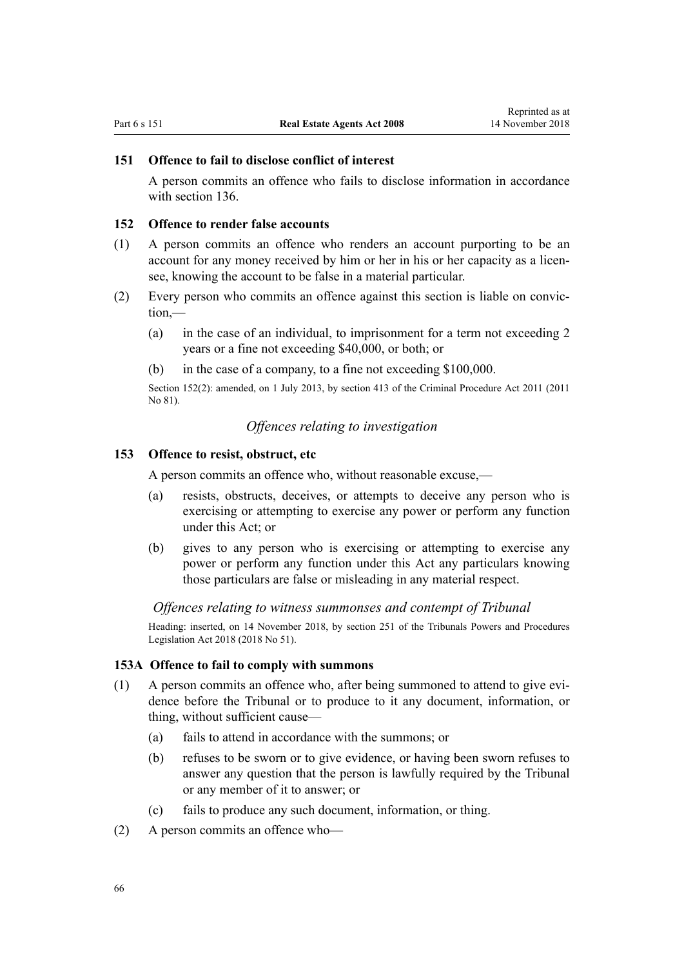## **151 Offence to fail to disclose conflict of interest**

A person commits an offence who fails to disclose information in accordance with [section 136](#page-61-0)

### **152 Offence to render false accounts**

- (1) A person commits an offence who renders an account purporting to be an account for any money received by him or her in his or her capacity as a licensee, knowing the account to be false in a material particular.
- (2) Every person who commits an offence against this section is liable on conviction,—
	- (a) in the case of an individual, to imprisonment for a term not exceeding 2 years or a fine not exceeding \$40,000, or both; or
	- (b) in the case of a company, to a fine not exceeding \$100,000.

Section 152(2): amended, on 1 July 2013, by [section 413](http://prd-lgnz-nlb.prd.pco.net.nz/pdflink.aspx?id=DLM3360714) of the Criminal Procedure Act 2011 (2011 No 81).

## *Offences relating to investigation*

### **153 Offence to resist, obstruct, etc**

A person commits an offence who, without reasonable excuse,—

- (a) resists, obstructs, deceives, or attempts to deceive any person who is exercising or attempting to exercise any power or perform any function under this Act; or
- (b) gives to any person who is exercising or attempting to exercise any power or perform any function under this Act any particulars knowing those particulars are false or misleading in any material respect.

#### *Offences relating to witness summonses and contempt of Tribunal*

Heading: inserted, on 14 November 2018, by [section 251](http://prd-lgnz-nlb.prd.pco.net.nz/pdflink.aspx?id=DLM7374560) of the Tribunals Powers and Procedures Legislation Act 2018 (2018 No 51).

#### **153A Offence to fail to comply with summons**

- (1) A person commits an offence who, after being summoned to attend to give evidence before the Tribunal or to produce to it any document, information, or thing, without sufficient cause—
	- (a) fails to attend in accordance with the summons; or
	- (b) refuses to be sworn or to give evidence, or having been sworn refuses to answer any question that the person is lawfully required by the Tribunal or any member of it to answer; or
	- (c) fails to produce any such document, information, or thing.
- (2) A person commits an offence who—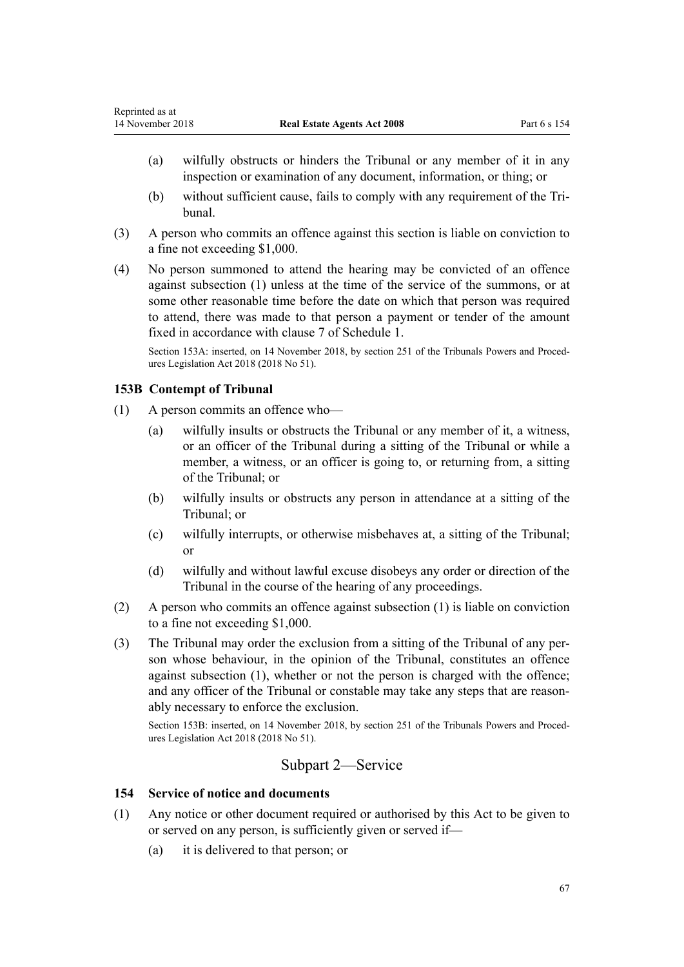- (a) wilfully obstructs or hinders the Tribunal or any member of it in any inspection or examination of any document, information, or thing; or
- (b) without sufficient cause, fails to comply with any requirement of the Tribunal.
- (3) A person who commits an offence against this section is liable on conviction to a fine not exceeding \$1,000.
- (4) No person summoned to attend the hearing may be convicted of an offence against subsection (1) unless at the time of the service of the summons, or at some other reasonable time before the date on which that person was required to attend, there was made to that person a payment or tender of the amount fixed in accordance with [clause 7](#page-78-0) of Schedule 1.

Section 153A: inserted, on 14 November 2018, by [section 251](http://prd-lgnz-nlb.prd.pco.net.nz/pdflink.aspx?id=DLM7374560) of the Tribunals Powers and Procedures Legislation Act 2018 (2018 No 51).

## **153B Contempt of Tribunal**

- (1) A person commits an offence who—
	- (a) wilfully insults or obstructs the Tribunal or any member of it, a witness, or an officer of the Tribunal during a sitting of the Tribunal or while a member, a witness, or an officer is going to, or returning from, a sitting of the Tribunal; or
	- (b) wilfully insults or obstructs any person in attendance at a sitting of the Tribunal; or
	- (c) wilfully interrupts, or otherwise misbehaves at, a sitting of the Tribunal; or
	- (d) wilfully and without lawful excuse disobeys any order or direction of the Tribunal in the course of the hearing of any proceedings.
- (2) A person who commits an offence against subsection (1) is liable on conviction to a fine not exceeding \$1,000.
- (3) The Tribunal may order the exclusion from a sitting of the Tribunal of any person whose behaviour, in the opinion of the Tribunal, constitutes an offence against subsection (1), whether or not the person is charged with the offence; and any officer of the Tribunal or constable may take any steps that are reasonably necessary to enforce the exclusion.

Section 153B: inserted, on 14 November 2018, by [section 251](http://prd-lgnz-nlb.prd.pco.net.nz/pdflink.aspx?id=DLM7374560) of the Tribunals Powers and Procedures Legislation Act 2018 (2018 No 51).

# Subpart 2—Service

## **154 Service of notice and documents**

- (1) Any notice or other document required or authorised by this Act to be given to or served on any person, is sufficiently given or served if—
	- (a) it is delivered to that person; or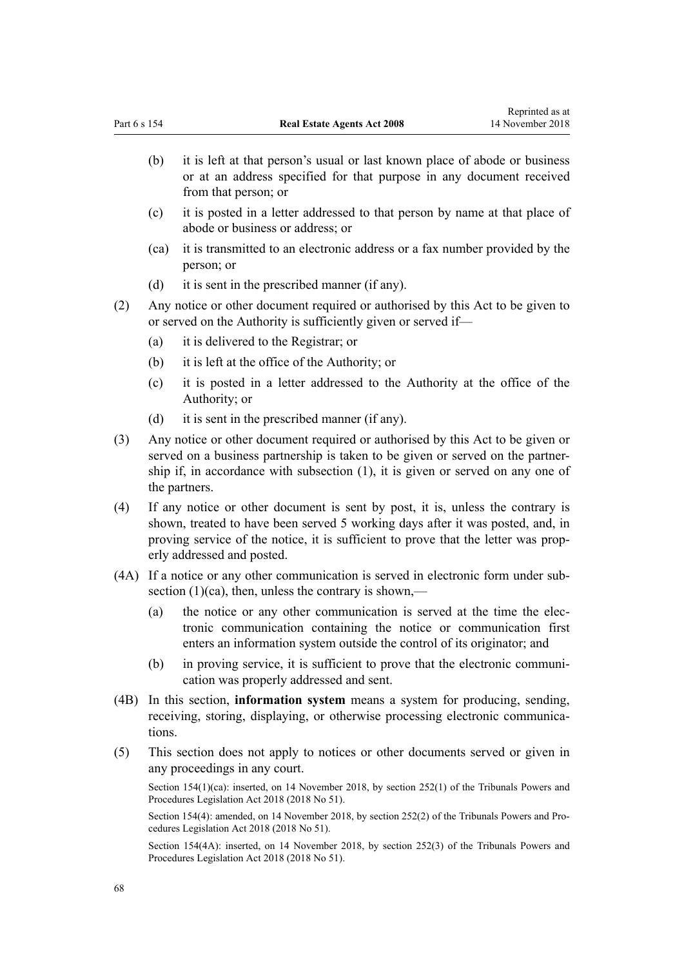- (b) it is left at that person's usual or last known place of abode or business or at an address specified for that purpose in any document received from that person; or
- (c) it is posted in a letter addressed to that person by name at that place of abode or business or address; or
- (ca) it is transmitted to an electronic address or a fax number provided by the person; or
- (d) it is sent in the prescribed manner (if any).
- (2) Any notice or other document required or authorised by this Act to be given to or served on the Authority is sufficiently given or served if—
	- (a) it is delivered to the Registrar; or
	- (b) it is left at the office of the Authority; or
	- (c) it is posted in a letter addressed to the Authority at the office of the Authority; or
	- (d) it is sent in the prescribed manner (if any).
- (3) Any notice or other document required or authorised by this Act to be given or served on a business partnership is taken to be given or served on the partnership if, in accordance with subsection (1), it is given or served on any one of the partners.
- (4) If any notice or other document is sent by post, it is, unless the contrary is shown, treated to have been served 5 working days after it was posted, and, in proving service of the notice, it is sufficient to prove that the letter was properly addressed and posted.
- (4A) If a notice or any other communication is served in electronic form under subsection  $(1)(ca)$ , then, unless the contrary is shown,—
	- (a) the notice or any other communication is served at the time the electronic communication containing the notice or communication first enters an information system outside the control of its originator; and
	- (b) in proving service, it is sufficient to prove that the electronic communication was properly addressed and sent.
- (4B) In this section, **information system** means a system for producing, sending, receiving, storing, displaying, or otherwise processing electronic communications.
- (5) This section does not apply to notices or other documents served or given in any proceedings in any court.

Section 154(1)(ca): inserted, on 14 November 2018, by [section 252\(1\)](http://prd-lgnz-nlb.prd.pco.net.nz/pdflink.aspx?id=DLM7374564) of the Tribunals Powers and Procedures Legislation Act 2018 (2018 No 51).

Section 154(4): amended, on 14 November 2018, by [section 252\(2\)](http://prd-lgnz-nlb.prd.pco.net.nz/pdflink.aspx?id=DLM7374564) of the Tribunals Powers and Procedures Legislation Act 2018 (2018 No 51).

Section 154(4A): inserted, on 14 November 2018, by [section 252\(3\)](http://prd-lgnz-nlb.prd.pco.net.nz/pdflink.aspx?id=DLM7374564) of the Tribunals Powers and Procedures Legislation Act 2018 (2018 No 51).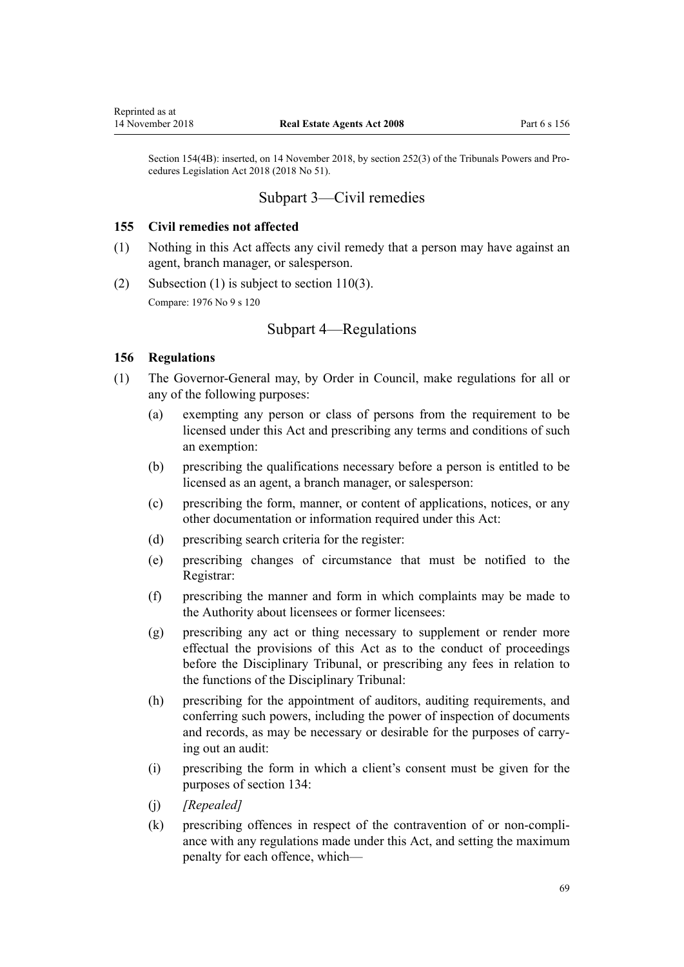<span id="page-68-0"></span>Section 154(4B): inserted, on 14 November 2018, by [section 252\(3\)](http://prd-lgnz-nlb.prd.pco.net.nz/pdflink.aspx?id=DLM7374564) of the Tribunals Powers and Procedures Legislation Act 2018 (2018 No 51).

# Subpart 3—Civil remedies

### **155 Civil remedies not affected**

- (1) Nothing in this Act affects any civil remedy that a person may have against an agent, branch manager, or salesperson.
- (2) Subsection (1) is subject to [section 110\(3\)](#page-48-0). Compare: 1976 No 9 [s 120](http://prd-lgnz-nlb.prd.pco.net.nz/pdflink.aspx?id=DLM438714)

# Subpart 4—Regulations

## **156 Regulations**

- (1) The Governor-General may, by Order in Council, make regulations for all or any of the following purposes:
	- (a) exempting any person or class of persons from the requirement to be licensed under this Act and prescribing any terms and conditions of such an exemption:
	- (b) prescribing the qualifications necessary before a person is entitled to be licensed as an agent, a branch manager, or salesperson:
	- (c) prescribing the form, manner, or content of applications, notices, or any other documentation or information required under this Act:
	- (d) prescribing search criteria for the register:
	- (e) prescribing changes of circumstance that must be notified to the Registrar:
	- (f) prescribing the manner and form in which complaints may be made to the Authority about licensees or former licensees:
	- (g) prescribing any act or thing necessary to supplement or render more effectual the provisions of this Act as to the conduct of proceedings before the Disciplinary Tribunal, or prescribing any fees in relation to the functions of the Disciplinary Tribunal:
	- (h) prescribing for the appointment of auditors, auditing requirements, and conferring such powers, including the power of inspection of documents and records, as may be necessary or desirable for the purposes of carrying out an audit:
	- (i) prescribing the form in which a client's consent must be given for the purposes of [section 134](#page-59-0):
	- (j) *[Repealed]*
	- (k) prescribing offences in respect of the contravention of or non-compliance with any regulations made under this Act, and setting the maximum penalty for each offence, which—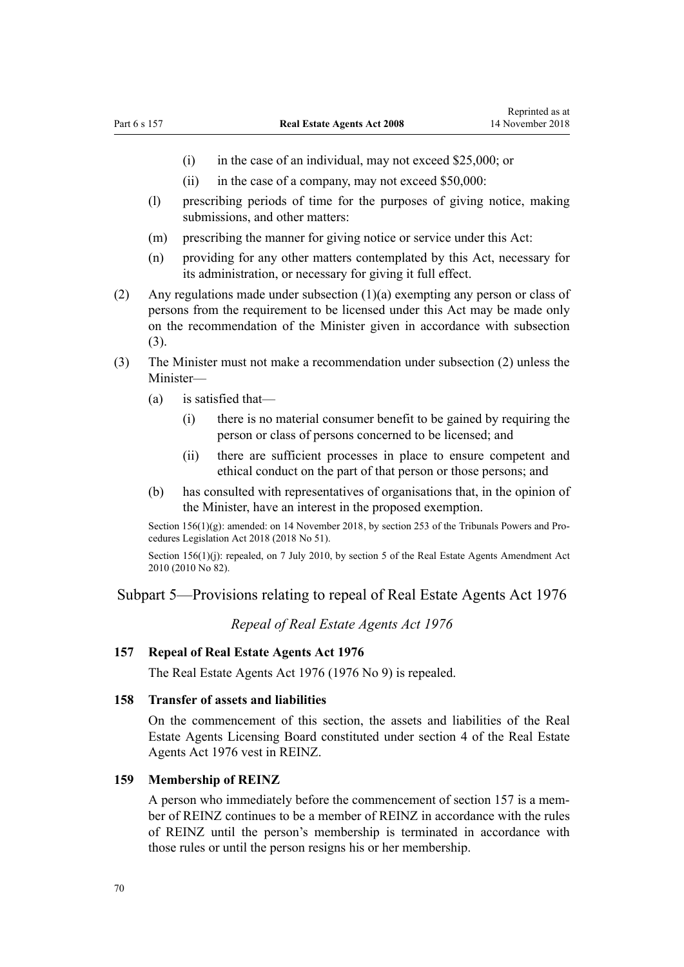- <span id="page-69-0"></span>(i) in the case of an individual, may not exceed \$25,000; or
- (ii) in the case of a company, may not exceed \$50,000:
- (l) prescribing periods of time for the purposes of giving notice, making submissions, and other matters:
- (m) prescribing the manner for giving notice or service under this Act:
- (n) providing for any other matters contemplated by this Act, necessary for its administration, or necessary for giving it full effect.
- (2) Any regulations made under subsection (1)(a) exempting any person or class of persons from the requirement to be licensed under this Act may be made only on the recommendation of the Minister given in accordance with subsection (3).
- (3) The Minister must not make a recommendation under subsection (2) unless the Minister—
	- (a) is satisfied that—
		- (i) there is no material consumer benefit to be gained by requiring the person or class of persons concerned to be licensed; and
		- (ii) there are sufficient processes in place to ensure competent and ethical conduct on the part of that person or those persons; and
	- (b) has consulted with representatives of organisations that, in the opinion of the Minister, have an interest in the proposed exemption.

Section 156(1)(g): amended: on 14 November 2018, by [section 253](http://prd-lgnz-nlb.prd.pco.net.nz/pdflink.aspx?id=DLM7374565) of the Tribunals Powers and Procedures Legislation Act 2018 (2018 No 51).

Section  $156(1)(j)$ : repealed, on 7 July 2010, by [section 5](http://prd-lgnz-nlb.prd.pco.net.nz/pdflink.aspx?id=DLM3044006) of the Real Estate Agents Amendment Act 2010 (2010 No 82).

### Subpart 5—Provisions relating to repeal of Real Estate Agents Act 1976

*Repeal of Real Estate Agents Act 1976*

## **157 Repeal of Real Estate Agents Act 1976**

The [Real Estate Agents Act 1976](http://prd-lgnz-nlb.prd.pco.net.nz/pdflink.aspx?id=DLM437937) (1976 No 9) is repealed.

## **158 Transfer of assets and liabilities**

On the commencement of this section, the assets and liabilities of the Real Estate Agents Licensing Board constituted under [section 4](http://prd-lgnz-nlb.prd.pco.net.nz/pdflink.aspx?id=DLM438119) of the Real Estate Agents Act 1976 vest in REINZ.

#### **159 Membership of REINZ**

A person who immediately before the commencement of section 157 is a member of REINZ continues to be a member of REINZ in accordance with the rules of REINZ until the person's membership is terminated in accordance with those rules or until the person resigns his or her membership.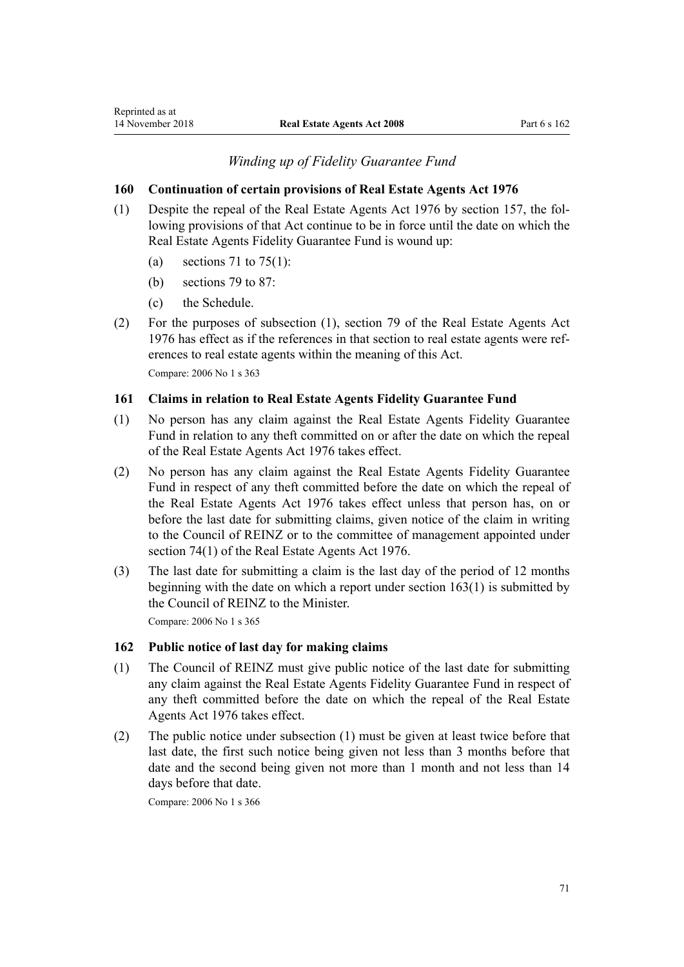## *Winding up of Fidelity Guarantee Fund*

## **160 Continuation of certain provisions of Real Estate Agents Act 1976**

- (1) Despite the repeal of the [Real Estate Agents Act 1976](http://prd-lgnz-nlb.prd.pco.net.nz/pdflink.aspx?id=DLM437937) by [section 157](#page-69-0), the following provisions of that Act continue to be in force until the date on which the Real Estate Agents Fidelity Guarantee Fund is wound up:
	- (a) [sections 71](http://prd-lgnz-nlb.prd.pco.net.nz/pdflink.aspx?id=DLM438546) to 75(1):
	- (b) [sections 79](http://prd-lgnz-nlb.prd.pco.net.nz/pdflink.aspx?id=DLM438566) to 87:
	- (c) the [Schedule](http://prd-lgnz-nlb.prd.pco.net.nz/pdflink.aspx?id=DLM438738).
- (2) For the purposes of subsection (1), [section 79](http://prd-lgnz-nlb.prd.pco.net.nz/pdflink.aspx?id=DLM438566) of the Real Estate Agents Act 1976 has effect as if the references in that section to real estate agents were references to real estate agents within the meaning of this Act.

Compare: 2006 No 1 [s 363](http://prd-lgnz-nlb.prd.pco.net.nz/pdflink.aspx?id=DLM367868)

### **161 Claims in relation to Real Estate Agents Fidelity Guarantee Fund**

- (1) No person has any claim against the Real Estate Agents Fidelity Guarantee Fund in relation to any theft committed on or after the date on which the repeal of the [Real Estate Agents Act 1976](http://prd-lgnz-nlb.prd.pco.net.nz/pdflink.aspx?id=DLM437937) takes effect.
- (2) No person has any claim against the Real Estate Agents Fidelity Guarantee Fund in respect of any theft committed before the date on which the repeal of the [Real Estate Agents Act 1976](http://prd-lgnz-nlb.prd.pco.net.nz/pdflink.aspx?id=DLM437937) takes effect unless that person has, on or before the last date for submitting claims, given notice of the claim in writing to the Council of REINZ or to the committee of management appointed under [section 74\(1\)](http://prd-lgnz-nlb.prd.pco.net.nz/pdflink.aspx?id=DLM438554) of the Real Estate Agents Act 1976.
- (3) The last date for submitting a claim is the last day of the period of 12 months beginning with the date on which a report under [section 163\(1\)](#page-71-0) is submitted by the Council of REINZ to the Minister.

Compare: 2006 No 1 [s 365](http://prd-lgnz-nlb.prd.pco.net.nz/pdflink.aspx?id=DLM367870)

## **162 Public notice of last day for making claims**

- (1) The Council of REINZ must give public notice of the last date for submitting any claim against the Real Estate Agents Fidelity Guarantee Fund in respect of any theft committed before the date on which the repeal of the [Real Estate](http://prd-lgnz-nlb.prd.pco.net.nz/pdflink.aspx?id=DLM437937) [Agents Act 1976](http://prd-lgnz-nlb.prd.pco.net.nz/pdflink.aspx?id=DLM437937) takes effect.
- (2) The public notice under subsection (1) must be given at least twice before that last date, the first such notice being given not less than 3 months before that date and the second being given not more than 1 month and not less than 14 days before that date.

Compare: 2006 No 1 [s 366](http://prd-lgnz-nlb.prd.pco.net.nz/pdflink.aspx?id=DLM367871)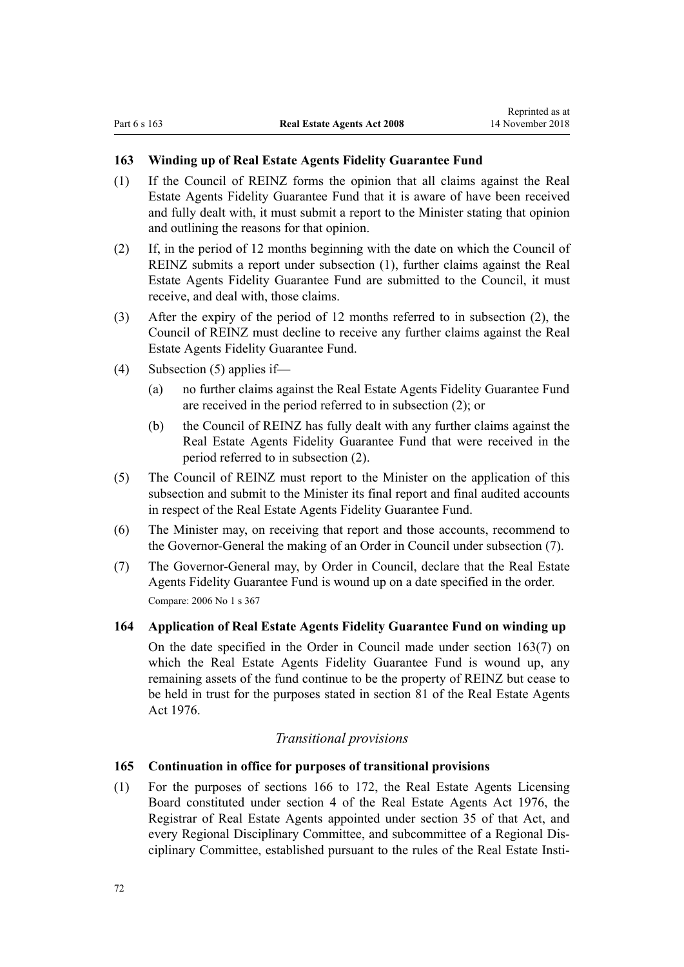## <span id="page-71-0"></span>**163 Winding up of Real Estate Agents Fidelity Guarantee Fund**

- (1) If the Council of REINZ forms the opinion that all claims against the Real Estate Agents Fidelity Guarantee Fund that it is aware of have been received and fully dealt with, it must submit a report to the Minister stating that opinion and outlining the reasons for that opinion.
- (2) If, in the period of 12 months beginning with the date on which the Council of REINZ submits a report under subsection (1), further claims against the Real Estate Agents Fidelity Guarantee Fund are submitted to the Council, it must receive, and deal with, those claims.
- (3) After the expiry of the period of 12 months referred to in subsection (2), the Council of REINZ must decline to receive any further claims against the Real Estate Agents Fidelity Guarantee Fund.
- (4) Subsection (5) applies if—
	- (a) no further claims against the Real Estate Agents Fidelity Guarantee Fund are received in the period referred to in subsection (2); or
	- (b) the Council of REINZ has fully dealt with any further claims against the Real Estate Agents Fidelity Guarantee Fund that were received in the period referred to in subsection (2).
- (5) The Council of REINZ must report to the Minister on the application of this subsection and submit to the Minister its final report and final audited accounts in respect of the Real Estate Agents Fidelity Guarantee Fund.
- (6) The Minister may, on receiving that report and those accounts, recommend to the Governor-General the making of an Order in Council under subsection (7).
- (7) The Governor-General may, by Order in Council, declare that the Real Estate Agents Fidelity Guarantee Fund is wound up on a date specified in the order. Compare: 2006 No 1 [s 367](http://prd-lgnz-nlb.prd.pco.net.nz/pdflink.aspx?id=DLM367872)

## **164 Application of Real Estate Agents Fidelity Guarantee Fund on winding up**

On the date specified in the Order in Council made under section 163(7) on which the Real Estate Agents Fidelity Guarantee Fund is wound up, any remaining assets of the fund continue to be the property of REINZ but cease to be held in trust for the purposes stated in [section 81](http://prd-lgnz-nlb.prd.pco.net.nz/pdflink.aspx?id=DLM438570) of the Real Estate Agents Act 1976.

## *Transitional provisions*

## **165 Continuation in office for purposes of transitional provisions**

(1) For the purposes of [sections 166](#page-72-0) to 172, the Real Estate Agents Licensing Board constituted under [section 4](http://prd-lgnz-nlb.prd.pco.net.nz/pdflink.aspx?id=DLM438119) of the Real Estate Agents Act 1976, the Registrar of Real Estate Agents appointed under [section 35](http://prd-lgnz-nlb.prd.pco.net.nz/pdflink.aspx?id=DLM438265) of that Act, and every Regional Disciplinary Committee, and subcommittee of a Regional Disciplinary Committee, established pursuant to the rules of the Real Estate Insti-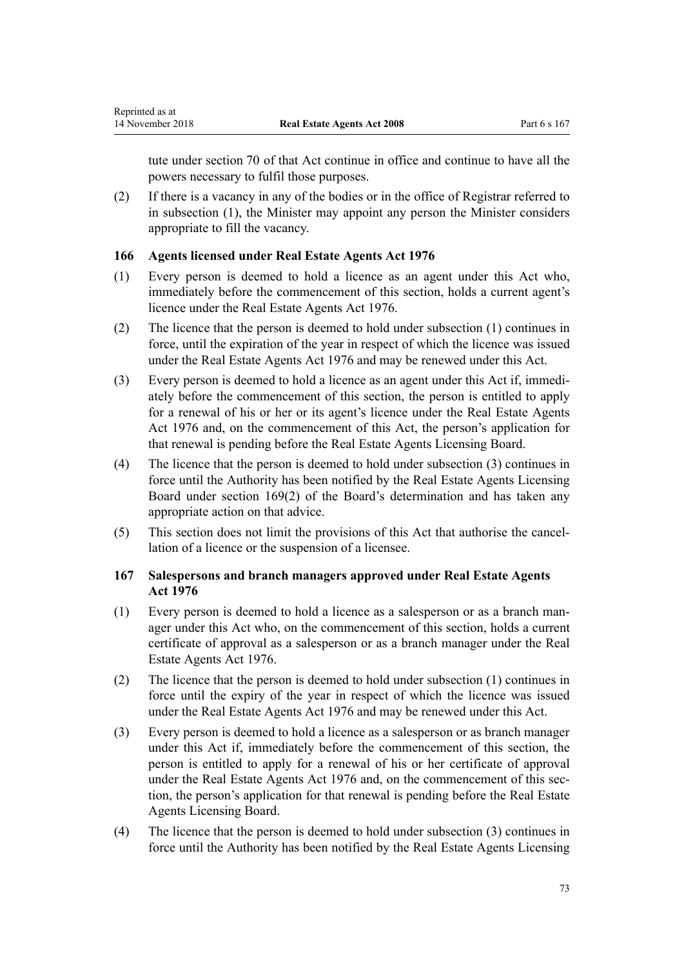tute under [section 70](http://prd-lgnz-nlb.prd.pco.net.nz/pdflink.aspx?id=DLM438537) of that Act continue in office and continue to have all the powers necessary to fulfil those purposes.

(2) If there is a vacancy in any of the bodies or in the office of Registrar referred to in subsection (1), the Minister may appoint any person the Minister considers appropriate to fill the vacancy.

# **166 Agents licensed under Real Estate Agents Act 1976**

- (1) Every person is deemed to hold a licence as an agent under this Act who, immediately before the commencement of this section, holds a current agent's licence under the [Real Estate Agents Act 1976](http://prd-lgnz-nlb.prd.pco.net.nz/pdflink.aspx?id=DLM437937).
- (2) The licence that the person is deemed to hold under subsection (1) continues in force, until the expiration of the year in respect of which the licence was issued under the [Real Estate Agents Act 1976](http://prd-lgnz-nlb.prd.pco.net.nz/pdflink.aspx?id=DLM437937) and may be renewed under this Act.
- (3) Every person is deemed to hold a licence as an agent under this Act if, immediately before the commencement of this section, the person is entitled to apply for a renewal of his or her or its agent's licence under the [Real Estate Agents](http://prd-lgnz-nlb.prd.pco.net.nz/pdflink.aspx?id=DLM437937) [Act 1976](http://prd-lgnz-nlb.prd.pco.net.nz/pdflink.aspx?id=DLM437937) and, on the commencement of this Act, the person's application for that renewal is pending before the Real Estate Agents Licensing Board.
- (4) The licence that the person is deemed to hold under subsection (3) continues in force until the Authority has been notified by the Real Estate Agents Licensing Board under [section 169\(2\)](#page-73-0) of the Board's determination and has taken any appropriate action on that advice.
- (5) This section does not limit the provisions of this Act that authorise the cancellation of a licence or the suspension of a licensee.

# **167 Salespersons and branch managers approved under Real Estate Agents Act 1976**

- (1) Every person is deemed to hold a licence as a salesperson or as a branch manager under this Act who, on the commencement of this section, holds a current certificate of approval as a salesperson or as a branch manager under the [Real](http://prd-lgnz-nlb.prd.pco.net.nz/pdflink.aspx?id=DLM437937) [Estate Agents Act 1976](http://prd-lgnz-nlb.prd.pco.net.nz/pdflink.aspx?id=DLM437937).
- (2) The licence that the person is deemed to hold under subsection (1) continues in force until the expiry of the year in respect of which the licence was issued under the [Real Estate Agents Act 1976](http://prd-lgnz-nlb.prd.pco.net.nz/pdflink.aspx?id=DLM437937) and may be renewed under this Act.
- (3) Every person is deemed to hold a licence as a salesperson or as branch manager under this Act if, immediately before the commencement of this section, the person is entitled to apply for a renewal of his or her certificate of approval under the [Real Estate Agents Act 1976](http://prd-lgnz-nlb.prd.pco.net.nz/pdflink.aspx?id=DLM437937) and, on the commencement of this section, the person's application for that renewal is pending before the Real Estate Agents Licensing Board.
- (4) The licence that the person is deemed to hold under subsection (3) continues in force until the Authority has been notified by the Real Estate Agents Licensing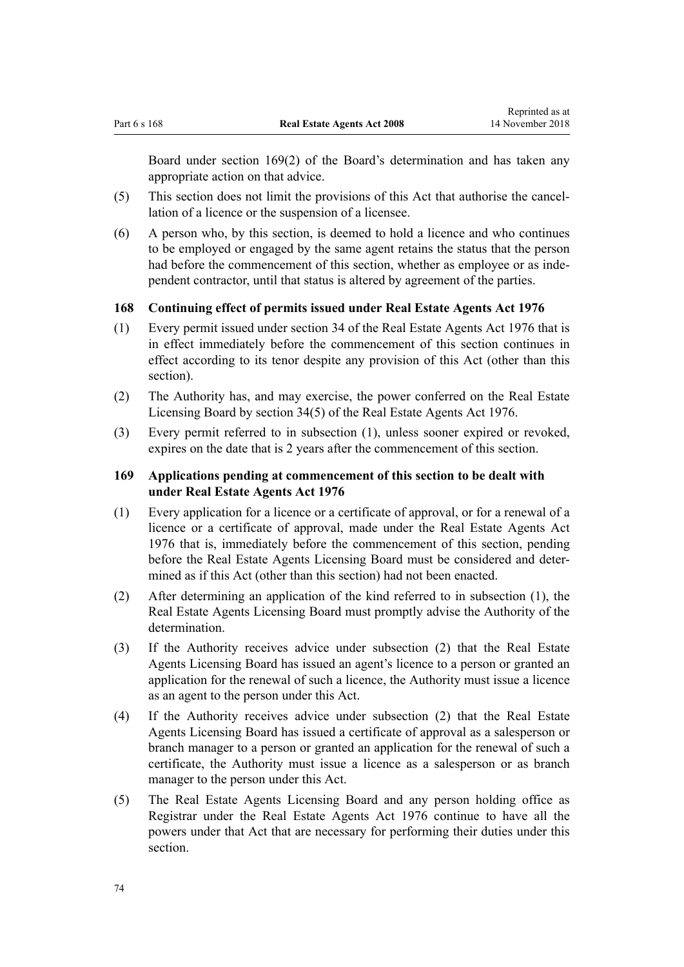<span id="page-73-0"></span>Board under section 169(2) of the Board's determination and has taken any appropriate action on that advice.

- (5) This section does not limit the provisions of this Act that authorise the cancellation of a licence or the suspension of a licensee.
- (6) A person who, by this section, is deemed to hold a licence and who continues to be employed or engaged by the same agent retains the status that the person had before the commencement of this section, whether as employee or as independent contractor, until that status is altered by agreement of the parties.

# **168 Continuing effect of permits issued under Real Estate Agents Act 1976**

- (1) Every permit issued under [section 34](http://prd-lgnz-nlb.prd.pco.net.nz/pdflink.aspx?id=DLM438261) of the Real Estate Agents Act 1976 that is in effect immediately before the commencement of this section continues in effect according to its tenor despite any provision of this Act (other than this section).
- (2) The Authority has, and may exercise, the power conferred on the Real Estate Licensing Board by [section 34\(5\)](http://prd-lgnz-nlb.prd.pco.net.nz/pdflink.aspx?id=DLM438261) of the Real Estate Agents Act 1976.
- (3) Every permit referred to in subsection (1), unless sooner expired or revoked, expires on the date that is 2 years after the commencement of this section.

# **169 Applications pending at commencement of this section to be dealt with under Real Estate Agents Act 1976**

- (1) Every application for a licence or a certificate of approval, or for a renewal of a licence or a certificate of approval, made under the [Real Estate Agents Act](http://prd-lgnz-nlb.prd.pco.net.nz/pdflink.aspx?id=DLM437937) [1976](http://prd-lgnz-nlb.prd.pco.net.nz/pdflink.aspx?id=DLM437937) that is, immediately before the commencement of this section, pending before the Real Estate Agents Licensing Board must be considered and determined as if this Act (other than this section) had not been enacted.
- (2) After determining an application of the kind referred to in subsection (1), the Real Estate Agents Licensing Board must promptly advise the Authority of the determination.
- (3) If the Authority receives advice under subsection (2) that the Real Estate Agents Licensing Board has issued an agent's licence to a person or granted an application for the renewal of such a licence, the Authority must issue a licence as an agent to the person under this Act.
- (4) If the Authority receives advice under subsection (2) that the Real Estate Agents Licensing Board has issued a certificate of approval as a salesperson or branch manager to a person or granted an application for the renewal of such a certificate, the Authority must issue a licence as a salesperson or as branch manager to the person under this Act.
- (5) The Real Estate Agents Licensing Board and any person holding office as Registrar under the [Real Estate Agents Act 1976](http://prd-lgnz-nlb.prd.pco.net.nz/pdflink.aspx?id=DLM437937) continue to have all the powers under that Act that are necessary for performing their duties under this section.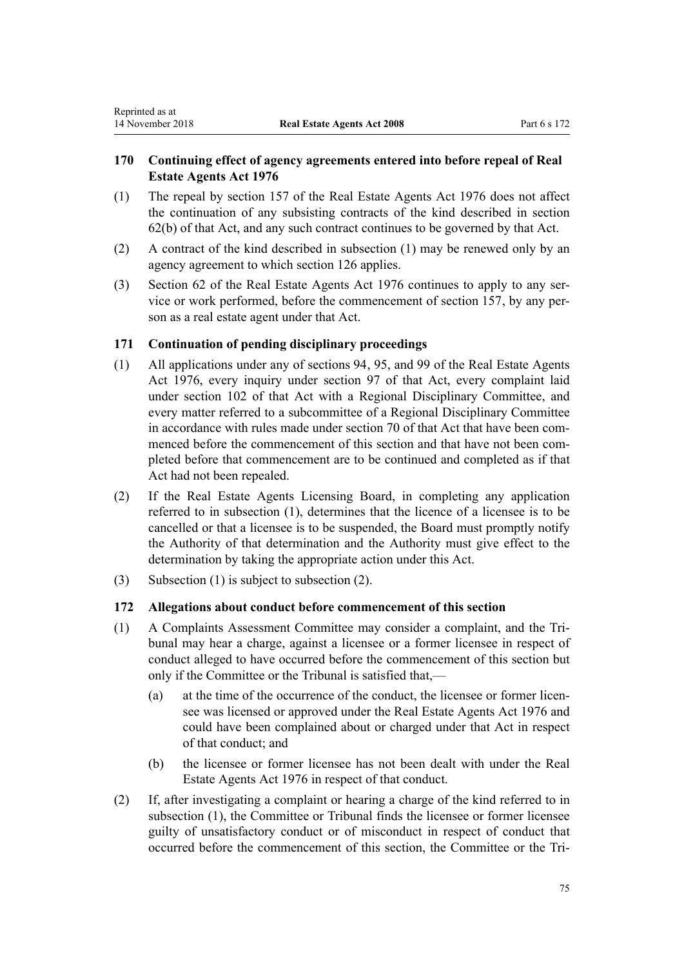# **170 Continuing effect of agency agreements entered into before repeal of Real Estate Agents Act 1976**

- (1) The repeal by [section 157](#page-69-0) of the Real Estate Agents Act 1976 does not affect the continuation of any subsisting contracts of the kind described in [section](http://prd-lgnz-nlb.prd.pco.net.nz/pdflink.aspx?id=DLM438504) [62\(b\)](http://prd-lgnz-nlb.prd.pco.net.nz/pdflink.aspx?id=DLM438504) of that Act, and any such contract continues to be governed by that Act.
- (2) A contract of the kind described in subsection (1) may be renewed only by an agency agreement to which [section 126](#page-56-0) applies.
- (3) [Section 62](http://prd-lgnz-nlb.prd.pco.net.nz/pdflink.aspx?id=DLM438504) of the Real Estate Agents Act 1976 continues to apply to any service or work performed, before the commencement of [section 157](#page-69-0), by any person as a real estate agent under that Act.

# **171 Continuation of pending disciplinary proceedings**

- (1) All applications under any of [sections 94,](http://prd-lgnz-nlb.prd.pco.net.nz/pdflink.aspx?id=DLM438614) [95](http://prd-lgnz-nlb.prd.pco.net.nz/pdflink.aspx?id=DLM438621), and [99](http://prd-lgnz-nlb.prd.pco.net.nz/pdflink.aspx?id=DLM438637) of the Real Estate Agents Act 1976, every inquiry under [section 97](http://prd-lgnz-nlb.prd.pco.net.nz/pdflink.aspx?id=DLM438625) of that Act, every complaint laid under [section 102](http://prd-lgnz-nlb.prd.pco.net.nz/pdflink.aspx?id=DLM438652) of that Act with a Regional Disciplinary Committee, and every matter referred to a subcommittee of a Regional Disciplinary Committee in accordance with rules made under [section 70](http://prd-lgnz-nlb.prd.pco.net.nz/pdflink.aspx?id=DLM438537) of that Act that have been commenced before the commencement of this section and that have not been completed before that commencement are to be continued and completed as if that Act had not been repealed.
- (2) If the Real Estate Agents Licensing Board, in completing any application referred to in subsection (1), determines that the licence of a licensee is to be cancelled or that a licensee is to be suspended, the Board must promptly notify the Authority of that determination and the Authority must give effect to the determination by taking the appropriate action under this Act.
- (3) Subsection (1) is subject to subsection (2).

# **172 Allegations about conduct before commencement of this section**

- (1) A Complaints Assessment Committee may consider a complaint, and the Tribunal may hear a charge, against a licensee or a former licensee in respect of conduct alleged to have occurred before the commencement of this section but only if the Committee or the Tribunal is satisfied that,—
	- (a) at the time of the occurrence of the conduct, the licensee or former licensee was licensed or approved under the [Real Estate Agents Act 1976](http://prd-lgnz-nlb.prd.pco.net.nz/pdflink.aspx?id=DLM437937) and could have been complained about or charged under that Act in respect of that conduct; and
	- (b) the licensee or former licensee has not been dealt with under the [Real](http://prd-lgnz-nlb.prd.pco.net.nz/pdflink.aspx?id=DLM437937) [Estate Agents Act 1976](http://prd-lgnz-nlb.prd.pco.net.nz/pdflink.aspx?id=DLM437937) in respect of that conduct.
- (2) If, after investigating a complaint or hearing a charge of the kind referred to in subsection (1), the Committee or Tribunal finds the licensee or former licensee guilty of unsatisfactory conduct or of misconduct in respect of conduct that occurred before the commencement of this section, the Committee or the Tri-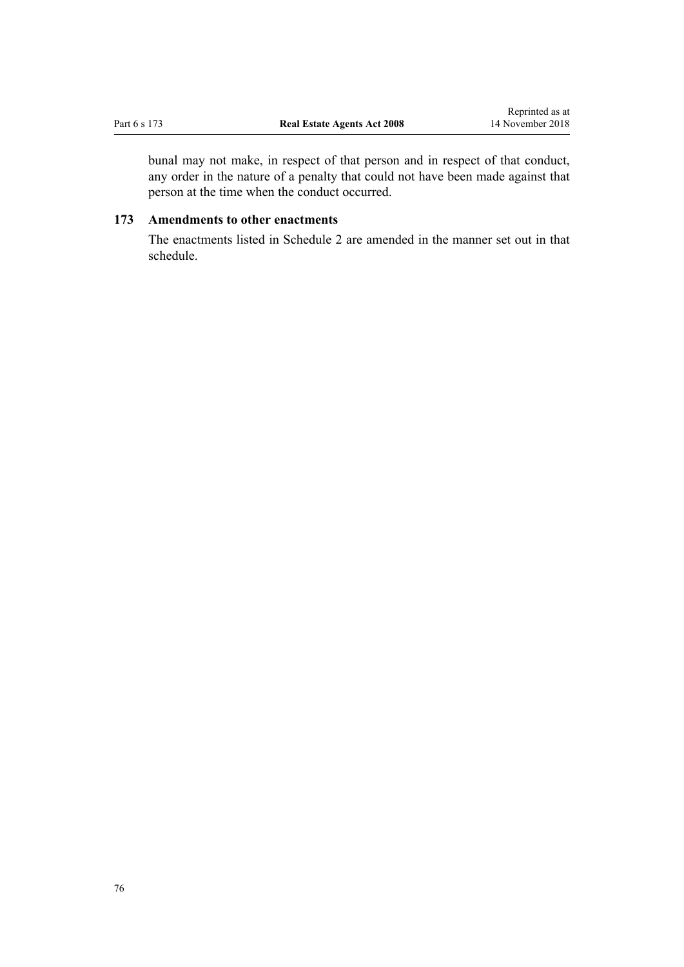<span id="page-75-0"></span>bunal may not make, in respect of that person and in respect of that conduct, any order in the nature of a penalty that could not have been made against that person at the time when the conduct occurred.

# **173 Amendments to other enactments**

The enactments listed in [Schedule 2](#page-80-0) are amended in the manner set out in that schedule.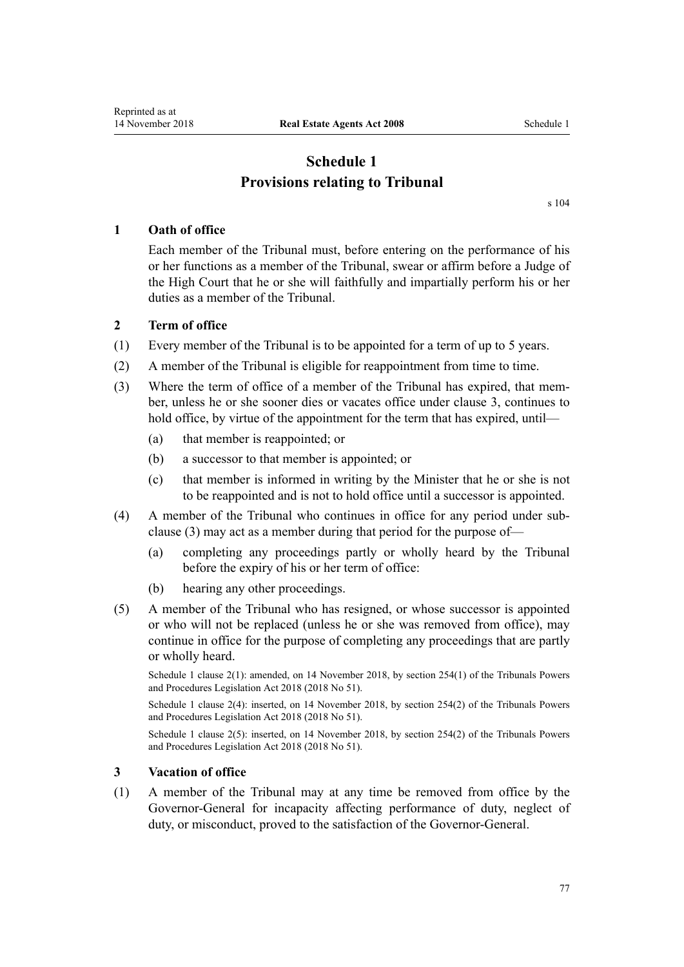# **Schedule 1 Provisions relating to Tribunal**

[s 104](#page-46-0)

# **1 Oath of office**

Each member of the Tribunal must, before entering on the performance of his or her functions as a member of the Tribunal, swear or affirm before a Judge of the High Court that he or she will faithfully and impartially perform his or her duties as a member of the Tribunal.

# **2 Term of office**

- (1) Every member of the Tribunal is to be appointed for a term of up to 5 years.
- (2) A member of the Tribunal is eligible for reappointment from time to time.
- (3) Where the term of office of a member of the Tribunal has expired, that member, unless he or she sooner dies or vacates office under clause 3, continues to hold office, by virtue of the appointment for the term that has expired, until—
	- (a) that member is reappointed; or
	- (b) a successor to that member is appointed; or
	- (c) that member is informed in writing by the Minister that he or she is not to be reappointed and is not to hold office until a successor is appointed.
- (4) A member of the Tribunal who continues in office for any period under subclause (3) may act as a member during that period for the purpose of—
	- (a) completing any proceedings partly or wholly heard by the Tribunal before the expiry of his or her term of office:
	- (b) hearing any other proceedings.
- (5) A member of the Tribunal who has resigned, or whose successor is appointed or who will not be replaced (unless he or she was removed from office), may continue in office for the purpose of completing any proceedings that are partly or wholly heard.

Schedule 1 clause 2(1): amended, on 14 November 2018, by [section 254\(1\)](http://prd-lgnz-nlb.prd.pco.net.nz/pdflink.aspx?id=DLM7374566) of the Tribunals Powers and Procedures Legislation Act 2018 (2018 No 51).

Schedule 1 clause 2(4): inserted, on 14 November 2018, by [section 254\(2\)](http://prd-lgnz-nlb.prd.pco.net.nz/pdflink.aspx?id=DLM7374566) of the Tribunals Powers and Procedures Legislation Act 2018 (2018 No 51).

Schedule 1 clause 2(5): inserted, on 14 November 2018, by [section 254\(2\)](http://prd-lgnz-nlb.prd.pco.net.nz/pdflink.aspx?id=DLM7374566) of the Tribunals Powers and Procedures Legislation Act 2018 (2018 No 51).

# **3 Vacation of office**

(1) A member of the Tribunal may at any time be removed from office by the Governor-General for incapacity affecting performance of duty, neglect of duty, or misconduct, proved to the satisfaction of the Governor-General.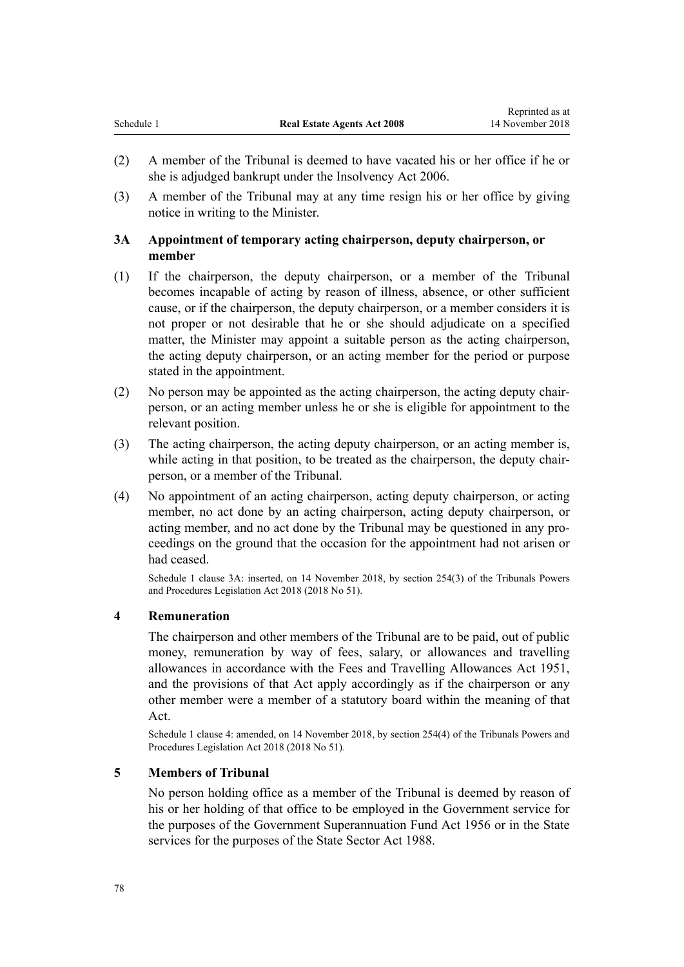(3) A member of the Tribunal may at any time resign his or her office by giving notice in writing to the Minister.

# **3A Appointment of temporary acting chairperson, deputy chairperson, or member**

- (1) If the chairperson, the deputy chairperson, or a member of the Tribunal becomes incapable of acting by reason of illness, absence, or other sufficient cause, or if the chairperson, the deputy chairperson, or a member considers it is not proper or not desirable that he or she should adjudicate on a specified matter, the Minister may appoint a suitable person as the acting chairperson, the acting deputy chairperson, or an acting member for the period or purpose stated in the appointment.
- (2) No person may be appointed as the acting chairperson, the acting deputy chairperson, or an acting member unless he or she is eligible for appointment to the relevant position.
- (3) The acting chairperson, the acting deputy chairperson, or an acting member is, while acting in that position, to be treated as the chairperson, the deputy chairperson, or a member of the Tribunal.
- (4) No appointment of an acting chairperson, acting deputy chairperson, or acting member, no act done by an acting chairperson, acting deputy chairperson, or acting member, and no act done by the Tribunal may be questioned in any proceedings on the ground that the occasion for the appointment had not arisen or had ceased.

Schedule 1 clause 3A: inserted, on 14 November 2018, by [section 254\(3\)](http://prd-lgnz-nlb.prd.pco.net.nz/pdflink.aspx?id=DLM7374566) of the Tribunals Powers and Procedures Legislation Act 2018 (2018 No 51).

# **4 Remuneration**

The chairperson and other members of the Tribunal are to be paid, out of public money, remuneration by way of fees, salary, or allowances and travelling allowances in accordance with the [Fees and Travelling Allowances Act 1951](http://prd-lgnz-nlb.prd.pco.net.nz/pdflink.aspx?id=DLM264952), and the provisions of that Act apply accordingly as if the chairperson or any other member were a member of a statutory board within the meaning of that Act.

Schedule 1 clause 4: amended, on 14 November 2018, by [section 254\(4\)](http://prd-lgnz-nlb.prd.pco.net.nz/pdflink.aspx?id=DLM7374566) of the Tribunals Powers and Procedures Legislation Act 2018 (2018 No 51).

# **5 Members of Tribunal**

No person holding office as a member of the Tribunal is deemed by reason of his or her holding of that office to be employed in the Government service for the purposes of the [Government Superannuation Fund Act 1956](http://prd-lgnz-nlb.prd.pco.net.nz/pdflink.aspx?id=DLM446000) or in the State services for the purposes of the [State Sector Act 1988](http://prd-lgnz-nlb.prd.pco.net.nz/pdflink.aspx?id=DLM129109).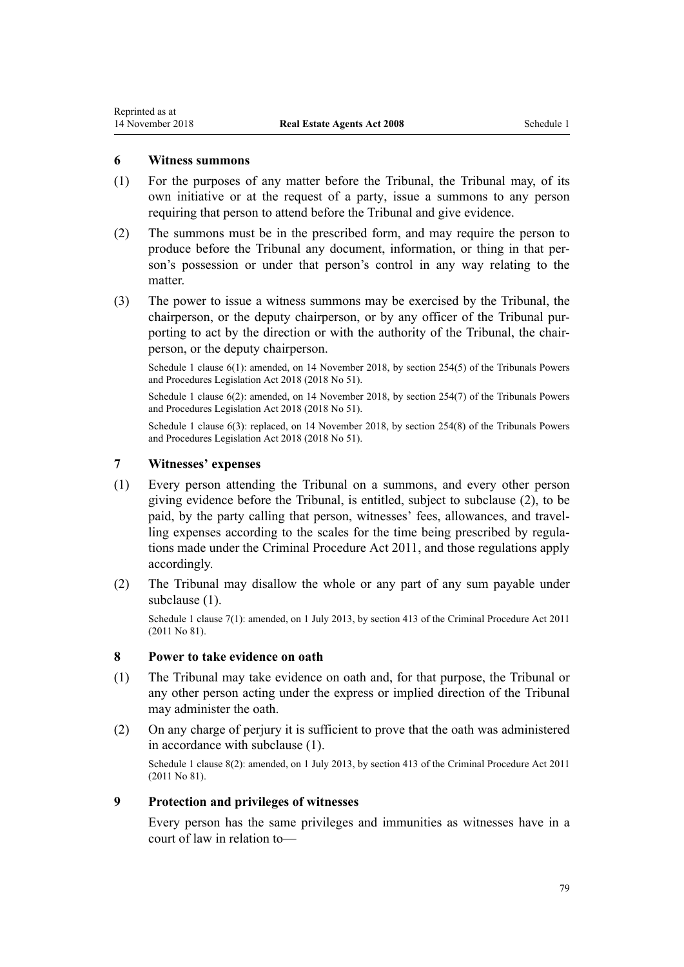Reprinted as at

- (1) For the purposes of any matter before the Tribunal, the Tribunal may, of its own initiative or at the request of a party, issue a summons to any person requiring that person to attend before the Tribunal and give evidence.
- (2) The summons must be in the prescribed form, and may require the person to produce before the Tribunal any document, information, or thing in that person's possession or under that person's control in any way relating to the matter.
- (3) The power to issue a witness summons may be exercised by the Tribunal, the chairperson, or the deputy chairperson, or by any officer of the Tribunal purporting to act by the direction or with the authority of the Tribunal, the chairperson, or the deputy chairperson.

Schedule 1 clause 6(1): amended, on 14 November 2018, by [section 254\(5\)](http://prd-lgnz-nlb.prd.pco.net.nz/pdflink.aspx?id=DLM7374566) of the Tribunals Powers and Procedures Legislation Act 2018 (2018 No 51).

Schedule 1 clause 6(2): amended, on 14 November 2018, by [section 254\(7\)](http://prd-lgnz-nlb.prd.pco.net.nz/pdflink.aspx?id=DLM7374566) of the Tribunals Powers and Procedures Legislation Act 2018 (2018 No 51).

Schedule 1 clause 6(3): replaced, on 14 November 2018, by [section 254\(8\)](http://prd-lgnz-nlb.prd.pco.net.nz/pdflink.aspx?id=DLM7374566) of the Tribunals Powers and Procedures Legislation Act 2018 (2018 No 51).

#### **7 Witnesses' expenses**

- (1) Every person attending the Tribunal on a summons, and every other person giving evidence before the Tribunal, is entitled, subject to subclause (2), to be paid, by the party calling that person, witnesses' fees, allowances, and travelling expenses according to the scales for the time being prescribed by regulations made under the [Criminal Procedure Act 2011,](http://prd-lgnz-nlb.prd.pco.net.nz/pdflink.aspx?id=DLM3359902) and those regulations apply accordingly.
- (2) The Tribunal may disallow the whole or any part of any sum payable under subclause (1).

Schedule 1 clause 7(1): amended, on 1 July 2013, by [section 413](http://prd-lgnz-nlb.prd.pco.net.nz/pdflink.aspx?id=DLM3360714) of the Criminal Procedure Act 2011 (2011 No 81).

#### **8 Power to take evidence on oath**

- (1) The Tribunal may take evidence on oath and, for that purpose, the Tribunal or any other person acting under the express or implied direction of the Tribunal may administer the oath.
- (2) On any charge of perjury it is sufficient to prove that the oath was administered in accordance with subclause (1).

Schedule 1 clause 8(2): amended, on 1 July 2013, by [section 413](http://prd-lgnz-nlb.prd.pco.net.nz/pdflink.aspx?id=DLM3360714) of the Criminal Procedure Act 2011 (2011 No 81).

## **9 Protection and privileges of witnesses**

Every person has the same privileges and immunities as witnesses have in a court of law in relation to—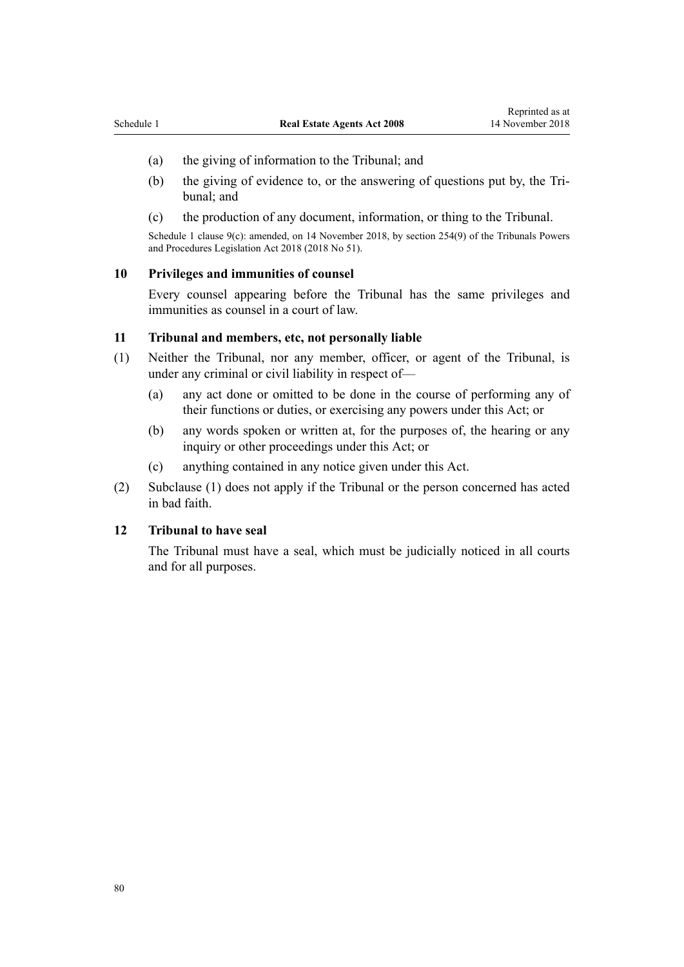- (a) the giving of information to the Tribunal; and
- (b) the giving of evidence to, or the answering of questions put by, the Tribunal; and
- (c) the production of any document, information, or thing to the Tribunal.

Schedule 1 clause 9(c): amended, on 14 November 2018, by [section 254\(9\)](http://prd-lgnz-nlb.prd.pco.net.nz/pdflink.aspx?id=DLM7374566) of the Tribunals Powers and Procedures Legislation Act 2018 (2018 No 51).

### **10 Privileges and immunities of counsel**

Every counsel appearing before the Tribunal has the same privileges and immunities as counsel in a court of law.

#### **11 Tribunal and members, etc, not personally liable**

- (1) Neither the Tribunal, nor any member, officer, or agent of the Tribunal, is under any criminal or civil liability in respect of—
	- (a) any act done or omitted to be done in the course of performing any of their functions or duties, or exercising any powers under this Act; or
	- (b) any words spoken or written at, for the purposes of, the hearing or any inquiry or other proceedings under this Act; or
	- (c) anything contained in any notice given under this Act.
- (2) Subclause (1) does not apply if the Tribunal or the person concerned has acted in bad faith.

#### **12 Tribunal to have seal**

The Tribunal must have a seal, which must be judicially noticed in all courts and for all purposes.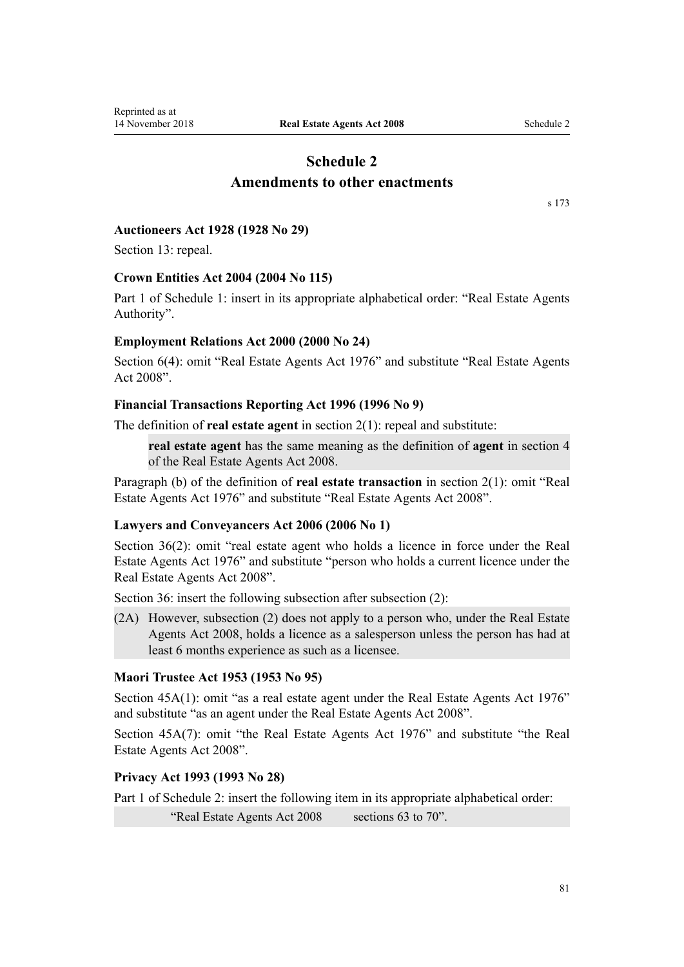# **Schedule 2 Amendments to other enactments**

[s 173](#page-75-0)

### <span id="page-80-0"></span>**Auctioneers Act 1928 (1928 No 29)**

Section 13: repeal.

#### **Crown Entities Act 2004 (2004 No 115)**

Part 1 of Schedule 1: insert in its appropriate alphabetical order: "Real Estate Agents Authority".

# **Employment Relations Act 2000 (2000 No 24)**

Section 6(4): omit "Real Estate Agents Act 1976" and substitute "Real Estate Agents Act 2008".

# **Financial Transactions Reporting Act 1996 (1996 No 9)**

The definition of **real estate agent** in section 2(1): repeal and substitute:

**real estate agent** has the same meaning as the definition of **agent** in section 4 of the Real Estate Agents Act 2008.

Paragraph (b) of the definition of **real estate transaction** in section 2(1): omit "Real Estate Agents Act 1976" and substitute "Real Estate Agents Act 2008".

# **Lawyers and Conveyancers Act 2006 (2006 No 1)**

Section 36(2): omit "real estate agent who holds a licence in force under the Real Estate Agents Act 1976" and substitute "person who holds a current licence under the Real Estate Agents Act 2008".

Section 36: insert the following subsection after subsection (2):

(2A) However, subsection (2) does not apply to a person who, under the Real Estate Agents Act 2008, holds a licence as a salesperson unless the person has had at least 6 months experience as such as a licensee.

# **Maori Trustee Act 1953 (1953 No 95)**

Section 45A(1): omit "as a real estate agent under the Real Estate Agents Act 1976" and substitute "as an agent under the Real Estate Agents Act 2008".

Section 45A(7): omit "the Real Estate Agents Act 1976" and substitute "the Real Estate Agents Act 2008".

# **Privacy Act 1993 (1993 No 28)**

Part 1 of Schedule 2: insert the following item in its appropriate alphabetical order:

"Real Estate Agents Act 2008 sections 63 to 70".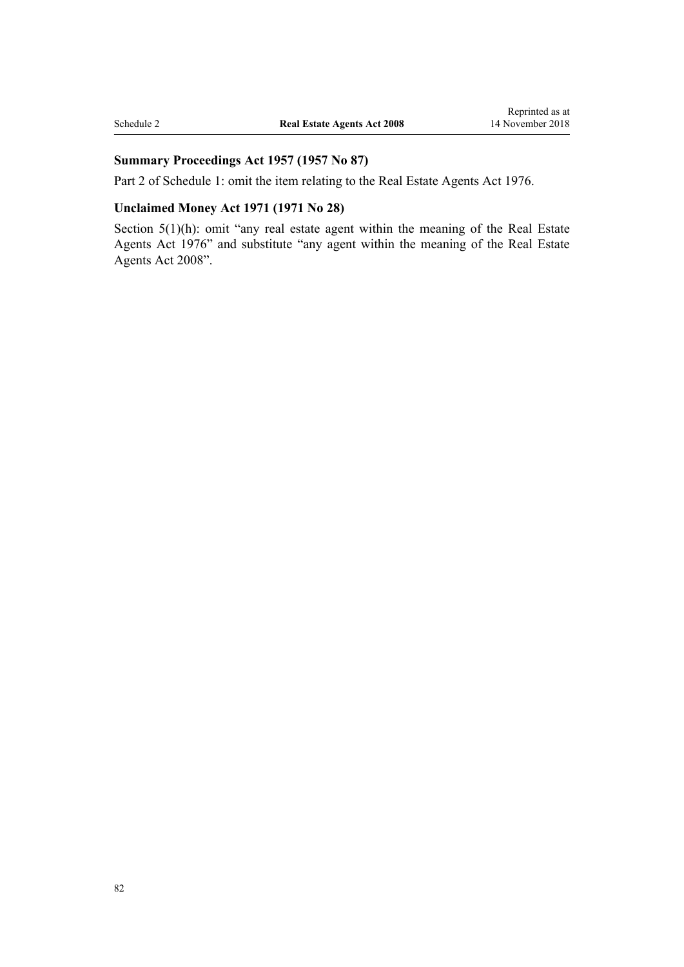# **Summary Proceedings Act 1957 (1957 No 87)**

Part 2 of Schedule 1: omit the item relating to the Real Estate Agents Act 1976.

# **Unclaimed Money Act 1971 (1971 No 28)**

Section 5(1)(h): omit "any real estate agent within the meaning of the Real Estate Agents Act 1976" and substitute "any agent within the meaning of the Real Estate Agents Act 2008".